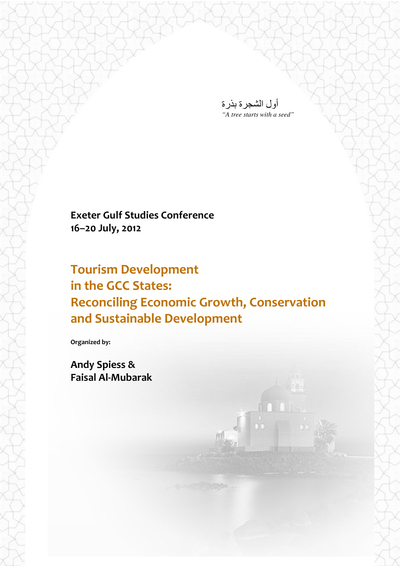أول الشجرة بذرة *"A tree starts with a seed"*

Exeter Gulf Studies Conference 16–20 July, 2012

# Tourism Development in the GCC States: Reconciling Economic Growth, Conservation and Sustainable Development

Organized by:

Andy Spiess & Faisal Al-Mubarak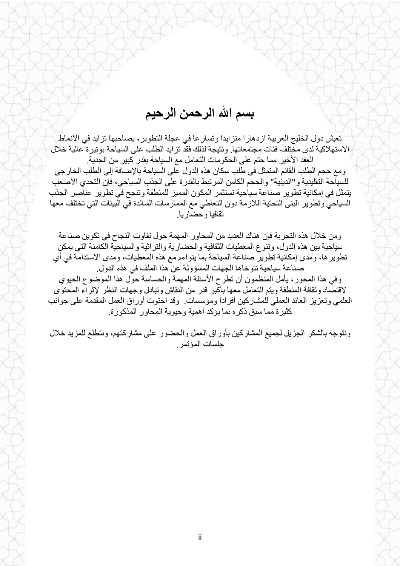# بسم الله الرحمن الرحيم

تعيش دول الخليج العربية ازدهارا متزايدا وتسار عا في عجلة التطوير ، يصاحبها تزايد في الانماط الأستهلاكية لدى مختلف فئات مجتمعاتها. ونتيجة لذلك فقد تزايد الطلب على السياحة بوتير ة عالية خلال العقد الأخير ٍ مما حتم على الحكومات التعامل مع السياحة بقدر كبير ٍ من الجدية ِ.

ومع حجم الطلب القائم المتمثل في طلب سكان هذه الدول على السياحة بالإضافة إلى الطلب الخارجي للسياحة التقليدية و "الدينية" والحجم الكامن المرتبط بالقدرة على الجذب السياحي، فإن التحدي الأصعب يتمثّل في إمكانية تطوير صناعة سياحية تستثمر المكون المميز للمنطقة وتنجح في تطوير عناصر الجذب السياحي وتطوير البني التحتية اللازمة دون التعاطي مع الممارسات السائدة في البيئات التي تختلف معها ثقافيا وحضىار يا

ومن خلال هذه التجربة فإن هناك العديد من المحاور المهمة حول تفاوت النجاح في تكوين صناعة سياحية بين هذه الدول، وتنو ع المعطيات الثقافية والحضارية والتراثية والسياحية الكامنة التي يمكن تطوير ها، ومدى إمكانية تطوير صناعة السياحة بما يتواءم مع هذه المعطيات، ومدى الاستدامة في أي صناعة سياحية تتو خاها الجهات المسؤولة عن هذا الملف في هذه الدول.

وفي هذا المحور، يأمل المنظمون أن نطرح الأسئلة المهمة والحساسة حول هذا الموضوع الحيوي لاقتصاد وثقافة المنطقة ويتم التعامل معها بأكبر قدر من النقاش وتبادل وجهات النظر لإثراء المحتوى العلمي وتعزيز العائد العملي للمشاركين أفرادأ ومؤسسات وقد احتوت أوراق العمل المقدمة على جوانب كثيرة مما سبق ذكر ه بما يؤكد أهمية وحيوية المحاور المذكورة.

ونتوجه بالشكر الجزيل لجميع المشاركين بأوراق العمل والحضور على مشاركتهم، ونتطلع للمزيد خلال جلسات المؤتمر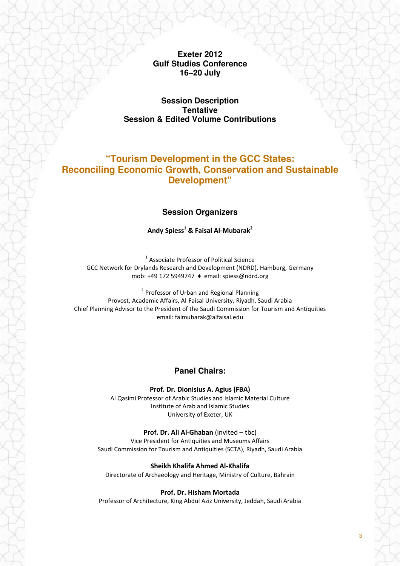**Exeter 2012 Gulf Studies Conference 16–20 July** 

### **Session Description Tentative Session & Edited Volume Contributions**

# **"Tourism Development in the GCC States: Reconciling Economic Growth, Conservation and Sustainable Development"**

### **Session Organizers**

### Andy Spiess<sup>1</sup> & Faisal Al-Mubarak<sup>2</sup>

<sup>1</sup> Associate Professor of Political Science GCC Network for Drylands Research and Development (NDRD), Hamburg, Germany mob: +49 172 5949747 ♦ email: spiess@ndrd.org

<sup>2</sup> Professor of Urban and Regional Planning Provost, Academic Affairs, Al-Faisal University, Riyadh, Saudi Arabia Chief Planning Advisor to the President of the Saudi Commission for Tourism and Antiquities email: falmubarak@alfaisal.edu

### **Panel Chairs:**

Prof. Dr. Dionisius A. Agius (FBA) Al Qasimi Professor of Arabic Studies and Islamic Material Culture Institute of Arab and Islamic Studies University of Exeter, UK

### Prof. Dr. Ali Al-Ghaban (invited – tbc)

Vice President for Antiquities and Museums Affairs Saudi Commission for Tourism and Antiquities (SCTA), Riyadh, Saudi Arabia

# Sheikh Khalifa Ahmed Al-Khalifa

Directorate of Archaeology and Heritage, Ministry of Culture, Bahrain

### Prof. Dr. Hisham Mortada

Professor of Architecture, King Abdul Aziz University, Jeddah, Saudi Arabia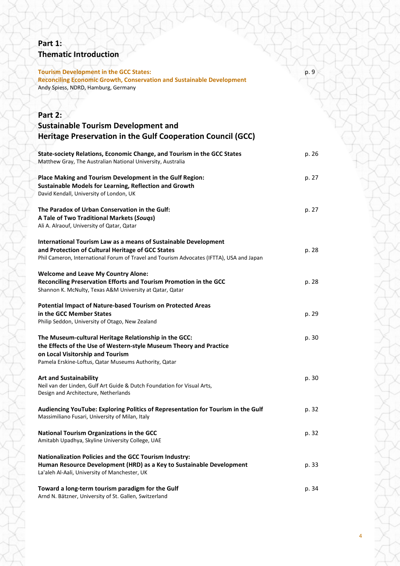# Part 1: Thematic Introduction

Tourism Development in the GCC States: p. 9 Reconciling Economic Growth, Conservation and Sustainable Development Andy Spiess, NDRD, Hamburg, Germany

# Part 2: Sustainable Tourism Development and Heritage Preservation in the Gulf Cooperation Council (GCC) State-society Relations, Economic Change, and Tourism in the GCC States  $p. 26$ Matthew Gray, The Australian National University, Australia Place Making and Tourism Development in the Gulf Region: p. 27 Sustainable Models for Learning, Reflection and Growth David Kendall, University of London, UK The Paradox of Urban Conservation in the Gulf: example 27 p. 27 A Tale of Two Traditional Markets (Souqs) Ali A. Alraouf, University of Qatar, Qatar International Tourism Law as a means of Sustainable Development and Protection of Cultural Heritage of GCC States **p. 28** p. 28 Phil Cameron, International Forum of Travel and Tourism Advocates (IFTTA), USA and Japan Welcome and Leave My Country Alone: Reconciling Preservation Efforts and Tourism Promotion in the GCC **p. 28** p. 28 Shannon K. McNulty, Texas A&M University at Qatar, Qatar Potential Impact of Nature-based Tourism on Protected Areas in the GCC Member States **p. 29** and the GCC Member States p. 29 Philip Seddon, University of Otago, New Zealand The Museum-cultural Heritage Relationship in the GCC: p. 30 the Effects of the Use of Western-style Museum Theory and Practice on Local Visitorship and Tourism Pamela Erskine-Loftus, Qatar Museums Authority, Qatar Art and Sustainability and Sustainability and Sustainability and Sustainability and Sustainability and Sustainability and Sustainability and Sustainability and Sustainability and Sustainability and Sustainability and Susta Neil van der Linden, Gulf Art Guide & Dutch Foundation for Visual Arts, Design and Architecture, Netherlands Audiencing YouTube: Exploring Politics of Representation for Tourism in the Gulf p. 32 Massimiliano Fusari, University of Milan, Italy National Tourism Organizations in the GCC **p. 32** p. 32 Amitabh Upadhya, Skyline University College, UAE Nationalization Policies and the GCC Tourism Industry: Human Resource Development (HRD) as a Key to Sustainable Development p. 33 La'aleh Al-Aali, University of Manchester, UK Toward a long-term tourism paradigm for the Gulf paradigm for the Subset p. 34 Arnd N. Bätzner, University of St. Gallen, Switzerland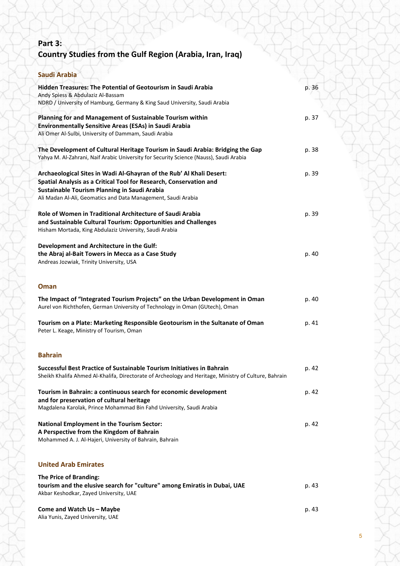| Part 3:                                                                                                                                                                         |       |
|---------------------------------------------------------------------------------------------------------------------------------------------------------------------------------|-------|
| Country Studies from the Gulf Region (Arabia, Iran, Iraq)                                                                                                                       |       |
|                                                                                                                                                                                 |       |
| Saudi Arabia                                                                                                                                                                    |       |
| <b>Hidden Treasures: The Potential of Geotourism in Saudi Arabia</b><br>Andy Spiess & Abdulaziz Al-Bassam                                                                       | p. 36 |
| NDRD / University of Hamburg, Germany & King Saud University, Saudi Arabia                                                                                                      |       |
| Planning for and Management of Sustainable Tourism within<br><b>Environmentally Sensitive Areas (ESAs) in Saudi Arabia</b>                                                      | p. 37 |
| Ali Omer Al-Sulbi, University of Dammam, Saudi Arabia                                                                                                                           |       |
| The Development of Cultural Heritage Tourism in Saudi Arabia: Bridging the Gap<br>Yahya M. Al-Zahrani, Naif Arabic University for Security Science (Nauss), Saudi Arabia        | p. 38 |
| Archaeological Sites in Wadi Al-Ghayran of the Rub' Al Khali Desert:                                                                                                            | p. 39 |
| Spatial Analysis as a Critical Tool for Research, Conservation and                                                                                                              |       |
| Sustainable Tourism Planning in Saudi Arabia                                                                                                                                    |       |
| Ali Madan Al-Ali, Geomatics and Data Management, Saudi Arabia                                                                                                                   |       |
| Role of Women in Traditional Architecture of Saudi Arabia                                                                                                                       | p. 39 |
| and Sustainable Cultural Tourism: Opportunities and Challenges                                                                                                                  |       |
| Hisham Mortada, King Abdulaziz University, Saudi Arabia                                                                                                                         |       |
| Development and Architecture in the Gulf:                                                                                                                                       |       |
| the Abraj al-Bait Towers in Mecca as a Case Study                                                                                                                               | p. 40 |
| Andreas Jozwiak, Trinity University, USA                                                                                                                                        |       |
|                                                                                                                                                                                 |       |
| Oman                                                                                                                                                                            |       |
| The Impact of "Integrated Tourism Projects" on the Urban Development in Oman                                                                                                    | p. 40 |
| Aurel von Richthofen, German University of Technology in Oman (GUtech), Oman                                                                                                    |       |
| Tourism on a Plate: Marketing Responsible Geotourism in the Sultanate of Oman                                                                                                   | p. 41 |
| Peter L. Keage, Ministry of Tourism, Oman                                                                                                                                       |       |
|                                                                                                                                                                                 |       |
| <b>Bahrain</b>                                                                                                                                                                  |       |
|                                                                                                                                                                                 |       |
| Successful Best Practice of Sustainable Tourism Initiatives in Bahrain<br>Sheikh Khalifa Ahmed Al-Khalifa, Directorate of Archeology and Heritage, Ministry of Culture, Bahrain | p. 42 |
|                                                                                                                                                                                 |       |
| Tourism in Bahrain: a continuous search for economic development                                                                                                                | p. 42 |
| and for preservation of cultural heritage<br>Magdalena Karolak, Prince Mohammad Bin Fahd University, Saudi Arabia                                                               |       |
|                                                                                                                                                                                 |       |
| <b>National Employment in the Tourism Sector:</b>                                                                                                                               | p. 42 |
| A Perspective from the Kingdom of Bahrain                                                                                                                                       |       |
| Mohammed A. J. Al-Hajeri, University of Bahrain, Bahrain                                                                                                                        |       |
|                                                                                                                                                                                 |       |
| <b>United Arab Emirates</b>                                                                                                                                                     |       |
| The Price of Branding:                                                                                                                                                          |       |
| tourism and the elusive search for "culture" among Emiratis in Dubai, UAE                                                                                                       | p. 43 |
| Akbar Keshodkar, Zayed University, UAE                                                                                                                                          |       |
| Come and Watch Us - Maybe                                                                                                                                                       | p. 43 |

Alia Yunis, Zayed University, UAE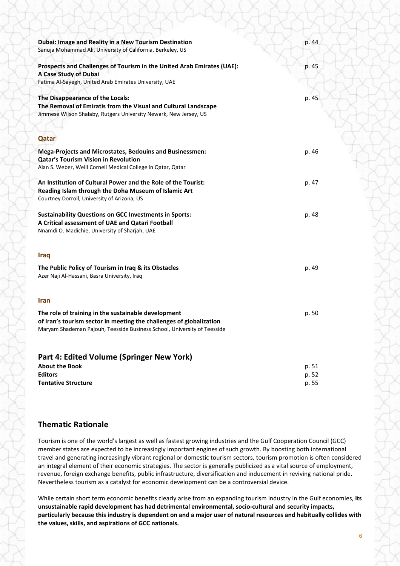| Dubai: Image and Reality in a New Tourism Destination<br>Sanuja Mohammad Ali, University of California, Berkeley, US                                                                                   | p. 44          |
|--------------------------------------------------------------------------------------------------------------------------------------------------------------------------------------------------------|----------------|
| Prospects and Challenges of Tourism in the United Arab Emirates (UAE):<br>A Case Study of Dubai                                                                                                        | p. 45          |
| Fatima Al-Sayegh, United Arab Emirates University, UAE                                                                                                                                                 |                |
| The Disappearance of the Locals:<br>The Removal of Emiratis from the Visual and Cultural Landscape<br>Jimmese Wilson Shalaby, Rutgers University Newark, New Jersey, US                                | p. 45          |
|                                                                                                                                                                                                        |                |
| Qatar                                                                                                                                                                                                  |                |
| <b>Mega-Projects and Microstates, Bedouins and Businessmen:</b><br><b>Qatar's Tourism Vision in Revolution</b><br>Alan S. Weber, Weill Cornell Medical College in Qatar, Qatar                         | p. 46          |
| An Institution of Cultural Power and the Role of the Tourist:<br>Reading Islam through the Doha Museum of Islamic Art<br>Courtney Dorroll, University of Arizona, US                                   | p. 47          |
| <b>Sustainability Questions on GCC Investments in Sports:</b><br>A Critical assessment of UAE and Qatari Football<br>Nnamdi O. Madichie, University of Sharjah, UAE                                    | p. 48          |
| <b>Iraq</b>                                                                                                                                                                                            |                |
| The Public Policy of Tourism in Iraq & its Obstacles<br>Azer Naji Al-Hassani, Basra University, Iraq                                                                                                   | p. 49          |
| <b>Iran</b>                                                                                                                                                                                            |                |
| The role of training in the sustainable development<br>of Iran's tourism sector in meeting the challenges of globalization<br>Maryam Shademan Pajouh, Teesside Business School, University of Teesside | p. 50          |
| <b>Part 4: Edited Volume (Springer New York)</b>                                                                                                                                                       |                |
| <b>About the Book</b>                                                                                                                                                                                  | p. 51          |
| <b>Editors</b><br><b>Tentative Structure</b>                                                                                                                                                           | p. 52<br>p. 55 |
|                                                                                                                                                                                                        |                |

# Thematic Rationale

Tourism is one of the world's largest as well as fastest growing industries and the Gulf Cooperation Council (GCC) member states are expected to be increasingly important engines of such growth. By boosting both international travel and generating increasingly vibrant regional or domestic tourism sectors, tourism promotion is often considered an integral element of their economic strategies. The sector is generally publicized as a vital source of employment, revenue, foreign exchange benefits, public infrastructure, diversification and inducement in reviving national pride. Nevertheless tourism as a catalyst for economic development can be a controversial device.

While certain short term economic benefits clearly arise from an expanding tourism industry in the Gulf economies, its unsustainable rapid development has had detrimental environmental, socio-cultural and security impacts, particularly because this industry is dependent on and a major user of natural resources and habitually collides with the values, skills, and aspirations of GCC nationals.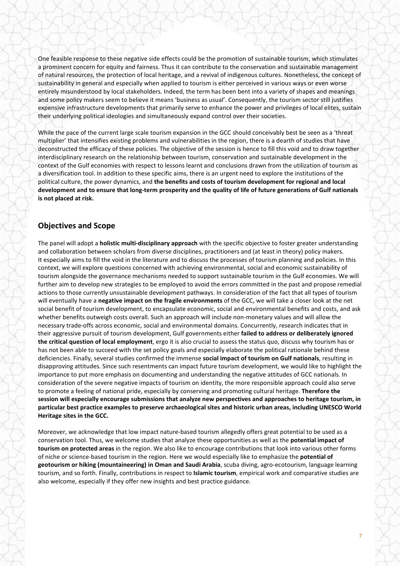One feasible response to these negative side effects could be the promotion of sustainable tourism, which stimulates a prominent concern for equity and fairness. Thus it can contribute to the conservation and sustainable management of natural resources, the protection of local heritage, and a revival of indigenous cultures. Nonetheless, the concept of sustainability in general and especially when applied to tourism is either perceived in various ways or even worse entirely misunderstood by local stakeholders. Indeed, the term has been bent into a variety of shapes and meanings and some policy makers seem to believe it means 'business as usual'. Consequently, the tourism sector still justifies expensive infrastructure developments that primarily serve to enhance the power and privileges of local elites, sustain their underlying political ideologies and simultaneously expand control over their societies.

While the pace of the current large scale tourism expansion in the GCC should conceivably best be seen as a 'threat multiplier' that intensifies existing problems and vulnerabilities in the region, there is a dearth of studies that have deconstructed the efficacy of these policies. The objective of the session is hence to fill this void and to draw together interdisciplinary research on the relationship between tourism, conservation and sustainable development in the context of the Gulf economies with respect to lessons learnt and conclusions drawn from the utilization of tourism as a diversification tool. In addition to these specific aims, there is an urgent need to explore the institutions of the political culture, the power dynamics, and the benefits and costs of tourism development for regional and local development and to ensure that long-term prosperity and the quality of life of future generations of Gulf nationals is not placed at risk.

### Objectives and Scope

The panel will adopt a **holistic multi-disciplinary approach** with the specific objective to foster greater understanding and collaboration between scholars from diverse disciplines, practitioners and (at least in theory) policy makers. It especially aims to fill the void in the literature and to discuss the processes of tourism planning and policies. In this context, we will explore questions concerned with achieving environmental, social and economic sustainability of tourism alongside the governance mechanisms needed to support sustainable tourism in the Gulf economies. We will further aim to develop new strategies to be employed to avoid the errors committed in the past and propose remedial actions to those currently unsustainable development pathways. In consideration of the fact that all types of tourism will eventually have a negative impact on the fragile environments of the GCC, we will take a closer look at the net social benefit of tourism development, to encapsulate economic, social and environmental benefits and costs, and ask whether benefits outweigh costs overall. Such an approach will include non-monetary values and will allow the necessary trade-offs across economic, social and environmental domains. Concurrently, research indicates that in their aggressive pursuit of tourism development, Gulf governments either failed to address or deliberately ignored the critical question of local employment, ergo it is also crucial to assess the status quo, discuss why tourism has or has not been able to succeed with the set policy goals and especially elaborate the political rationale behind these deficiencies. Finally, several studies confirmed the immense social impact of tourism on Gulf nationals, resulting in disapproving attitudes. Since such resentments can impact future tourism development, we would like to highlight the importance to put more emphasis on documenting and understanding the negative attitudes of GCC nationals. In consideration of the severe negative impacts of tourism on identity, the more responsible approach could also serve to promote a feeling of national pride, especially by conserving and promoting cultural heritage. Therefore the session will especially encourage submissions that analyze new perspectives and approaches to heritage tourism, in particular best practice examples to preserve archaeological sites and historic urban areas, including UNESCO World Heritage sites in the GCC.

Moreover, we acknowledge that low impact nature-based tourism allegedly offers great potential to be used as a conservation tool. Thus, we welcome studies that analyze these opportunities as well as the potential impact of tourism on protected areas in the region. We also like to encourage contributions that look into various other forms of niche or science-based tourism in the region. Here we would especially like to emphasize the potential of geotourism or hiking (mountaineering) in Oman and Saudi Arabia, scuba diving, agro-ecotourism, language learning tourism, and so forth. Finally, contributions in respect to Islamic tourism, empirical work and comparative studies are also welcome, especially if they offer new insights and best practice guidance.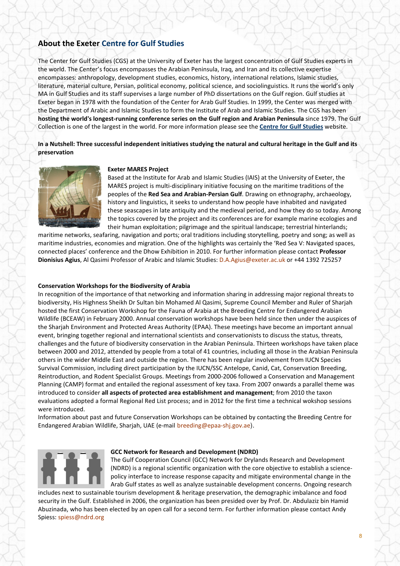### About the Exeter Centre for Gulf Studies

The Center for Gulf Studies (CGS) at the University of Exeter has the largest concentration of Gulf Studies experts in the world. The Center's focus encompasses the Arabian Peninsula, Iraq, and Iran and its collective expertise encompasses: anthropology, development studies, economics, history, international relations, Islamic studies, literature, material culture, Persian, political economy, political science, and sociolinguistics. It runs the world's only MA in Gulf Studies and its staff supervises a large number of PhD dissertations on the Gulf region. Gulf studies at Exeter began in 1978 with the foundation of the Center for Arab Gulf Studies. In 1999, the Center was merged with the Department of Arabic and Islamic Studies to form the Institute of Arab and Islamic Studies. The CGS has been hosting the world's longest-running conference series on the Gulf region and Arabian Peninsula since 1979. The Gulf Collection is one of the largest in the world. For more information please see the Centre for Gulf Studies website.

In a Nutshell: Three successful independent initiatives studying the natural and cultural heritage in the Gulf and its preservation



#### Exeter MARES Project

Based at the Institute for Arab and Islamic Studies (IAIS) at the University of Exeter, the MARES project is multi-disciplinary initiative focusing on the maritime traditions of the peoples of the Red Sea and Arabian-Persian Gulf. Drawing on ethnography, archaeology, history and linguistics, it seeks to understand how people have inhabited and navigated these seascapes in late antiquity and the medieval period, and how they do so today. Among the topics covered by the project and its conferences are for example marine ecologies and their human exploitation; pilgrimage and the spiritual landscape; terrestrial hinterlands;

maritime networks, seafaring, navigation and ports; oral traditions including storytelling, poetry and song; as well as maritime industries, economies and migration. One of the highlights was certainly the 'Red Sea V: Navigated spaces, connected places' conference and the Dhow Exhibition in 2010. For further information please contact Professor Dionisius Agius, Al Qasimi Professor of Arabic and Islamic Studies: D.A.Agius@exeter.ac.uk or +44 1392 725257

### Conservation Workshops for the Biodiversity of Arabia

In recognition of the importance of that networking and information sharing in addressing major regional threats to biodiversity, His Highness Sheikh Dr Sultan bin Mohamed Al Qasimi, Supreme Council Member and Ruler of Sharjah hosted the first Conservation Workshop for the Fauna of Arabia at the Breeding Centre for Endangered Arabian Wildlife (BCEAW) in February 2000. Annual conservation workshops have been held since then under the auspices of the Sharjah Environment and Protected Areas Authority (EPAA). These meetings have become an important annual event, bringing together regional and international scientists and conservationists to discuss the status, threats, challenges and the future of biodiversity conservation in the Arabian Peninsula. Thirteen workshops have taken place between 2000 and 2012, attended by people from a total of 41 countries, including all those in the Arabian Peninsula others in the wider Middle East and outside the region. There has been regular involvement from IUCN Species Survival Commission, including direct participation by the IUCN/SSC Antelope, Canid, Cat, Conservation Breeding, Reintroduction, and Rodent Specialist Groups. Meetings from 2000-2006 followed a Conservation and Management Planning (CAMP) format and entailed the regional assessment of key taxa. From 2007 onwards a parallel theme was introduced to consider all aspects of protected area establishment and management; from 2010 the taxon evaluations adopted a formal Regional Red List process; and in 2012 for the first time a technical wokshop sessions were introduced.

Information about past and future Conservation Workshops can be obtained by contacting the Breeding Centre for Endangered Arabian Wildlife, Sharjah, UAE (e-mail breeding@epaa-shj.gov.ae).



#### GCC Network for Research and Development (NDRD)

The Gulf Cooperation Council (GCC) Network for Drylands Research and Development (NDRD) is a regional scientific organization with the core objective to establish a sciencepolicy interface to increase response capacity and mitigate environmental change in the Arab Gulf states as well as analyze sustainable development concerns. Ongoing research

includes next to sustainable tourism development & heritage preservation, the demographic imbalance and food security in the Gulf. Established in 2006, the organization has been presided over by Prof. Dr. Abdulaziz bin Hamid Abuzinada, who has been elected by an open call for a second term. For further information please contact Andy Spiess: spiess@ndrd.org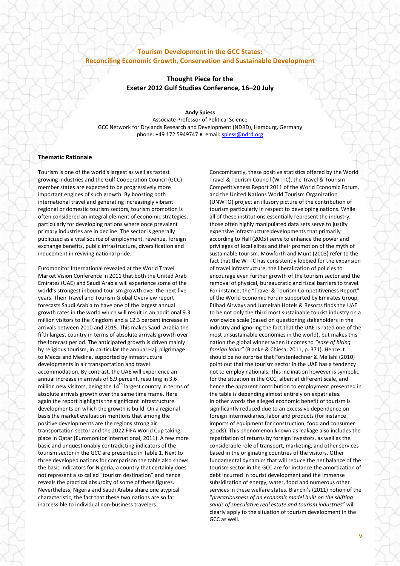### Thought Piece for the Exeter 2012 Gulf Studies Conference, 16–20 July

#### Andy Spiess

Associate Professor of Political Science GCC Network for Drylands Research and Development (NDRD), Hamburg, Germany phone: +49 172 5949747 ♦ email: spiess@ndrd.org

### Thematic Rationale

Tourism is one of the world's largest as well as fastest growing industries and the Gulf Cooperation Council (GCC) member states are expected to be progressively more important engines of such growth. By boosting both international travel and generating increasingly vibrant regional or domestic tourism sectors, tourism promotion is often considered an integral element of economic strategies, particularly for developing nations where once prevalent primary industries are in decline. The sector is generally publicized as a vital source of employment, revenue, foreign exchange benefits, public infrastructure, diversification and inducement in reviving national pride.

Euromonitor International revealed at the World Travel Market Vision Conference in 2011 that both the United Arab Emirates (UAE) and Saudi Arabia will experience some of the world's strongest inbound tourism growth over the next five years. Their Travel and Tourism Global Overview report forecasts Saudi Arabia to have one of the largest annual growth rates in the world which will result in an additional 9.3 million visitors to the Kingdom and a 12.3 percent increase in arrivals between 2010 and 2015. This makes Saudi Arabia the fifth largest country in terms of absolute arrivals growth over the forecast period. The anticipated growth is driven mainly by religious tourism, in particular the annual Hajj pilgrimage to Mecca and Medina, supported by infrastructure developments in air transportation and travel accommodation. By contrast, the UAE will experience an annual increase in arrivals of 6.9 percent, resulting in 3.6 million new visitors, being the  $14<sup>th</sup>$  largest country in terms of absolute arrivals growth over the same time frame. Here again the report highlights the significant infrastructure developments on which the growth is build. On a regional basis the market evaluation mentions that among the positive developments are the regions strong air transportation sector and the 2022 FIFA World Cup taking place in Qatar (Euromonitor International, 2011). A few more basic and unquestionably contradicting indicators of the tourism sector in the GCC are presented in Table 1. Next to three developed nations for comparison the table also shows the basic indicators for Nigeria, a country that certainly does not represent a so called "tourism destination" and hence reveals the practical absurdity of some of these figures. Nevertheless, Nigeria and Saudi Arabia share one atypical characteristic, the fact that these two nations are so far inaccessible to individual non-business travelers.

Concomitantly, these positive statistics offered by the World Travel & Tourism Council (WTTC), the Travel & Tourism Competitiveness Report 2011 of the World Economic Forum, and the United Nations World Tourism Organization (UNWTO) project an illusory picture of the contribution of tourism particularly in respect to developing nations. While all of these institutions essentially represent the industry, those often highly manipulated data sets serve to justify expensive infrastructure developments that primarily according to Hall (2005) serve to enhance the power and privileges of local elites and their promotion of the myth of sustainable tourism. Mowforth and Munt (2003) refer to the fact that the WTTC has consistently lobbied for the expansion of travel infrastructure, the liberalization of policies to encourage even further growth of the tourism sector and the removal of physical, bureaucratic and fiscal barriers to travel. For instance, the "Travel & Tourism Competitiveness Report" of the World Economic Forum supported by Emirates Group, Etihad Airways and Jumeirah Hotels & Resorts finds the UAE to be not only the third most sustainable tourist industry on a worldwide scale (based on questioning stakeholders in the industry and ignoring the fact that the UAE is rated one of the most unsustainable economies in the world), but makes this nation the global winner when it comes to "ease of hiring foreign labor" (Blanke & Chiesa, 2011, p. 371). Hence it should be no surprise that Forstenlechner & Mellahi (2010) point out that the tourism sector in the UAE has a tendency not to employ nationals. This inclination however is symbolic for the situation in the GCC, albeit at different scale, and hence the apparent contribution to employment presented in the table is depending almost entirely on expatriates. In other words the alleged economic benefit of tourism is significantly reduced due to an excessive dependence on foreign intermediaries, labor and products (for instance imports of equipment for construction, food and consumer goods). This phenomenon known as leakage also includes the repatriation of returns by foreign investors, as well as the considerable role of transport, marketing, and other services based in the originating countries of the visitors. Other fundamental dynamics that will reduce the net balance of the tourism sector in the GCC are for instance the amortization of debt incurred in tourist development and the immense subsidization of energy, water, food and numerous other services in these welfare states. Bianchi's (2011) notion of the "precariousness of an economic model built on the shifting sands of speculative real estate and tourism industries" will clearly apply to the situation of tourism development in the GCC as well.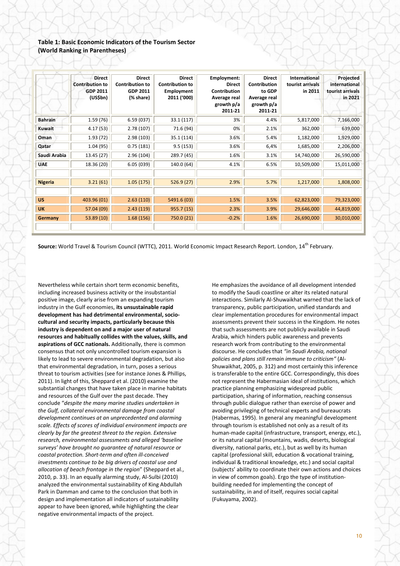|                | <b>Direct</b><br><b>Contribution to</b><br>GDP 2011<br>(US\$bn) | <b>Direct</b><br><b>Contribution to</b><br>GDP 2011<br>(% share) | <b>Direct</b><br><b>Contribution to</b><br><b>Employment</b><br>2011 ('000) | Employment:<br><b>Direct</b><br>Contribution<br>Average real<br>growth p/a<br>2011-21 | <b>Direct</b><br>Contribution<br>to GDP<br>Average real<br>growth p/a<br>2011-21 | International<br>tourist arrivals<br>in 2011 | Projected<br>international<br>tourist arrivals<br>in 2021 |
|----------------|-----------------------------------------------------------------|------------------------------------------------------------------|-----------------------------------------------------------------------------|---------------------------------------------------------------------------------------|----------------------------------------------------------------------------------|----------------------------------------------|-----------------------------------------------------------|
| <b>Bahrain</b> | 1.59(76)                                                        | 6.59(037)                                                        | 33.1(117)                                                                   | 3%                                                                                    | 4.4%                                                                             | 5,817,000                                    | 7,166,000                                                 |
| Kuwait         | 4.17(53)                                                        | 2.78(107)                                                        | 71.6 (94)                                                                   | 0%                                                                                    | 2.1%                                                                             | 362,000                                      | 639,000                                                   |
| Oman           | 1.93(72)                                                        | 2.98(103)                                                        | 35.1 (114)                                                                  | 3.6%                                                                                  | 5.4%                                                                             | 1,182,000                                    | 1,929,000                                                 |
| Qatar          | 1.04(95)                                                        | 0.75(181)                                                        | 9.5(153)                                                                    | 3.6%                                                                                  | 6,4%                                                                             | 1,685,000                                    | 2,206,000                                                 |
| Saudi Arabia   | 13.45 (27)                                                      | 2.96(104)                                                        | 289.7 (45)                                                                  | 1.6%                                                                                  | 3.1%                                                                             | 14,740,000                                   | 26,590,000                                                |
| <b>UAE</b>     | 18.36 (20)                                                      | 6.05 (039)                                                       | 140.0 (64)                                                                  | 4.1%                                                                                  | 6.5%                                                                             | 10,509,000                                   | 15,011,000                                                |
| <b>Nigeria</b> | 3.21(61)                                                        | 1.05(175)                                                        | 526.9(27)                                                                   | 2.9%                                                                                  | 5.7%                                                                             | 1,217,000                                    | 1,808,000                                                 |
| <b>US</b>      | 403.96 (01)                                                     | 2.63(110)                                                        | 5491.6 (03)                                                                 | 1.5%                                                                                  | 3.5%                                                                             | 62,823,000                                   | 79,323,000                                                |
| <b>UK</b>      | 57.04 (09)                                                      | 2.43(119)                                                        | 955.7(15)                                                                   | 2.3%                                                                                  | 3.9%                                                                             | 29,646,000                                   | 44,819,000                                                |
| <b>Germany</b> | 53.89 (10)                                                      | 1.68(156)                                                        | 750.0 (21)                                                                  | $-0.2%$                                                                               | 1.6%                                                                             | 26,690,000                                   | 30,010,000                                                |
|                |                                                                 |                                                                  |                                                                             |                                                                                       |                                                                                  |                                              |                                                           |

Source: World Travel & Tourism Council (WTTC), 2011. World Economic Impact Research Report. London, 14th February.

Nevertheless while certain short term economic benefits, including increased business activity or the insubstantial positive image, clearly arise from an expanding tourism industry in the Gulf economies, its unsustainable rapid development has had detrimental environmental, sociocultural and security impacts, particularly because this industry is dependent on and a major user of natural resources and habitually collides with the values, skills, and aspirations of GCC nationals. Additionally, there is common consensus that not only uncontrolled tourism expansion is likely to lead to severe environmental degradation, but also that environmental degradation, in turn, poses a serious threat to tourism activities (see for instance Jones & Phillips, 2011). In light of this, Sheppard et al. (2010) examine the substantial changes that have taken place in marine habitats and resources of the Gulf over the past decade. They conclude "despite the many marine studies undertaken in the Gulf, collateral environmental damage from coastal development continues at an unprecedented and alarming scale. Effects of scores of individual environment impacts are clearly by far the greatest threat to the region. Extensive research, environmental assessments and alleged 'baseline surveys' have brought no guarantee of natural resource or coastal protection. Short-term and often ill-conceived investments continue to be big drivers of coastal use and allocation of beach frontage in the region" (Sheppard et al., 2010, p. 33). In an equally alarming study, Al-Sulbi (2010) analyzed the environmental sustainability of King Abdullah Park in Damman and came to the conclusion that both in design and implementation all indicators of sustainability appear to have been ignored, while highlighting the clear negative environmental impacts of the project.

He emphasizes the avoidance of all development intended to modify the Saudi coastline or alter its related natural interactions. Similarly Al-Shuwaikhat warned that the lack of transparency, public participation, unified standards and clear implementation procedures for environmental impact assessments prevent their success in the Kingdom. He notes that such assessments are not publicly available in Saudi Arabia, which hinders public awareness and prevents research work from contributing to the environmental discourse. He concludes that "in Saudi Arabia, national policies and plans still remain immune to criticism" (Al-Shuwaikhat, 2005, p. 312) and most certainly this inference is transferable to the entire GCC. Correspondingly, this does not represent the Habermasian ideal of institutions, which practice planning emphasizing widespread public participation, sharing of information, reaching consensus through public dialogue rather than exercise of power and avoiding privileging of technical experts and bureaucrats (Habermas, 1995). In general any meaningful development through tourism is established not only as a result of its human-made capital (infrastructure, transport, energy, etc.), or its natural capital (mountains, wadis, deserts, biological diversity, national parks, etc.), but as well by its human capital (professional skill, education & vocational training, individual & traditional knowledge, etc.) and social capital (subjects' ability to coordinate their own actions and choices in view of common goals). Ergo the type of institutionbuilding needed for implementing the concept of sustainability, in and of itself, requires social capital (Fukuyama, 2002).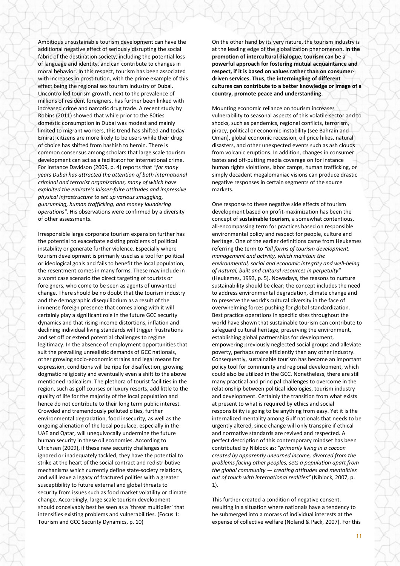Ambitious unsustainable tourism development can have the additional negative effect of seriously disrupting the social fabric of the destination society, including the potential loss of language and identity, and can contribute to changes in moral behavior. In this respect, tourism has been associated with increases in prostitution, with the prime example of this effect being the regional sex tourism industry of Dubai. Uncontrolled tourism growth, next to the prevalence of millions of resident foreigners, has further been linked with increased crime and narcotic drug trade. A recent study by Robins (2011) showed that while prior to the 80ties domestic consumption in Dubai was modest and mainly limited to migrant workers, this trend has shifted and today Emirati citizens are more likely to be users while their drug of choice has shifted from hashish to heroin. There is common consensus among scholars that large scale tourism development can act as a facilitator for international crime. For instance Davidson (2009, p. 4) reports that "for many years Dubai has attracted the attention of both international criminal and terrorist organizations, many of which have exploited the emirate's laissez-faire attitudes and impressive physical infrastructure to set up various smuggling, gunrunning, human trafficking, and money laundering operations". His observations were confirmed by a diversity of other assessments.

Irresponsible large corporate tourism expansion further has the potential to exacerbate existing problems of political instability or generate further violence. Especially where tourism development is primarily used as a tool for political or ideological goals and fails to benefit the local population, the resentment comes in many forms. These may include in a worst case scenario the direct targeting of tourists or foreigners, who come to be seen as agents of unwanted change. There should be no doubt that the tourism industry and the demographic disequilibrium as a result of the immense foreign presence that comes along with it will certainly play a significant role in the future GCC security dynamics and that rising income distortions, inflation and declining individual living standards will trigger frustrations and set off or extend potential challenges to regime legitimacy. In the absence of employment opportunities that suit the prevailing unrealistic demands of GCC nationals, other growing socio-economic strains and legal means for expression, conditions will be ripe for disaffection, growing dogmatic religiosity and eventually even a shift to the above mentioned radicalism. The plethora of tourist facilities in the region, such as golf courses or luxury resorts, add little to the quality of life for the majority of the local population and hence do not contribute to their long term public interest. Crowded and tremendously polluted cities, further environmental degradation, food insecurity, as well as the ongoing alienation of the local populace, especially in the UAE and Qatar, will unequivocally undermine the future human security in these oil economies. According to Ulrichsen (2009), if these new security challenges are ignored or inadequately tackled, they have the potential to strike at the heart of the social contract and redistributive mechanisms which currently define state-society relations, and will leave a legacy of fractured polities with a greater susceptibility to future external and global threats to security from issues such as food market volatility or climate change. Accordingly, large scale tourism development should conceivably best be seen as a 'threat multiplier' that intensifies existing problems and vulnerabilities. (Focus 1: Tourism and GCC Security Dynamics, p. 10)

On the other hand by its very nature, the tourism industry is at the leading edge of the globalization phenomenon. In the promotion of intercultural dialogue, tourism can be a powerful approach for fostering mutual acquaintance and respect, if it is based on values rather than on consumerdriven services. Thus, the intermingling of different cultures can contribute to a better knowledge or image of a country, promote peace and understanding.

Mounting economic reliance on tourism increases vulnerability to seasonal aspects of this volatile sector and to shocks, such as pandemics, regional conflicts, terrorism, piracy, political or economic instability (see Bahrain and Oman), global economic recession, oil price hikes, natural disasters, and other unexpected events such as ash clouds from volcanic eruptions. In addition, changes in consumer tastes and off-putting media coverage on for instance human rights violations, labor camps, human trafficking, or simply decadent megalomaniac visions can produce drastic negative responses in certain segments of the source markets.

One response to these negative side effects of tourism development based on profit-maximization has been the concept of sustainable tourism, a somewhat contentious, all-encompassing term for practices based on responsible environmental policy and respect for people, culture and heritage. One of the earlier definitions came from Heukemes referring the term to "all forms of tourism development, management and activity, which maintain the environmental, social and economic integrity and well-being of natural, built and cultural resources in perpetuity" (Heukemes, 1993, p. 5). Nowadays, the reasons to nurture sustainability should be clear; the concept includes the need to address environmental degradation, climate change and to preserve the world's cultural diversity in the face of overwhelming forces pushing for global standardization. Best practice operations in specific sites throughout the world have shown that sustainable tourism can contribute to safeguard cultural heritage, preserving the environment, establishing global partnerships for development, empowering previously neglected social groups and alleviate poverty, perhaps more efficiently than any other industry. Consequently, sustainable tourism has become an important policy tool for community and regional development, which could also be utilized in the GCC. Nonetheless, there are still many practical and principal challenges to overcome in the relationship between political ideologies, tourism industry and development. Certainly the transition from what exists at present to what is required by ethics and social responsibility is going to be anything from easy. Yet it is the internalized mentality among Gulf nationals that needs to be urgently altered, since change will only transpire if ethical and normative standards are revived and respected. A perfect description of this contemporary mindset has been contributed by Niblock as: "primarily living in a cocoon created by apparently unearned income, divorced from the problems facing other peoples, sets a population apart from the global community  $-$  creating attitudes and mentalities out of touch with international realities" (Niblock, 2007, p. 1).

This further created a condition of negative consent, resulting in a situation where nationals have a tendency to be submerged into a morass of individual interests at the expense of collective welfare (Noland & Pack, 2007). For this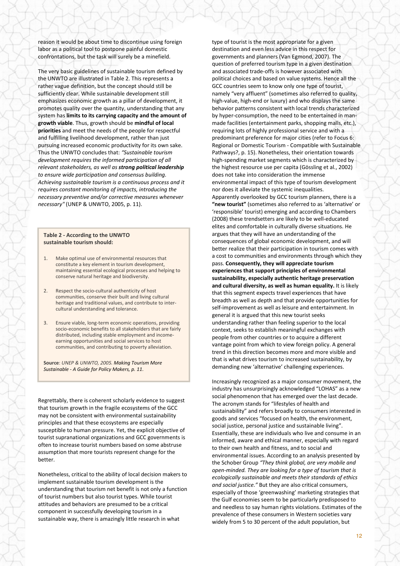reason it would be about time to discontinue using foreign labor as a political tool to postpone painful domestic confrontations, but the task will surely be a minefield.

The very basic guidelines of sustainable tourism defined by the UNWTO are illustrated in Table 2. This represents a rather vague definition, but the concept should still be sufficiently clear. While sustainable development still emphasizes economic growth as a pillar of development, it promotes quality over the quantity, understanding that any system has limits to its carrying capacity and the amount of growth viable. Thus, growth should be mindful of local priorities and meet the needs of the people for respectful and fulfilling livelihood development, rather than just pursuing increased economic productivity for its own sake. Thus the UNWTO concludes that: "Sustainable tourism development requires the informed participation of all relevant stakeholders, as well as strong political leadership to ensure wide participation and consensus building. Achieving sustainable tourism is a continuous process and it requires constant monitoring of impacts, introducing the necessary preventive and/or corrective measures whenever necessary" (UNEP & UNWTO, 2005, p. 11).

#### Table 2 - According to the UNWTO sustainable tourism should:

- 1. Make optimal use of environmental resources that constitute a key element in tourism development, maintaining essential ecological processes and helping to conserve natural heritage and biodiversity.
- 2. Respect the socio-cultural authenticity of host communities, conserve their built and living cultural heritage and traditional values, and contribute to intercultural understanding and tolerance.
- 3. Ensure viable, long-term economic operations, providing socio-economic benefits to all stakeholders that are fairly distributed, including stable employment and incomeearning opportunities and social services to host communities, and contributing to poverty alleviation.

Source: UNEP & UNWTO, 2005. Making Tourism More Sustainable - A Guide for Policy Makers, p. 11.

Regrettably, there is coherent scholarly evidence to suggest that tourism growth in the fragile ecosystems of the GCC may not be consistent with environmental sustainability principles and that these ecosystems are especially susceptible to human pressure. Yet, the explicit objective of tourist supranational organizations and GCC governments is often to increase tourist numbers based on some abstruse assumption that more tourists represent change for the better.

Nonetheless, critical to the ability of local decision makers to implement sustainable tourism development is the understanding that tourism net benefit is not only a function of tourist numbers but also tourist types. While tourist attitudes and behaviors are presumed to be a critical component in successfully developing tourism in a sustainable way, there is amazingly little research in what

type of tourist is the most appropriate for a given destination and even less advice in this respect for governments and planners (Van Egmond, 2007). The question of preferred tourism type in a given destination and associated trade-offs is however associated with political choices and based on value systems. Hence all the GCC countries seem to know only one type of tourist, namely "very affluent" (sometimes also referred to quality, high-value, high-end or luxury) and who displays the same behavior patterns consistent with local trends characterized by hyper-consumption, the need to be entertained in manmade facilities (entertainment parks, shopping malls, etc.), requiring lots of highly professional service and with a predominant preference for major cities (refer to Focus 6: Regional or Domestic Tourism - Compatible with Sustainable Pathways?, p. 15). Nonetheless, their orientation towards high-spending market segments which is characterized by the highest resource use per capita (Gössling et al., 2002) does not take into consideration the immense environmental impact of this type of tourism development nor does it alleviate the systemic inequalities. Apparently overlooked by GCC tourism planners, there is a "new tourist" (sometimes also referred to as 'alternative' or 'responsible' tourist) emerging and according to Chambers (2008) these trendsetters are likely to be well-educated elites and comfortable in culturally diverse situations. He argues that they will have an understanding of the consequences of global economic development, and will better realize that their participation in tourism comes with a cost to communities and environments through which they pass. Consequently, they will appreciate tourism experiences that support principles of environmental sustainability, especially authentic heritage preservation and cultural diversity, as well as human equality. It is likely that this segment expects travel experiences that have breadth as well as depth and that provide opportunities for self-improvement as well as leisure and entertainment. In general it is argued that this new tourist seeks understanding rather than feeling superior to the local context, seeks to establish meaningful exchanges with people from other countries or to acquire a different vantage point from which to view foreign policy. A general trend in this direction becomes more and more visible and that is what drives tourism to increased sustainability, by demanding new 'alternative' challenging experiences.

Increasingly recognized as a major consumer movement, the industry has unsurprisingly acknowledged "LOHAS" as a new social phenomenon that has emerged over the last decade. The acronym stands for "lifestyles of health and sustainability" and refers broadly to consumers interested in goods and services "focused on health, the environment, social justice, personal justice and sustainable living". Essentially, these are individuals who live and consume in an informed, aware and ethical manner, especially with regard to their own health and fitness, and to social and environmental issues. According to an analysis presented by the Schober Group "They think global, are very mobile and open-minded. They are looking for a type of tourism that is ecologically sustainable and meets their standards of ethics and social justice." But they are also critical consumers, especially of those 'greenwashing' marketing strategies that the Gulf economies seem to be particularly predisposed to and needless to say human rights violations. Estimates of the prevalence of these consumers in Western societies vary widely from 5 to 30 percent of the adult population, but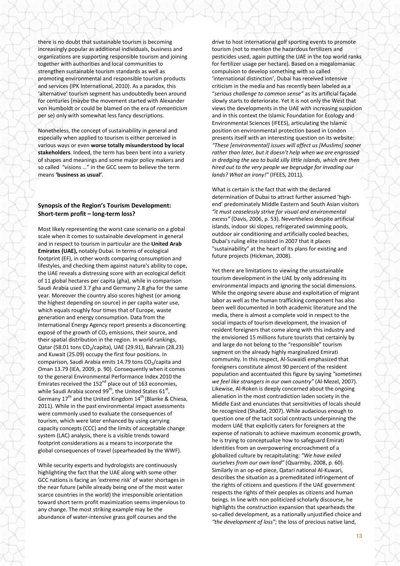there is no doubt that sustainable tourism is becoming increasingly popular as additional individuals, business and organizations are supporting responsible tourism and joining together with authorities and local communities to strengthen sustainable tourism standards as well as promoting environmental and responsible tourism products and services (IPK International, 2010). As a paradox, this 'alternative' tourism segment has undoubtedly been around for centuries (maybe the movement started with Alexander von Humboldt or could be blamed on the era of romanticism per se) only with somewhat less fancy descriptions.

Nonetheless, the concept of sustainability in general and especially when applied to tourism is either perceived in various ways or even worse totally misunderstood by local stakeholders. Indeed, the term has been bent into a variety of shapes and meanings and some major policy makers and so called "visions …" in the GCC seem to believe the term means 'business as usual'.

#### Synopsis of the Region's Tourism Development: Short-term profit – long-term loss?

Most likely representing the worst case scenario on a global scale when it comes to sustainable development in general and in respect to tourism in particular are the United Arab Emirates (UAE), notably Dubai. In terms of ecological footprint (EF), in other words comparing consumption and lifestyles, and checking them against nature's ability to cope, the UAE reveals a distressing score with an ecological deficit of 11 global hectares per capita (gha), while in comparison Saudi Arabia used 3.7 gha and Germany 2.8 gha for the same year. Moreover the country also scores highest (or among the highest depending on source) in per capita water use, which equals roughly four times that of Europe, waste generation and energy consumption. Data from the International Energy Agency report presents a disconcerting exposé of the growth of  $CO<sub>2</sub>$  emissions, their source, and their spatial distribution in the region. In world rankings, Qatar (58.01 tons  $CO<sub>2</sub>/capita)$ , UAE (29.91), Bahrain (28.23) and Kuwait (25.09) occupy the first four positions. In comparison, Saudi Arabia emits 14.79 tons  $CO<sub>2</sub>/capita$  and Oman 13.79 (IEA, 2009, p. 90). Consequently when it comes to the general Environmental Performance Index 2010 the Emirates received the 152<sup>nd</sup> place out of 163 economies, while Saudi Arabia scored 99<sup>th</sup>, the United States 61<sup>st</sup> , Germany  $17^{th}$  and the United Kingdom  $14^{th}$  (Blanke & Chiesa, 2011). While in the past environmental impact assessments were commonly used to evaluate the consequences of tourism, which were later enhanced by using carrying capacity concepts (CCC) and the limits of acceptable change system (LAC) analysis, there is a visible trends toward footprint considerations as a means to incorporate the global consequences of travel (spearheaded by the WWF).

While security experts and hydrologists are continuously highlighting the fact that the UAE along with some other GCC nations is facing an 'extreme risk' of water shortages in the near future (while already being one of the most water scarce countries in the world) the irresponsible orientation toward short term profit maximization seems impervious to any change. The most striking example may be the abundance of water-intensive grass golf courses and the

drive to host international golf sporting events to promote tourism (not to mention the hazardous fertilizers and pesticides used, again putting the UAE in the top world ranks for fertilizer usage per hectare). Based on a megalomaniac compulsion to develop something with so called 'international distinction', Dubai has received intensive criticism in the media and has recently been labeled as a "serious challenge to common sense" as its artificial façade slowly starts to deteriorate. Yet it is not only the West that views the developments in the UAE with increasing suspicion and in this context the Islamic Foundation for Ecology and Environmental Sciences (IFEES), articulating the Islamic position on environmental protection based in London presents itself with an interesting question on its website: "These [environmental] issues will affect us [Muslims] sooner rather than later, but it doesn't help when we are engrossed in dredging the sea to build silly little islands, which are then hired out to the very people we begrudge for invading our lands? What an irony!" (IFEES, 2011).

What is certain is the fact that with the declared determination of Dubai to attract further assumed 'highend' predominately Middle Eastern and South Asian visitors "it must ceaselessly strive for visual and environmental excess" (Davis, 2006, p. 53). Nevertheless despite artificial islands, indoor ski slopes, refrigerated swimming pools, outdoor air conditioning and artificially cooled beaches, Dubai's ruling elite insisted in 2007 that it places "sustainability" at the heart of its plans for existing and future projects (Hickman, 2008).

Yet there are limitations to viewing the unsustainable tourism development in the UAE by only addressing its environmental impacts and ignoring the social dimensions. While the ongoing severe abuse and exploitation of migrant labor as well as the human trafficking component has also been well documented in both academic literature and the media, there is almost a complete void in respect to the social impacts of tourism development, the invasion of resident foreigners that come along with this industry and the envisioned 15 millions future tourists that certainly by and large do not belong to the "responsible" tourism segment on the already highly marginalized Emirati community. In this respect, Al-Suwaidi emphasized that foreigners constitute almost 90 percent of the resident population and accentuated this figure by saying "sometimes we feel like strangers in our own country" (Al-Mezel, 2007). Likewise, Al-Roken is deeply concerned about the ongoing alienation in the most contradiction laden society in the Middle East and enunciates that sensitivities of locals should be recognized (Shadid, 2007). While audacious enough to question one of the tacit social contracts underpinning the modern UAE that explicitly caters for foreigners at the expense of nationals to achieve maximum economic growth, he is trying to conceptualize how to safeguard Emirati identities from an overpowering encroachment of a globalized culture by recapitulating: "We have exiled ourselves from our own land" (Quarmby, 2008, p. 60). Similarly in an op-ed piece, Qatari national Al-Kuwari, describes the situation as a premeditated infringement of the rights of citizens and questions if the UAE government respects the rights of their peoples as citizens and human beings. In line with non politicized scholarly discourse, he highlights the construction expansion that spearheads the so-called development, as a nationally unjustified choice and "the development of loss"; the loss of precious native land,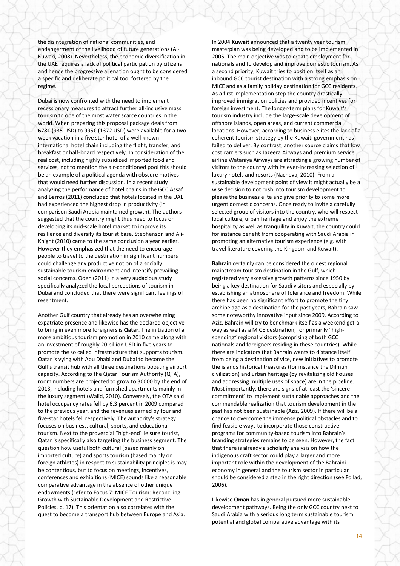the disintegration of national communities, and endangerment of the livelihood of future generations (Al-Kuwari, 2008). Nevertheless, the economic diversification in the UAE requires a lack of political participation by citizens and hence the progressive alienation ought to be considered a specific and deliberate political tool fostered by the regime. Dubai is now confronted with the need to implement recessionary measures to attract further all-inclusive mass tourism to one of the most water scarce countries in the world. When preparing this proposal package deals from 678€ (935 USD) to 995€ (1372 USD) were available for a two week vacation in a five star hotel of a well known international hotel chain including the flight, transfer, and breakfast or half-board respectively. In consideration of the real cost, including highly subsidized imported food and services, not to mention the air-conditioned pool this should be an example of a political agenda with obscure motives that would need further discussion. In a recent study analyzing the performance of hotel chains in the GCC Assaf and Barros (2011) concluded that hotels located in the UAE had experienced the highest drop in productivity (in comparison Saudi Arabia maintained growth). The authors suggested that the country might thus need to focus on developing its mid-scale hotel market to improve its resilience and diversify its tourist base. Stephenson and Ali-Knight (2010) came to the same conclusion a year earlier. However they emphasized that the need to encourage people to travel to the destination in significant numbers could challenge any productive notion of a socially sustainable tourism environment and intensify prevailing social concerns. Odeh (2011) in a very audacious study specifically analyzed the local perceptions of tourism in Dubai and concluded that there were significant feelings of resentment.

> Another Gulf country that already has an overwhelming expatriate presence and likewise has the declared objective to bring in even more foreigners is Qatar. The initiation of a more ambitious tourism promotion in 2010 came along with an investment of roughly 20 billion USD in five years to promote the so called infrastructure that supports tourism. Qatar is vying with Abu Dhabi and Dubai to become the Gulf's transit hub with all three destinations boosting airport capacity. According to the Qatar Tourism Authority (QTA), room numbers are projected to grow to 30000 by the end of 2013, including hotels and furnished apartments mainly in the luxury segment (Walid, 2010). Conversely, the QTA said hotel occupancy rates fell by 6.3 percent in 2009 compared to the previous year, and the revenues earned by four and five-star hotels fell respectively. The authority's strategy focuses on business, cultural, sports, and educational tourism. Next to the proverbial "high-end" leisure tourist, Qatar is specifically also targeting the business segment. The question how useful both cultural (based mainly on imported culture) and sports tourism (based mainly on foreign athletes) in respect to sustainability principles is may be contentious, but to focus on meetings, incentives, conferences and exhibitions (MICE) sounds like a reasonable comparative advantage in the absence of other unique endowments (refer to Focus 7: MICE Tourism: Reconciling Growth with Sustainable Development and Restrictive Policies. p. 17). This orientation also correlates with the quest to become a transport hub between Europe and Asia.

In 2004 Kuwait announced that a twenty year tourism masterplan was being developed and to be implemented in 2005. The main objective was to create employment for nationals and to develop and improve domestic tourism. As a second priority, Kuwait tries to position itself as an inbound GCC tourist destination with a strong emphasis on MICE and as a family holiday destination for GCC residents. As a first implementation step the country drastically improved immigration policies and provided incentives for foreign investment. The longer-term plans for Kuwait's tourism industry include the large-scale development of offshore islands, open areas, and current commercial locations. However, according to business elites the lack of a coherent tourism strategy by the Kuwaiti government has failed to deliver. By contrast, another source claims that low cost carriers such as Jazeera Airways and premium service airline Wataniya Airways are attracting a growing number of visitors to the country with its ever-increasing selection of luxury hotels and resorts (Nacheva, 2010). From a sustainable development point of view it might actually be a wise decision to not rush into tourism development to please the business elite and give priority to some more urgent domestic concerns. Once ready to invite a carefully selected group of visitors into the country, who will respect local culture, urban heritage and enjoy the extreme hospitality as well as tranquility in Kuwait, the country could for instance benefit from cooperating with Saudi Arabia in promoting an alternative tourism experience (e.g. with travel literature covering the Kingdom and Kuwait).

Bahrain certainly can be considered the oldest regional mainstream tourism destination in the Gulf, which registered very excessive growth patterns since 1950 by being a key destination for Saudi visitors and especially by establishing an atmosphere of tolerance and freedom. While there has been no significant effort to promote the tiny archipelago as a destination for the past years, Bahrain saw some noteworthy innovative input since 2009. According to Aziz, Bahrain will try to benchmark itself as a weekend get-away as well as a MICE destination, for primarily "highspending" regional visitors (comprising of both GCC nationals and foreigners residing in these countries). While there are indicators that Bahrain wants to distance itself from being a destination of vice, new initiatives to promote the islands historical treasures (for instance the Dilmun civilization) and urban heritage (by revitalizing old houses and addressing multiple uses of space) are in the pipeline. Most importantly, there are signs of at least the 'sincere commitment' to implement sustainable approaches and the commendable realization that tourism development in the past has not been sustainable (Aziz, 2009). If there will be a chance to overcome the immense political obstacles and to find feasible ways to incorporate those constructive programs for community-based tourism into Bahrain's branding strategies remains to be seen. However, the fact that there is already a scholarly analysis on how the indigenous craft sector could play a larger and more important role within the development of the Bahraini economy in general and the tourism sector in particular should be considered a step in the right direction (see Follad, 2006).

Likewise Oman has in general pursued more sustainable development pathways. Being the only GCC country next to Saudi Arabia with a serious long term sustainable tourism potential and global comparative advantage with its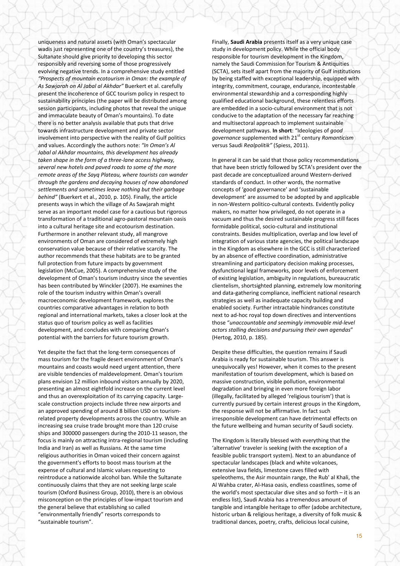uniqueness and natural assets (with Oman's spectacular wadis just representing one of the country's treasures), the Sultanate should give priority to developing this sector responsibly and reversing some of those progressively evolving negative trends. In a comprehensive study entitled "Prospects of mountain ecotourism in Oman: the example of As Sawjarah on Al Jabal al Akhdar" Buerkert et al. carefully present the incoherence of GCC tourism policy in respect to sustainability principles (the paper will be distributed among session participants, including photos that reveal the unique and immaculate beauty of Oman's mountains). To date there is no better analysis available that puts that drive towards infrastructure development and private sector involvement into perspective with the reality of Gulf politics and values. Accordingly the authors note: "In Oman's Al Jabal al Akhdar mountains, this development has already taken shape in the form of a three-lane access highway, several new hotels and paved roads to some of the more remote areas of the Sayq Plateau, where tourists can wander through the gardens and decaying houses of now abandoned settlements and sometimes leave nothing but their garbage behind" (Buerkert et al., 2010, p. 105). Finally, the article presents ways in which the village of As Sawjarah might serve as an important model case for a cautious but rigorous transformation of a traditional agro-pastoral mountain oasis into a cultural heritage site and ecotourism destination. Furthermore in another relevant study, all mangrove environments of Oman are considered of extremely high conservation value because of their relative scarcity. The author recommends that these habitats are to be granted full protection from future impacts by government legislation (McCue, 2005). A comprehensive study of the development of Oman's tourism industry since the seventies has been contributed by Winckler (2007). He examines the role of the tourism industry within Oman's overall macroeconomic development framework, explores the countries comparative advantages in relation to both regional and international markets, takes a closer look at the status quo of tourism policy as well as facilities development, and concludes with comparing Oman's potential with the barriers for future tourism growth. Yet despite the fact that the long-term consequences of mass tourism for the fragile desert environment of Oman's mountains and coasts would need urgent attention, there are visible tendencies of maldevelopment. Oman's tourism

plans envision 12 million inbound visitors annually by 2020, presenting an almost eightfold increase on the current level and thus an overexploitation of its carrying capacity. Largescale construction projects include three new airports and an approved spending of around 8 billion USD on tourismrelated property developments across the country. While an increasing sea cruise trade brought more than 120 cruise ships and 300000 passengers during the 2010-11 season, the focus is mainly on attracting intra-regional tourism (including India and Iran) as well as Russians. At the same time religious authorities in Oman voiced their concern against the government's efforts to boost mass tourism at the expense of cultural and Islamic values requesting to reintroduce a nationwide alcohol ban. While the Sultanate continuously claims that they are not seeking large scale tourism (Oxford Business Group, 2010), there is an obvious misconception on the principles of low-impact tourism and the general believe that establishing so called "environmentally friendly" resorts corresponds to "sustainable tourism".

Finally, Saudi Arabia presents itself as a very unique case study in development policy. While the official body responsible for tourism development in the Kingdom, namely the Saudi Commission for Tourism & Antiquities (SCTA), sets itself apart from the majority of Gulf institutions by being staffed with exceptional leadership, equipped with integrity, commitment, courage, endurance, incontestable environmental stewardship and a corresponding highly qualified educational background, these relentless efforts are embedded in a socio-cultural environment that is not conducive to the adaptation of the necessary far reaching and multisectoral approach to implement sustainable development pathways. In short: "Ideologies of good *aovernance* supplemented with 21<sup>st</sup> century *Romanticism* versus Saudi Realpolitik" (Spiess, 2011).

In general it can be said that those policy recommendations that have been strictly followed by SCTA's president over the past decade are conceptualized around Western-derived standards of conduct. In other words, the normative concepts of 'good governance' and 'sustainable development' are assumed to be adopted by and applicable in non-Western politico-cultural contexts. Evidently policy makers, no matter how privileged, do not operate in a vacuum and thus the desired sustainable progress still faces formidable political, socio-cultural and institutional constraints. Besides multiplication, overlap and low level of integration of various state agencies, the political landscape in the Kingdom as elsewhere in the GCC is still characterized by an absence of effective coordination, administrative streamlining and participatory decision making processes, dysfunctional legal frameworks, poor levels of enforcement of existing legislation, ambiguity in regulations, bureaucratic clientelism, shortsighted planning, extremely low monitoring and data-gathering compliance, inefficient national research strategies as well as inadequate capacity building and enabled society. Further intractable hindrances constitute next to ad-hoc royal top down directives and interventions those "unaccountable and seemingly immovable mid-level actors stalling decisions and pursuing their own agendas" (Hertog, 2010, p. 185).

Despite these difficulties, the question remains if Saudi Arabia is ready for sustainable tourism. This answer is unequivocally yes! However, when it comes to the present manifestation of tourism development, which is based on massive construction, visible pollution, environmental degradation and bringing in even more foreign labor (illegally, facilitated by alleged 'religious tourism') that is currently pursued by certain interest groups in the Kingdom, the response will not be affirmative. In fact such irresponsible development can have detrimental effects on the future wellbeing and human security of Saudi society.

The Kingdom is literally blessed with everything that the 'alternative' traveler is seeking (with the exception of a feasible public transport system). Next to an abundance of spectacular landscapes (black and white volcanoes, extensive lava fields, limestone caves filled with speleothems, the Asir mountain range, the Rub' al Khali, the Al Wahba crater, Al-Hasa oasis, endless coastlines, some of the world's most spectacular dive sites and so forth – it is an endless list), Saudi Arabia has a tremendous amount of tangible and intangible heritage to offer (adobe architecture, historic urban & religious heritage, a diversity of folk music & traditional dances, poetry, crafts, delicious local cuisine,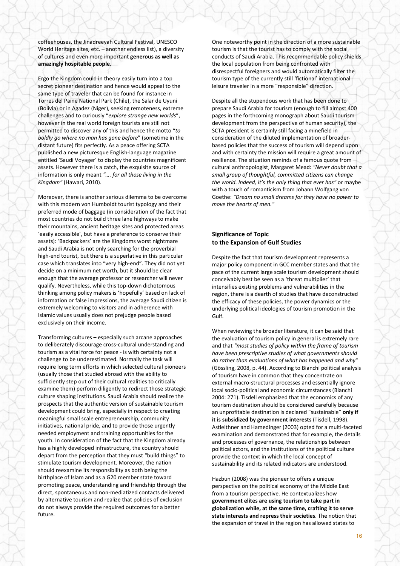same type of traveler that can be found for instance in Torres del Paine National Park (Chile), the Salar de Uyuni (Bolivia) or in Agadez (Niger), seeking remoteness, extreme challenges and to curiously "explore strange new worlds", however in the real world foreign tourists are still not permitted to discover any of this and hence the motto "to boldly go where no man has gone before" (sometime in the distant future) fits perfectly. As a peace offering SCTA published a new picturesque English-language magazine entitled 'Saudi Voyager' to display the countries magnificent assets. However there is a catch, the exquisite source of information is only meant "…. for all those living in the Kingdom" (Hawari, 2010).

Moreover, there is another serious dilemma to be overcome with this modern von Humboldt tourist typology and their preferred mode of baggage (in consideration of the fact that most countries do not build three lane highways to make their mountains, ancient heritage sites and protected areas 'easily accessible', but have a preference to conserve their assets): 'Backpackers' are the Kingdoms worst nightmare and Saudi Arabia is not only searching for the proverbial high-end tourist, but there is a superlative in this particular case which translates into "very high-end". They did not yet decide on a minimum net worth, but it should be clear enough that the average professor or researcher will never qualify. Nevertheless, while this top-down dichotomous thinking among policy makers is 'hopefully' based on lack of information or false impressions, the average Saudi citizen is extremely welcoming to visitors and in adherence with Islamic values usually does not prejudge people based exclusively on their income.

Transforming cultures – especially such arcane approaches to deliberately discourage cross-cultural understanding and tourism as a vital force for peace - is with certainty not a challenge to be underestimated. Normally the task will require long term efforts in which selected cultural pioneers (usually those that studied abroad with the ability to sufficiently step out of their cultural realities to critically examine them) perform diligently to redirect those strategic culture shaping institutions. Saudi Arabia should realize the prospects that the authentic version of sustainable tourism development could bring, especially in respect to creating meaningful small scale entrepreneurship, community initiatives, national pride, and to provide those urgently needed employment and training opportunities for the youth. In consideration of the fact that the Kingdom already has a highly developed infrastructure, the country should depart from the perception that they must "build things" to stimulate tourism development. Moreover, the nation should reexamine its responsibility as both being the birthplace of Islam and as a G20 member state toward promoting peace, understanding and friendship through the direct, spontaneous and non-mediatized contacts delivered by alternative tourism and realize that policies of exclusion do not always provide the required outcomes for a better future.

One noteworthy point in the direction of a more sustainable tourism is that the tourist has to comply with the social conducts of Saudi Arabia. This recommendable policy shields the local population from being confronted with disrespectful foreigners and would automatically filter the tourism type of the currently still 'fictional' international leisure traveler in a more "responsible" direction.

Despite all the stupendous work that has been done to prepare Saudi Arabia for tourism (enough to fill almost 400 pages in the forthcoming monograph about Saudi tourism development from the perspective of human security), the SCTA president is certainly still facing a minefield in consideration of the diluted implementation of broaderbased policies that the success of tourism will depend upon and with certainty the mission will require a great amount of resilience. The situation reminds of a famous quote from cultural anthropologist, Margaret Mead: "Never doubt that a small group of thoughtful, committed citizens can change the world. Indeed, it's the only thing that ever has" or maybe with a touch of romanticism from Johann Wolfgang von Goethe: "Dream no small dreams for they have no power to move the hearts of men."

### Significance of Topic to the Expansion of Gulf Studies

Despite the fact that tourism development represents a major policy component in GCC member states and that the pace of the current large scale tourism development should conceivably best be seen as a 'threat multiplier' that intensifies existing problems and vulnerabilities in the region, there is a dearth of studies that have deconstructed the efficacy of these policies, the power dynamics or the underlying political ideologies of tourism promotion in the Gulf.

When reviewing the broader literature, it can be said that the evaluation of tourism policy in general is extremely rare and that "most studies of policy within the frame of tourism have been prescriptive studies of what governments should do rather than evaluations of what has happened and why" (Gössling, 2008, p. 44). According to Bianchi political analysis of tourism have in common that they concentrate on external macro-structural processes and essentially ignore local socio-political and economic circumstances (Bianchi 2004: 271). Tisdell emphasized that the economics of any tourism destination should be considered carefully because an unprofitable destination is declared "sustainable" only if it is subsidized by government interests (Tisdell, 1998). Astleithner and Hamedinger (2003) opted for a multi-faceted examination and demonstrated that for example, the details and processes of governance, the relationships between political actors, and the institutions of the political culture provide the context in which the local concept of sustainability and its related indicators are understood.

Hazbun (2008) was the pioneer to offers a unique perspective on the political economy of the Middle East from a tourism perspective. He contextualizes how government elites are using tourism to take part in globalization while, at the same time, crafting it to serve state interests and repress their societies. The notion that the expansion of travel in the region has allowed states to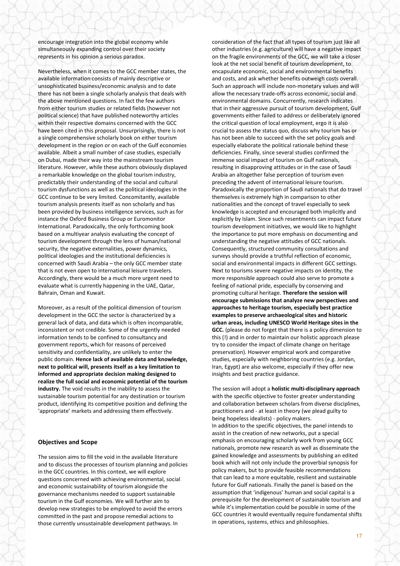encourage integration into the global economy while simultaneously expanding control over their society represents in his opinion a serious paradox.

Nevertheless, when it comes to the GCC member states, the available information consists of mainly descriptive or unsophisticated business/economic analysis and to date there has not been a single scholarly analysis that deals with the above mentioned questions. In fact the few authors from either tourism studies or related fields (however not political science) that have published noteworthy articles within their respective domains concerned with the GCC have been cited in this proposal. Unsurprisingly, there is not a single comprehensive scholarly book on either tourism development in the region or on each of the Gulf economies available. Albeit a small number of case studies, especially on Dubai, made their way into the mainstream tourism literature. However, while these authors obviously displayed a remarkable knowledge on the global tourism industry, predictably their understanding of the social and cultural tourism dysfunctions as well as the political ideologies in the GCC continue to be very limited. Concomitantly, available tourism analysis presents itself as non scholarly and has been provided by business intelligence services, such as for instance the Oxford Business Group or Euromonitor International. Paradoxically, the only forthcoming book based on a multiyear analysis evaluating the concept of tourism development through the lens of human/national security, the negative externalities, power dynamics, political ideologies and the institutional deficiencies is concerned with Saudi Arabia – the only GCC member state that is not even open to international leisure travelers. Accordingly, there would be a much more urgent need to evaluate what is currently happening in the UAE, Qatar, Bahrain, Oman and Kuwait.

Moreover, as a result of the political dimension of tourism development in the GCC the sector is characterized by a general lack of data, and data which is often incomparable, inconsistent or not credible. Some of the urgently needed information tends to be confined to consultancy and government reports, which for reasons of perceived sensitivity and confidentiality, are unlikely to enter the public domain. Hence lack of available data and knowledge, next to political will, presents itself as a key limitation to informed and appropriate decision making designed to realize the full social and economic potential of the tourism industry. The void results in the inability to assess the sustainable tourism potential for any destination or tourism product, identifying its competitive position and defining the 'appropriate' markets and addressing them effectively.

### Objectives and Scope

The session aims to fill the void in the available literature and to discuss the processes of tourism planning and policies in the GCC countries. In this context, we will explore questions concerned with achieving environmental, social and economic sustainability of tourism alongside the governance mechanisms needed to support sustainable tourism in the Gulf economies. We will further aim to develop new strategies to be employed to avoid the errors committed in the past and propose remedial actions to those currently unsustainable development pathways. In

consideration of the fact that all types of tourism just like all other industries (e.g. agriculture) will have a negative impact on the fragile environments of the GCC, we will take a closer look at the net social benefit of tourism development, to encapsulate economic, social and environmental benefits and costs, and ask whether benefits outweigh costs overall. Such an approach will include non-monetary values and will allow the necessary trade-offs across economic, social and environmental domains. Concurrently, research indicates that in their aggressive pursuit of tourism development, Gulf governments either failed to address or deliberately ignored the critical question of local employment, ergo it is also crucial to assess the status quo, discuss why tourism has or has not been able to succeed with the set policy goals and especially elaborate the political rationale behind these deficiencies. Finally, since several studies confirmed the immense social impact of tourism on Gulf nationals, resulting in disapproving attitudes or in the case of Saudi Arabia an altogether false perception of tourism even preceding the advent of international leisure tourism. Paradoxically the proportion of Saudi nationals that do travel themselves is extremely high in comparison to other nationalities and the concept of travel especially to seek knowledge is accepted and encouraged both implicitly and explicitly by Islam. Since such resentments can impact future tourism development initiatives, we would like to highlight the importance to put more emphasis on documenting and understanding the negative attitudes of GCC nationals. Consequently, structured community consultations and surveys should provide a truthful reflection of economic, social and environmental impacts in different GCC settings. Next to tourisms severe negative impacts on identity, the more responsible approach could also serve to promote a feeling of national pride, especially by conserving and promoting cultural heritage. Therefore the session will encourage submissions that analyze new perspectives and approaches to heritage tourism, especially best practice examples to preserve archaeological sites and historic urban areas, including UNESCO World Heritage sites in the GCC. (please do not forget that there is a policy dimension to this (!) and in order to maintain our holistic approach please try to consider the impact of climate change on heritage preservation). However empirical work and comparative studies, especially with neighboring countries (e.g. Jordan, Iran, Egypt) are also welcome, especially if they offer new insights and best practice guidance.

The session will adopt a **holistic multi-disciplinary approach** with the specific objective to foster greater understanding and collaboration between scholars from diverse disciplines, practitioners and - at least in theory (we plead guilty to being hopeless idealists) - policy makers. In addition to the specific objectives, the panel intends to assist in the creation of new networks, put a special emphasis on encouraging scholarly work from young GCC nationals, promote new research as well as disseminate the gained knowledge and assessments by publishing an edited book which will not only include the proverbial synopsis for policy makers, but to provide feasible recommendations that can lead to a more equitable, resilient and sustainable future for Gulf nationals. Finally the panel is based on the assumption that 'indigenous' human and social capital is a prerequisite for the development of sustainable tourism and while it's implementation could be possible in some of the GCC countries it would eventually require fundamental shifts in operations, systems, ethics and philosophies.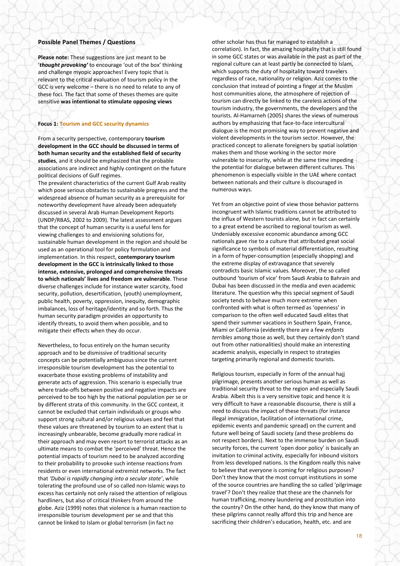#### Possible Panel Themes / Questions

Please note: These suggestions are just meant to be 'thought provoking' to encourage 'out of the box' thinking and challenge myopic approaches! Every topic that is relevant to the critical evaluation of tourism policy in the GCC is very welcome – there is no need to relate to any of these foci. The fact that some of theses themes are quite sensitive was intentional to stimulate opposing views

#### Focus 1: Tourism and GCC security dynamics

From a security perspective, contemporary tourism development in the GCC should be discussed in terms of both human security and the established field of security studies, and it should be emphasized that the probable associations are indirect and highly contingent on the future political decisions of Gulf regimes.

The prevalent characteristics of the current Gulf Arab reality which pose serious obstacles to sustainable progress and the widespread absence of human security as a prerequisite for noteworthy development have already been adequately discussed in several Arab Human Development Reports (UNDP/RBAS, 2002 to 2009). The latest assessment argues that the concept of human security is a useful lens for viewing challenges to and envisioning solutions for, sustainable human development in the region and should be used as an operational tool for policy formulation and implementation. In this respect, contemporary tourism development in the GCC is intrinsically linked to those intense, extensive, prolonged and comprehensive threats to which nationals' lives and freedom are vulnerable. These diverse challenges include for instance water scarcity, food security, pollution, desertification, (youth) unemployment, public health, poverty, oppression, inequity, demographic imbalances, loss of heritage/identity and so forth. Thus the human security paradigm provides an opportunity to identify threats, to avoid them when possible, and to mitigate their effects when they do occur.

Nevertheless, to focus entirely on the human security approach and to be dismissive of traditional security concepts can be potentially ambiguous since the current irresponsible tourism development has the potential to exacerbate those existing problems of instability and generate acts of aggression. This scenario is especially true where trade-offs between positive and negative impacts are perceived to be too high by the national population per se or by different strata of this community. In the GCC context, it cannot be excluded that certain individuals or groups who support strong cultural and/or religious values and feel that these values are threatened by tourism to an extent that is increasingly unbearable, become gradually more radical in their approach and may even resort to terrorist attacks as an ultimate means to combat the 'perceived' threat. Hence the potential impacts of tourism need to be analyzed according to their probability to provoke such intense reactions from residents or even international extremist networks. The fact that 'Dubai is rapidly changing into a secular state', while tolerating the profound use of so called non-Islamic ways to excess has certainly not only raised the attention of religious hardliners, but also of critical thinkers from around the globe. Aziz (1999) notes that violence is a human reaction to irresponsible tourism development per se and that this cannot be linked to Islam or global terrorism (in fact no

other scholar has thus far managed to establish a correlation). In fact, the amazing hospitality that is still found in some GCC states or was available in the past as part of the regional culture can at least partly be connected to Islam, which supports the duty of hospitality toward travelers regardless of race, nationality or religion. Aziz comes to the conclusion that instead of pointing a finger at the Muslim host communities alone, the atmosphere of rejection of tourism can directly be linked to the careless actions of the tourism industry, the governments, the developers and the tourists. Al-Hamarneh (2005) shares the views of numerous authors by emphasizing that face-to-face intercultural dialogue is the most promising way to prevent negative and violent developments in the tourism sector. However, the practiced concept to alienate foreigners by spatial isolation makes them and those working in the sector more vulnerable to insecurity, while at the same time impeding the potential for dialogue between different cultures. This phenomenon is especially visible in the UAE where contact between nationals and their culture is discouraged in numerous ways.

Yet from an objective point of view those behavior patterns incongruent with Islamic traditions cannot be attributed to the influx of Western tourists alone, but in fact can certainly to a great extend be ascribed to regional tourism as well. Undeniably excessive economic abundance among GCC nationals gave rise to a culture that attributed great social significance to symbols of material differentiation, resulting in a form of hyper-consumption (especially shopping) and the extreme display of extravagance that severely contradicts basic Islamic values. Moreover, the so called outbound 'tourism of vice' from Saudi Arabia to Bahrain and Dubai has been discussed in the media and even academic literature. The question why this special segment of Saudi society tends to behave much more extreme when confronted with what is often termed as 'openness' in comparison to the often well educated Saudi elites that spend their summer vacations in Southern Spain, France, Miami or California (evidently there are a few enfants terribles among those as well, but they certainly don't stand out from other nationalities) should make an interesting academic analysis, especially in respect to strategies targeting primarily regional and domestic tourists.

Religious tourism, especially in form of the annual hajj pilgrimage, presents another serious human as well as traditional security threat to the region and especially Saudi Arabia. Albeit this is a very sensitive topic and hence it is very difficult to have a reasonable discourse, there is still a need to discuss the impact of these threats (for instance illegal immigration, facilitation of international crime, epidemic events and pandemic spread) on the current and future well being of Saudi society (and these problems do not respect borders). Next to the immense burden on Saudi security forces, the current 'open door policy' is basically an invitation to criminal activity, especially for inbound visitors from less developed nations. Is the Kingdom really this naïve to believe that everyone is coming for religious purposes? Don't they know that the most corrupt institutions in some of the source countries are handling the so called 'pilgrimage travel'? Don't they realize that these are the channels for human trafficking, money laundering and prostitution into the country? On the other hand, do they know that many of these pilgrims cannot really afford this trip and hence are sacrificing their children's education, health, etc. and are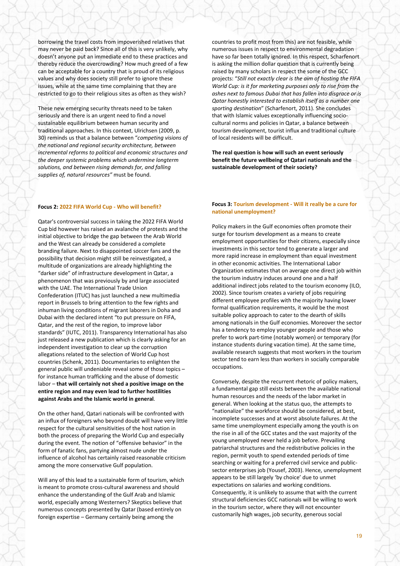borrowing the travel costs from impoverished relatives that may never be paid back? Since all of this is very unlikely, why doesn't anyone put an immediate end to these practices and thereby reduce the overcrowding? How much greed of a few can be acceptable for a country that is proud of its religious values and why does society still prefer to ignore these issues, while at the same time complaining that they are restricted to go to their religious sites as often as they wish?

These new emerging security threats need to be taken seriously and there is an urgent need to find a novel sustainable equilibrium between human security and traditional approaches. In this context, Ulrichsen (2009, p. 30) reminds us that a balance between "competing visions of the national and regional security architecture, between incremental reforms to political and economic structures and the deeper systemic problems which undermine longterm solutions, and between rising demands for, and falling supplies of, natural resources" must be found.

countries to profit most from this) are not feasible, while numerous issues in respect to environmental degradation have so far been totally ignored. In this respect, Scharfenort is asking the million dollar question that is currently being raised by many scholars in respect the some of the GCC projects: "Still not exactly clear is the aim of hosting the FIFA World Cup: is it for marketing purposes only to rise from the ashes next to famous Dubai that has fallen into disgrace or is Qatar honestly interested to establish itself as a number one sporting destination" (Scharfenort, 2011). She concludes that with Islamic values exceptionally influencing sociocultural norms and policies in Qatar, a balance between tourism development, tourist influx and traditional culture of local residents will be difficult.

The real question is how will such an event seriously benefit the future wellbeing of Qatari nationals and the sustainable development of their society?

#### Focus 2: 2022 FIFA World Cup - Who will benefit?

Qatar's controversial success in taking the 2022 FIFA World Cup bid however has raised an avalanche of protests and the initial objective to bridge the gap between the Arab World and the West can already be considered a complete branding failure. Next to disappointed soccer fans and the possibility that decision might still be reinvestigated, a multitude of organizations are already highlighting the "darker side" of infrastructure development in Qatar, a phenomenon that was previously by and large associated with the UAE. The International Trade Union Confederation (ITUC) has just launched a new multimedia report in Brussels to bring attention to the few rights and inhuman living conditions of migrant laborers in Doha and Dubai with the declared intent "to put pressure on FIFA, Qatar, and the rest of the region, to improve labor standards" (IUTC, 2011). Transparency International has also just released a new publication which is clearly asking for an independent investigation to clear up the corruption allegations related to the selection of World Cup host countries (Schenk, 2011). Documentaries to enlighten the general public will undeniable reveal some of those topics – for instance human trafficking and the abuse of domestic labor – that will certainly not shed a positive image on the entire region and may even lead to further hostilities against Arabs and the Islamic world in general.

On the other hand, Qatari nationals will be confronted with an influx of foreigners who beyond doubt will have very little respect for the cultural sensitivities of the host nation in both the process of preparing the World Cup and especially during the event. The notion of "offensive behavior" in the form of fanatic fans, partying almost nude under the influence of alcohol has certainly raised reasonable criticism among the more conservative Gulf population.

Will any of this lead to a sustainable form of tourism, which is meant to promote cross-cultural awareness and should enhance the understanding of the Gulf Arab and Islamic world, especially among Westerners? Skeptics believe that numerous concepts presented by Qatar (based entirely on foreign expertise – Germany certainly being among the

#### Focus 3: Tourism development - Will it really be a cure for national unemployment?

Policy makers in the Gulf economies often promote their surge for tourism development as a means to create employment opportunities for their citizens, especially since investments in this sector tend to generate a larger and more rapid increase in employment than equal investment in other economic activities. The International Labor Organization estimates that on average one direct job within the tourism industry induces around one and a half additional indirect jobs related to the tourism economy (ILO, 2002). Since tourism creates a variety of jobs requiring different employee profiles with the majority having lower formal qualification requirements, it would be the most suitable policy approach to cater to the dearth of skills among nationals in the Gulf economies. Moreover the sector has a tendency to employ younger people and those who prefer to work part-time (notably women) or temporary (for instance students during vacation time). At the same time, available research suggests that most workers in the tourism sector tend to earn less than workers in socially comparable occupations.

Conversely, despite the recurrent rhetoric of policy makers, a fundamental gap still exists between the available national human resources and the needs of the labor market in general. When looking at the status quo, the attempts to "nationalize" the workforce should be considered, at best, incomplete successes and at worst absolute failures. At the same time unemployment especially among the youth is on the rise in all of the GCC states and the vast majority of the young unemployed never held a job before. Prevailing patriarchal structures and the redistributive policies in the region, permit youth to spend extended periods of time searching or waiting for a preferred civil service and publicsector enterprises job (Yousef, 2003). Hence, unemployment appears to be still largely 'by choice' due to unmet expectations on salaries and working conditions. Consequently, it is unlikely to assume that with the current structural deficiencies GCC nationals will be willing to work in the tourism sector, where they will not encounter customarily high wages, job security, generous social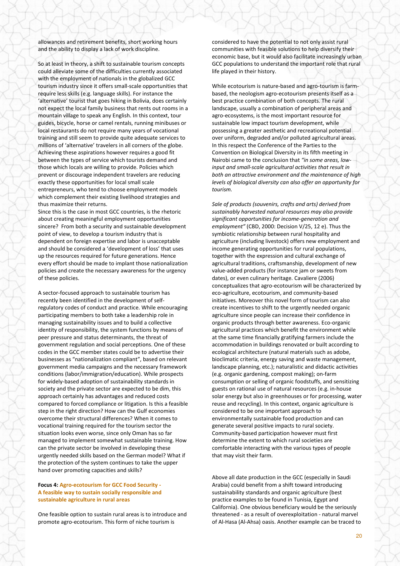allowances and retirement benefits, short working hours and the ability to display a lack of work discipline.

So at least in theory, a shift to sustainable tourism concepts could alleviate some of the difficulties currently associated with the employment of nationals in the globalized GCC tourism industry since it offers small-scale opportunities that require less skills (e.g. language skills). For instance the 'alternative' tourist that goes hiking in Bolivia, does certainly not expect the local family business that rents out rooms in a mountain village to speak any English. In this context, tour guides, bicycle, horse or camel rentals, running minibuses or local restaurants do not require many years of vocational training and still seem to provide quite adequate services to millions of 'alternative' travelers in all corners of the globe. Achieving these aspirations however requires a good fit between the types of service which tourists demand and those which locals are willing to provide. Policies which prevent or discourage independent travelers are reducing exactly these opportunities for local small scale entrepreneurs, who tend to choose employment models which complement their existing livelihood strategies and thus maximize their returns.

Since this is the case in most GCC countries, is the rhetoric about creating meaningful employment opportunities sincere? From both a security and sustainable development point of view, to develop a tourism industry that is dependent on foreign expertise and labor is unacceptable and should be considered a 'development of loss' that uses up the resources required for future generations. Hence every effort should be made to implant those nationalization policies and create the necessary awareness for the urgency of these policies.

A sector-focused approach to sustainable tourism has recently been identified in the development of selfregulatory codes of conduct and practice. While encouraging participating members to both take a leadership role in managing sustainability issues and to build a collective identity of responsibility, the system functions by means of peer pressure and status determinants, the threat of government regulation and social perceptions. One of these codes in the GCC member states could be to advertise their businesses as "nationalization compliant", based on relevant government media campaigns and the necessary framework conditions (labor/immigration/education). While prospects for widely-based adoption of sustainability standards in society and the private sector are expected to be dim, this approach certainly has advantages and reduced costs compared to forced compliance or litigation. Is this a feasible step in the right direction? How can the Gulf economies overcome their structural differences? When it comes to vocational training required for the tourism sector the situation looks even worse, since only Oman has so far managed to implement somewhat sustainable training. How can the private sector be involved in developing these urgently needed skills based on the German model? What if the protection of the system continues to take the upper hand over promoting capacities and skills?

#### Focus 4: Agro-ecotourism for GCC Food Security - A feasible way to sustain socially responsible and sustainable agriculture in rural areas

One feasible option to sustain rural areas is to introduce and promote agro-ecotourism. This form of niche tourism is

considered to have the potential to not only assist rural communities with feasible solutions to help diversify their economic base, but it would also facilitate increasingly urban GCC populations to understand the important role that rural life played in their history.

While ecotourism is nature-based and agro-tourism is farmbased, the neologism agro-ecotourism presents itself as a best practice combination of both concepts. The rural landscape, usually a combination of peripheral areas and agro-ecosystems, is the most important resource for sustainable low impact tourism development, while possessing a greater aesthetic and recreational potential over uniform, degraded and/or polluted agricultural areas. In this respect the Conference of the Parties to the Convention on Biological Diversity in its fifth meeting in Nairobi came to the conclusion that "in some areas, lowinput and small-scale agricultural activities that result in both an attractive environment and the maintenance of high levels of biological diversity can also offer an opportunity for tourism.

Sale of products (souvenirs, crafts and arts) derived from sustainably harvested natural resources may also provide significant opportunities for income-generation and employment" (CBD, 2000: Decision V/25, 12 e). Thus the symbiotic relationship between rural hospitality and agriculture (including livestock) offers new employment and income generating opportunities for rural populations, together with the expression and cultural exchange of agricultural traditions, craftsmanship, development of new value-added products (for instance jam or sweets from dates), or even culinary heritage. Cavaliere (2006) conceptualizes that agro-ecotourism will be characterized by eco-agriculture, ecotourism, and community-based initiatives. Moreover this novel form of tourism can also create incentives to shift to the urgently needed organic agriculture since people can increase their confidence in organic products through better awareness. Eco-organic agricultural practices which benefit the environment while at the same time financially gratifying farmers include the accommodation in buildings renovated or built according to ecological architecture (natural materials such as adobe, bioclimatic criteria, energy saving and waste management, landscape planning, etc.); naturalistic and didactic activities (e.g. organic gardening, compost making); on-farm consumption or selling of organic foodstuffs, and sensitizing guests on rational use of natural resources (e.g. in-house solar energy but also in greenhouses or for processing, water reuse and recycling). In this context, organic agriculture is considered to be one important approach to environmentally sustainable food production and can generate several positive impacts to rural society. Community-based participation however must first determine the extent to which rural societies are comfortable interacting with the various types of people that may visit their farm.

Above all date production in the GCC (especially in Saudi Arabia) could benefit from a shift toward introducing sustainability standards and organic agriculture (best practice examples to be found in Tunisia, Egypt and California). One obvious beneficiary would be the seriously threatened - as a result of overexploitation - natural marvel of Al-Hasa (Al-Ahsa) oasis. Another example can be traced to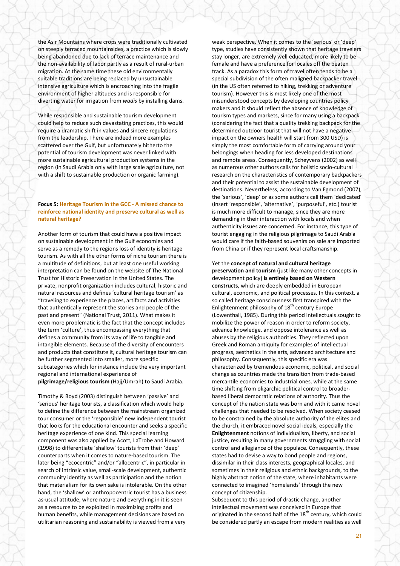the Asir Mountains where crops were traditionally cultivated on steeply terraced mountainsides, a practice which is slowly being abandoned due to lack of terrace maintenance and the non-availability of labor partly as a result of rural-urban migration. At the same time these old environmentally suitable traditions are being replaced by unsustainable intensive agriculture which is encroaching into the fragile environment of higher altitudes and is responsible for diverting water for irrigation from wadis by installing dams.

While responsible and sustainable tourism development could help to reduce such devastating practices, this would require a dramatic shift in values and sincere regulations from the leadership. There are indeed more examples scattered over the Gulf, but unfortunately hitherto the potential of tourism development was never linked with more sustainable agricultural production systems in the region (in Saudi Arabia only with large scale agriculture, not with a shift to sustainable production or organic farming).

#### Focus 5: Heritage Tourism in the GCC - A missed chance to reinforce national identity and preserve cultural as well as natural heritage?

Another form of tourism that could have a positive impact on sustainable development in the Gulf economies and serve as a remedy to the regions loss of identity is heritage tourism. As with all the other forms of niche tourism there is a multitude of definitions, but at least one useful working interpretation can be found on the website of The National Trust for Historic Preservation in the United States. The private, nonprofit organization includes cultural, historic and natural resources and defines 'cultural heritage tourism' as "traveling to experience the places, artifacts and activities that authentically represent the stories and people of the past and present" (National Trust, 2011). What makes it even more problematic is the fact that the concept includes the term 'culture', thus encompassing everything that defines a community from its way of life to tangible and intangible elements. Because of the diversity of encounters and products that constitute it, cultural heritage tourism can be further segmented into smaller, more specific subcategories which for instance include the very important regional and international experience of pilgrimage/religious tourism (Hajj/Umrah) to Saudi Arabia.

Timothy & Boyd (2003) distinguish between 'passive' and 'serious' heritage tourists, a classification which would help to define the difference between the mainstream organized tour consumer or the 'responsible' new independent tourist that looks for the educational encounter and seeks a specific heritage experience of one kind. This special learning component was also applied by Acott, LaTrobe and Howard (1998) to differentiate 'shallow' tourists from their 'deep' counterparts when it comes to nature-based tourism. The later being "ecocentric" and/or "allocentric", in particular in search of intrinsic value, small-scale development, authentic community identity as well as participation and the notion that materialism for its own sake is intolerable. On the other hand, the 'shallow' or anthropocentric tourist has a business as-usual attitude, where nature and everything in it is seen as a resource to be exploited in maximizing profits and human benefits, while management decisions are based on utilitarian reasoning and sustainability is viewed from a very

weak perspective. When it comes to the 'serious' or 'deep' type, studies have consistently shown that heritage travelers stay longer, are extremely well educated, more likely to be female and have a preference for locales off the beaten track. As a paradox this form of travel often tends to be a special subdivision of the often maligned backpacker travel (in the US often referred to hiking, trekking or adventure tourism). However this is most likely one of the most misunderstood concepts by developing countries policy makers and it should reflect the absence of knowledge of tourism types and markets, since for many using a backpack (considering the fact that a quality trekking backpack for the determined outdoor tourist that will not have a negative impact on the owners health will start from 300 USD) is simply the most comfortable form of carrying around your belongings when heading for less developed destinations and remote areas. Consequently, Scheyvens (2002) as well as numerous other authors calls for holistic socio-cultural research on the characteristics of contemporary backpackers and their potential to assist the sustainable development of destinations. Nevertheless, according to Van Egmond (2007), the 'serious', 'deep' or as some authors call them 'dedicated' (insert 'responsible', 'alternative', 'purposeful', etc.) tourist is much more difficult to manage, since they are more demanding in their interaction with locals and when authenticity issues are concerned. For instance, this type of tourist engaging in the religious pilgrimage to Saudi Arabia would care if the faith-based souvenirs on sale are imported from China or if they represent local craftsmanship.

Yet the concept of natural and cultural heritage preservation and tourism (just like many other concepts in development policy) is entirely based on Western constructs, which are deeply embedded in European cultural, economic, and political processes. In this context, a so called heritage consciousness first transpired with the Enlightenment philosophy of  $18<sup>th</sup>$  century Europe (Lowenthall, 1985). During this period intellectuals sought to mobilize the power of reason in order to reform society, advance knowledge, and oppose intolerance as well as abuses by the religious authorities. They reflected upon Greek and Roman antiquity for examples of intellectual progress, aesthetics in the arts, advanced architecture and philosophy. Consequently, this specific era was characterized by tremendous economic, political, and social change as countries made the transition from trade-based mercantile economies to industrial ones, while at the same time shifting from oligarchic political control to broaderbased liberal democratic relations of authority. Thus the concept of the nation state was born and with it came novel challenges that needed to be resolved. When society ceased to be constrained by the absolute authority of the elites and the church, it embraced novel social ideals, especially the Enlightenment notions of individualism, liberty, and social justice, resulting in many governments struggling with social control and allegiance of the populace. Consequently, these states had to devise a way to bond people and regions, dissimilar in their class interests, geographical locales, and sometimes in their religious and ethnic backgrounds, to the highly abstract notion of the state, where inhabitants were connected to imagined 'homelands' through the new concept of citizenship.

Subsequent to this period of drastic change, another intellectual movement was conceived in Europe that originated in the second half of the 18<sup>th</sup> century, which could be considered partly an escape from modern realities as well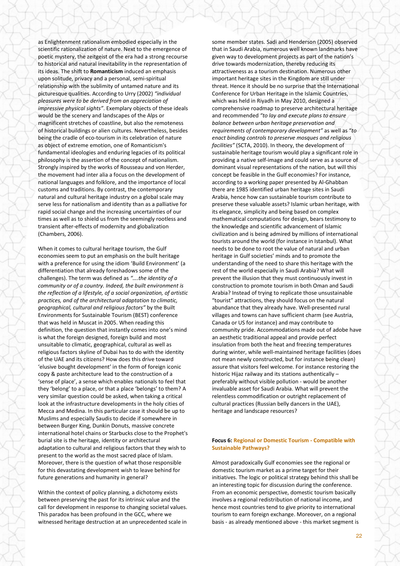as Enlightenment rationalism embodied especially in the scientific rationalization of nature. Next to the emergence of poetic mystery, the zeitgeist of the era had a strong recourse to historical and natural inevitability in the representation of its ideas. The shift to Romanticism induced an emphasis upon solitude, privacy and a personal, semi-spiritual relationship with the sublimity of untamed nature and its picturesque qualities. According to Urry (2002) "individual pleasures were to be derived from an appreciation of impressive physical sights". Exemplary objects of these ideals would be the scenery and landscapes of the Alps or magnificent stretches of coastline, but also the remoteness of historical buildings or alien cultures. Nevertheless, besides being the cradle of eco-tourism in its celebration of nature as object of extreme emotion, one of Romanticism's fundamental ideologies and enduring legacies of its political philosophy is the assertion of the concept of nationalism. Strongly inspired by the works of Rousseau and von Herder, the movement had inter alia a focus on the development of national languages and folklore, and the importance of local customs and traditions. By contrast, the contemporary natural and cultural heritage industry on a global scale may serve less for nationalism and identity than as a palliative for rapid social change and the increasing uncertainties of our times as well as to shield us from the seemingly rootless and transient after-effects of modernity and globalization (Chambers, 2006).

When it comes to cultural heritage tourism, the Gulf economies seem to put an emphasis on the built heritage with a preference for using the idiom 'Build Environment' (a differentiation that already foreshadows some of the challenges). The term was defined as "….the identity of a community or of a country. Indeed, the built environment is the reflection of a lifestyle, of a social organization, of artistic practices, and of the architectural adaptation to climatic, geographical, cultural and religious factors" by the Built Environments for Sustainable Tourism (BEST) conference that was held in Muscat in 2005. When reading this definition, the question that instantly comes into one's mind is what the foreign designed, foreign build and most unsuitable to climatic, geographical, cultural as well as religious factors skyline of Dubai has to do with the identity of the UAE and its citizens? How does this drive toward 'elusive bought development' in the form of foreign iconic copy & paste architecture lead to the construction of a 'sense of place', a sense which enables nationals to feel that they 'belong' to a place, or that a place 'belongs' to them? A very similar question could be asked, when taking a critical look at the infrastructure developments in the holy cities of Mecca and Medina. In this particular case it should be up to Muslims and especially Saudis to decide if somewhere in between Burger King, Dunkin Donuts, massive concrete international hotel chains or Starbucks close to the Prophet's burial site is the heritage, identity or architectural adaptation to cultural and religious factors that they wish to present to the world as the most sacred place of Islam. Moreover, there is the question of what those responsible for this devastating development wish to leave behind for future generations and humanity in general?

Within the context of policy planning, a dichotomy exists between preserving the past for its intrinsic value and the call for development in response to changing societal values. This paradox has been profound in the GCC, where we witnessed heritage destruction at an unprecedented scale in

some member states. Sadi and Henderson (2005) observed that in Saudi Arabia, numerous well known landmarks have given way to development projects as part of the nation's drive towards modernization, thereby reducing its attractiveness as a tourism destination. Numerous other important heritage sites in the Kingdom are still under threat. Hence it should be no surprise that the International Conference for Urban Heritage in the Islamic Countries, which was held in Riyadh in May 2010, designed a comprehensive roadmap to preserve architectural heritage and recommended "to lay and execute plans to ensure balance between urban heritage preservation and requirements of contemporary development" as well as "to enact binding controls to preserve mosques and religious facilities" (SCTA, 2010). In theory, the development of sustainable heritage tourism would play a significant role in providing a native self-image and could serve as a source of dominant visual representations of the nation, but will this concept be feasible in the Gulf economies? For instance, according to a working paper presented by Al-Ghabban there are 1985 identified urban heritage sites in Saudi Arabia, hence how can sustainable tourism contribute to preserve these valuable assets? Islamic urban heritage, with its elegance, simplicity and being based on complex mathematical computations for design, bears testimony to the knowledge and scientific advancement of Islamic civilization and is being admired by millions of international tourists around the world (for instance in Istanbul). What needs to be done to root the value of natural and urban heritage in Gulf societies' minds and to promote the understanding of the need to share this heritage with the rest of the world especially in Saudi Arabia? What will prevent the illusion that they must continuously invest in construction to promote tourism in both Oman and Saudi Arabia? Instead of trying to replicate those unsustainable "tourist" attractions, they should focus on the natural abundance that they already have. Well-presented rural villages and towns can have sufficient charm (see Austria, Canada or US for instance) and may contribute to community pride. Accommodations made out of adobe have an aesthetic traditional appeal and provide perfect insulation from both the heat and freezing temperatures during winter, while well-maintained heritage facilities (does not mean newly constructed, but for instance being clean) assure that visitors feel welcome. For instance restoring the historic Hijaz railway and its stations authentically – preferably without visible pollution - would be another invaluable asset for Saudi Arabia. What will prevent the relentless commodification or outright replacement of cultural practices (Russian belly dancers in the UAE), heritage and landscape resources?

#### Focus 6: Regional or Domestic Tourism - Compatible with Sustainable Pathways?

Almost paradoxically Gulf economies see the regional or domestic tourism market as a prime target for their initiatives. The logic or political strategy behind this shall be an interesting topic for discussion during the conference. From an economic perspective, domestic tourism basically involves a regional redistribution of national income, and hence most countries tend to give priority to international tourism to earn foreign exchange. Moreover, on a regional basis - as already mentioned above - this market segment is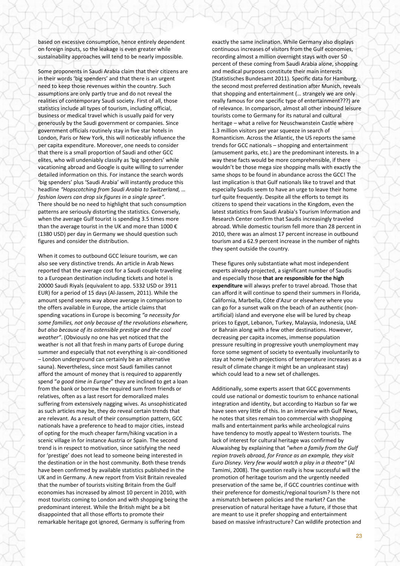based on excessive consumption, hence entirely dependent on foreign inputs, so the leakage is even greater while sustainability approaches will tend to be nearly impossible.

Some proponents in Saudi Arabia claim that their citizens are in their words 'big spenders' and that there is an urgent need to keep those revenues within the country. Such assumptions are only partly true and do not reveal the realities of contemporary Saudi society. First of all, those statistics include all types of tourism, including official, business or medical travel which is usually paid for very generously by the Saudi government or companies. Since government officials routinely stay in five star hotels in London, Paris or New York, this will noticeably influence the per capita expenditure. Moreover, one needs to consider that there is a small proportion of Saudi and other GCC elites, who will undeniably classify as 'big spenders' while vacationing abroad and Google is quite willing to surrender detailed information on this. For instance the search words 'big spenders' plus 'Saudi Arabia' will instantly produce this headline "Hopscotching from Saudi Arabia to Switzerland, … fashion lovers can drop six figures in a single spree". There should be no need to highlight that such consumption patterns are seriously distorting the statistics. Conversely, when the average Gulf tourist is spending 3.5 times more than the average tourist in the UK and more than 1000  $\epsilon$ (1380 USD) per day in Germany we should question such figures and consider the distribution.

When it comes to outbound GCC leisure tourism, we can also see very distinctive trends. An article in Arab News reported that the average cost for a Saudi couple traveling to a European destination including tickets and hotel is 20000 Saudi Riyals (equivalent to app. 5332 USD or 3911 EUR) for a period of 15 days (Al-Jassem, 2011). While the amount spend seems way above average in comparison to the offers available in Europe, the article claims that spending vacations in Europe is becoming "a necessity for some families, not only because of the revolutions elsewhere, but also because of its ostensible prestige and the cool weather". (Obviously no one has yet noticed that the weather is not all that fresh in many parts of Europe during summer and especially that not everything is air-conditioned – London underground can certainly be an alternative sauna). Nevertheless, since most Saudi families cannot afford the amount of money that is required to apparently spend "a good time in Europe" they are inclined to get a loan from the bank or borrow the required sum from friends or relatives, often as a last resort for demoralized males suffering from extensively nagging wives. As unsophisticated as such articles may be, they do reveal certain trends that are relevant. As a result of their consumption pattern, GCC nationals have a preference to head to major cities, instead of opting for the much cheaper farm/hiking vacation in a scenic village in for instance Austria or Spain. The second trend is in respect to motivation, since satisfying the need for 'prestige' does not lead to someone being interested in the destination or in the host community. Both these trends have been confirmed by available statistics published in the UK and in Germany. A new report from Visit Britain revealed that the number of tourists visiting Britain from the Gulf economies has increased by almost 10 percent in 2010, with most tourists coming to London and with shopping being the predominant interest. While the British might be a bit disappointed that all those efforts to promote their remarkable heritage got ignored, Germany is suffering from

exactly the same inclination. While Germany also displays continuous increases of visitors from the Gulf economies, recording almost a million overnight stays with over 50 percent of these coming from Saudi Arabia alone, shopping and medical purposes constitute their main interests (Statistisches Bundesamt 2011). Specific data for Hamburg, the second most preferred destination after Munich, reveals that shopping and entertainment (… strangely we are only really famous for one specific type of entertainment???) are of relevance. In comparison, almost all other inbound leisure tourists come to Germany for its natural and cultural heritage – what a relive for Neuschwanstein Castle where 1.3 million visitors per year squeeze in search of Romanticism. Across the Atlantic, the US reports the same trends for GCC nationals – shopping and entertainment (amusement parks, etc.) are the predominant interests. In a way these facts would be more comprehensible, if there wouldn't be those mega size shopping malls with exactly the same shops to be found in abundance across the GCC! The last implication is that Gulf nationals like to travel and that especially Saudis seem to have an urge to leave their home turf quite frequently. Despite all the efforts to tempt its citizens to spend their vacations in the Kingdom, even the latest statistics from Saudi Arabia's Tourism Information and Research Center confirm that Saudis increasingly traveled abroad. While domestic tourism fell more than 28 percent in 2010, there was an almost 17 percent increase in outbound tourism and a 62.9 percent increase in the number of nights they spent outside the country.

These figures only substantiate what most independent experts already projected, a significant number of Saudis and especially those that are responsible for the high expenditure will always prefer to travel abroad. Those that can afford it will continue to spend their summers in Florida, California, Marbella, Côte d'Azur or elsewhere where you can go for a sunset walk on the beach of an authentic (nonartificial) island and everyone else will be lured by cheap prices to Egypt, Lebanon, Turkey, Malaysia, Indonesia, UAE or Bahrain along with a few other destinations. However, decreasing per capita incomes, immense population pressure resulting in progressive youth unemployment may force some segment of society to eventually involuntarily to stay at home (with projections of temperature increases as a result of climate change it might be an unpleasant stay) which could lead to a new set of challenges.

Additionally, some experts assert that GCC governments could use national or domestic tourism to enhance national integration and identity, but according to Hazbun so far we have seen very little of this. In an interview with Gulf News, he notes that sites remain too commercial with shopping malls and entertainment parks while archeological ruins have tendency to mostly appeal to Western tourists. The lack of interest for cultural heritage was confirmed by Aluwaisheg by explaining that "when a family from the Gulf region travels abroad, for France as an example, they visit Euro Disney. Very few would watch a play in a theatre" (Al Tamimi, 2008). The question really is how successful will the promotion of heritage tourism and the urgently needed preservation of the same be, if GCC countries continue with their preference for domestic/regional tourism? Is there not a mismatch between policies and the market? Can the preservation of natural heritage have a future, if those that are meant to use it prefer shopping and entertainment based on massive infrastructure? Can wildlife protection and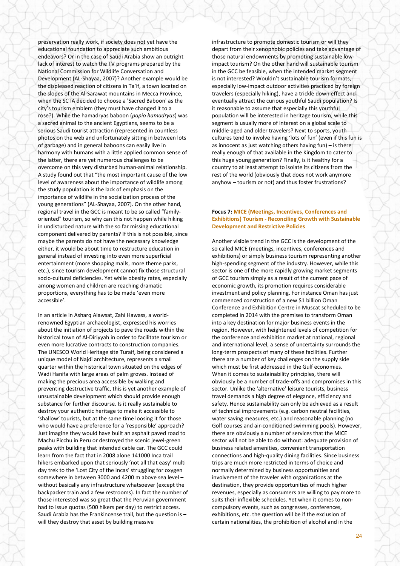preservation really work, if society does not yet have the educational foundation to appreciate such ambitious endeavors? Or in the case of Saudi Arabia show an outright lack of interest to watch the TV programs prepared by the National Commission for Wildlife Conversation and Development (AL-Shayaa, 2007)? Another example would be the displeased reaction of citizens in Ta'if, a town located on the slopes of the Al-Sarawat mountains in Mecca Province, when the SCTA decided to choose a 'Sacred Baboon' as the city's tourism emblem (they must have changed it to a rose?). While the hamadryas baboon (papio hamadryas) was a sacred animal to the ancient Egyptians, seems to be a serious Saudi tourist attraction (represented in countless photos on the web and unfortunately sitting in between lots of garbage) and in general baboons can easily live in harmony with humans with a little applied common sense of the latter, there are yet numerous challenges to be overcome on this very disturbed human-animal relationship. A study found out that "the most important cause of the low level of awareness about the importance of wildlife among the study population is the lack of emphasis on the importance of wildlife in the socialization process of the young generations" (AL-Shayaa, 2007). On the other hand, regional travel in the GCC is meant to be so called "familyoriented" tourism, so why can this not happen while hiking in undisturbed nature with the so far missing educational component delivered by parents? If this is not possible, since maybe the parents do not have the necessary knowledge either, it would be about time to restructure education in general instead of investing into even more superficial entertainment (more shopping malls, more theme parks, etc.), since tourism development cannot fix those structural socio-cultural deficiencies. Yet while obesity rates, especially among women and children are reaching dramatic proportions, everything has to be made 'even more accessible'.

In an article in Asharq Alawsat, Zahi Hawass, a worldrenowned Egyptian archaeologist, expressed his worries about the initiation of projects to pave the roads within the historical town of Al-Diriyyah in order to facilitate tourism or even more lucrative contracts to construction companies. The UNESCO World Heritage site Turaif, being considered a unique model of Najdi architecture, represents a small quarter within the historical town situated on the edges of Wadi Hanifa with large areas of palm groves. Instead of making the precious area accessible by walking and preventing destructive traffic, this is yet another example of unsustainable development which should provide enough substance for further discourse. Is it really sustainable to destroy your authentic heritage to make it accessible to 'shallow' tourists, but at the same time loosing it for those who would have a preference for a 'responsible' approach? Just imagine they would have built an asphalt paved road to Machu Picchu in Peru or destroyed the scenic jewel-green peaks with building that intended cable car. The GCC could learn from the fact that in 2008 alone 141000 Inca trail hikers embarked upon that seriously 'not all that easy' multi day trek to the 'Lost City of the Incas' struggling for oxygen somewhere in between 3000 and 4200 m above sea level – without basically any infrastructure whatsoever (except the backpacker train and a few restrooms). In fact the number of those interested was so great that the Peruvian government had to issue quotas (500 hikers per day) to restrict access. Saudi Arabia has the Frankincense trail, but the question is – will they destroy that asset by building massive

infrastructure to promote domestic tourism or will they depart from their xenophobic policies and take advantage of those natural endowments by promoting sustainable lowimpact tourism? On the other hand will sustainable tourism in the GCC be feasible, when the intended market segment is not interested? Wouldn't sustainable tourism formats, especially low-impact outdoor activities practiced by foreign travelers (especially hiking), have a trickle down effect and eventually attract the curious youthful Saudi population? Is it reasonable to assume that especially this youthful population will be interested in heritage tourism, while this segment is usually more of interest on a global scale to middle-aged and older travelers? Next to sports, youth cultures tend to involve having 'lots of fun' (even if this fun is as innocent as just watching others having fun) – is there really enough of that available in the Kingdom to cater to this huge young generation? Finally, is it healthy for a country to at least attempt to isolate its citizens from the rest of the world (obviously that does not work anymore anyhow – tourism or not) and thus foster frustrations?

#### Focus 7: MICE (Meetings, Incentives, Conferences and Exhibitions) Tourism - Reconciling Growth with Sustainable Development and Restrictive Policies

Another visible trend in the GCC is the development of the so called MICE (meetings, incentives, conferences and exhibitions) or simply business tourism representing another high-spending segment of the industry. However, while this sector is one of the more rapidly growing market segments of GCC tourism simply as a result of the current pace of economic growth, its promotion requires considerable investment and policy planning. For instance Oman has just commenced construction of a new \$1 billion Oman Conference and Exhibition Centre in Muscat scheduled to be completed in 2014 with the premises to transform Oman into a key destination for major business events in the region. However, with heightened levels of competition for the conference and exhibition market at national, regional and international level, a sense of uncertainty surrounds the long-term prospects of many of these facilities. Further there are a number of key challenges on the supply side which must be first addressed in the Gulf economies. When it comes to sustainability principles, there will obviously be a number of trade-offs and compromises in this sector. Unlike the 'alternative' leisure tourists, business travel demands a high degree of elegance, efficiency and safety. Hence sustainability can only be achieved as a result of technical improvements (e.g. carbon neutral facilities, water saving measures, etc.) and reasonable planning (no Golf courses and air-conditioned swimming pools). However, there are obviously a number of services that the MICE sector will not be able to do without: adequate provision of business related amenities, convenient transportation connections and high-quality dining facilities. Since business trips are much more restricted in terms of choice and normally determined by business opportunities and involvement of the traveler with organizations at the destination, they provide opportunities of much higher revenues, especially as consumers are willing to pay more to suits their inflexible schedules. Yet when it comes to noncompulsory events, such as congresses, conferences, exhibitions, etc. the question will be if the exclusion of certain nationalities, the prohibition of alcohol and in the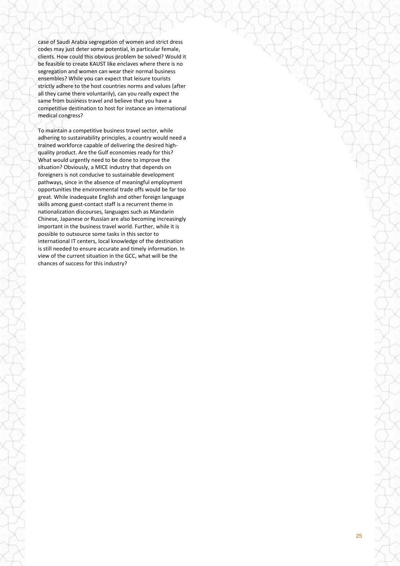case of Saudi Arabia segregation of women and strict dress codes may just deter some potential, in particular female, clients. How could this obvious problem be solved? Would it be feasible to create KAUST like enclaves where there is no segregation and women can wear their normal business ensembles? While you can expect that leisure tourists strictly adhere to the host countries norms and values (after all they came there voluntarily), can you really expect the same from business travel and believe that you have a competitive destination to host for instance an international medical congress?

To maintain a competitive business travel sector, while adhering to sustainability principles, a country would need a trained workforce capable of delivering the desired highquality product. Are the Gulf economies ready for this? What would urgently need to be done to improve the situation? Obviously, a MICE industry that depends on foreigners is not conducive to sustainable development pathways, since in the absence of meaningful employment opportunities the environmental trade offs would be far too great. While inadequate English and other foreign language skills among guest-contact staff is a recurrent theme in nationalization discourses, languages such as Mandarin Chinese, Japanese or Russian are also becoming increasingly important in the business travel world. Further, while it is possible to outsource some tasks in this sector to international IT centers, local knowledge of the destination is still needed to ensure accurate and timely information. In view of the current situation in the GCC, what will be the chances of success for this industry?

25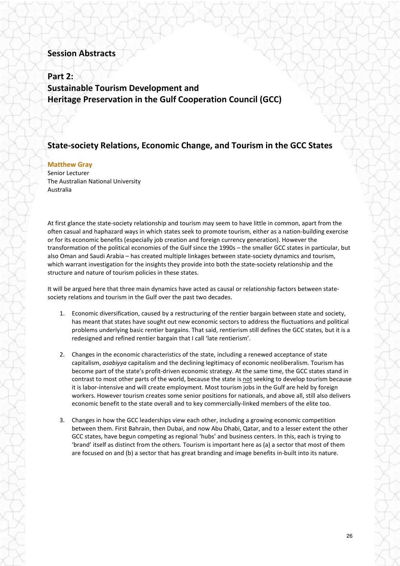### Session Abstracts

# Part 2: Sustainable Tourism Development and Heritage Preservation in the Gulf Cooperation Council (GCC)

# State-society Relations, Economic Change, and Tourism in the GCC States

### Matthew Gray

Senior Lecturer The Australian National University Australia

At first glance the state-society relationship and tourism may seem to have little in common, apart from the often casual and haphazard ways in which states seek to promote tourism, either as a nation-building exercise or for its economic benefits (especially job creation and foreign currency generation). However the transformation of the political economies of the Gulf since the 1990s – the smaller GCC states in particular, but also Oman and Saudi Arabia – has created multiple linkages between state-society dynamics and tourism, which warrant investigation for the insights they provide into both the state-society relationship and the structure and nature of tourism policies in these states.

It will be argued here that three main dynamics have acted as causal or relationship factors between statesociety relations and tourism in the Gulf over the past two decades.

- 1. Economic diversification, caused by a restructuring of the rentier bargain between state and society, has meant that states have sought out new economic sectors to address the fluctuations and political problems underlying basic rentier bargains. That said, rentierism still defines the GCC states, but it is a redesigned and refined rentier bargain that I call 'late rentierism'.
- 2. Changes in the economic characteristics of the state, including a renewed acceptance of state capitalism, asabiyya capitalism and the declining legitimacy of economic neoliberalism. Tourism has become part of the state's profit-driven economic strategy. At the same time, the GCC states stand in contrast to most other parts of the world, because the state is not seeking to develop tourism because it is labor-intensive and will create employment. Most tourism jobs in the Gulf are held by foreign workers. However tourism creates some senior positions for nationals, and above all, still also delivers economic benefit to the state overall and to key commercially-linked members of the elite too.
- 3. Changes in how the GCC leaderships view each other, including a growing economic competition between them. First Bahrain, then Dubai, and now Abu Dhabi, Qatar, and to a lesser extent the other GCC states, have begun competing as regional 'hubs' and business centers. In this, each is trying to 'brand' itself as distinct from the others. Tourism is important here as (a) a sector that most of them are focused on and (b) a sector that has great branding and image benefits in-built into its nature.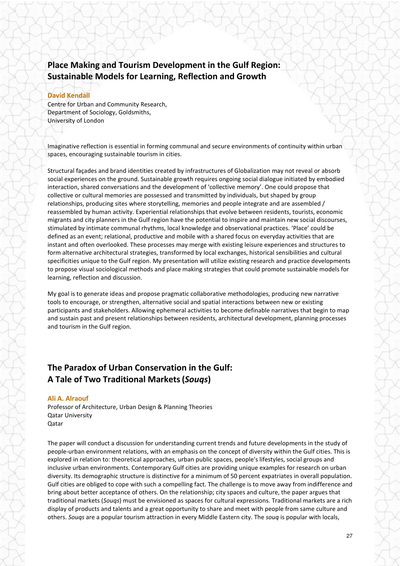# Place Making and Tourism Development in the Gulf Region: Sustainable Models for Learning, Reflection and Growth

### David Kendall

Centre for Urban and Community Research, Department of Sociology, Goldsmiths, University of London

Imaginative reflection is essential in forming communal and secure environments of continuity within urban spaces, encouraging sustainable tourism in cities.

Structural façades and brand identities created by infrastructures of Globalization may not reveal or absorb social experiences on the ground. Sustainable growth requires ongoing social dialogue initiated by embodied interaction, shared conversations and the development of 'collective memory'. One could propose that collective or cultural memories are possessed and transmitted by individuals, but shaped by group relationships, producing sites where storytelling, memories and people integrate and are assembled / reassembled by human activity. Experiential relationships that evolve between residents, tourists, economic migrants and city planners in the Gulf region have the potential to inspire and maintain new social discourses, stimulated by intimate communal rhythms, local knowledge and observational practices. 'Place' could be defined as an event; relational, productive and mobile with a shared focus on everyday activities that are instant and often overlooked. These processes may merge with existing leisure experiences and structures to form alternative architectural strategies, transformed by local exchanges, historical sensibilities and cultural specificities unique to the Gulf region. My presentation will utilize existing research and practice developments to propose visual sociological methods and place making strategies that could promote sustainable models for learning, reflection and discussion.

My goal is to generate ideas and propose pragmatic collaborative methodologies, producing new narrative tools to encourage, or strengthen, alternative social and spatial interactions between new or existing participants and stakeholders. Allowing ephemeral activities to become definable narratives that begin to map and sustain past and present relationships between residents, architectural development, planning processes and tourism in the Gulf region.

### The Paradox of Urban Conservation in the Gulf: A Tale of Two Traditional Markets(Souqs)

### Ali A. Alraouf

Professor of Architecture, Urban Design & Planning Theories Qatar University Qatar

The paper will conduct a discussion for understanding current trends and future developments in the study of people-urban environment relations, with an emphasis on the concept of diversity within the Gulf cities. This is explored in relation to: theoretical approaches, urban public spaces, people's lifestyles, social groups and inclusive urban environments. Contemporary Gulf cities are providing unique examples for research on urban diversity. Its demographic structure is distinctive for a minimum of 50 percent expatriates in overall population. Gulf cities are obliged to cope with such a compelling fact. The challenge is to move away from indifference and bring about better acceptance of others. On the relationship; city spaces and culture, the paper argues that traditional markets (Souqs) must be envisioned as spaces for cultural expressions. Traditional markets are a rich display of products and talents and a great opportunity to share and meet with people from same culture and others. Sougs are a popular tourism attraction in every Middle Eastern city. The soug is popular with locals,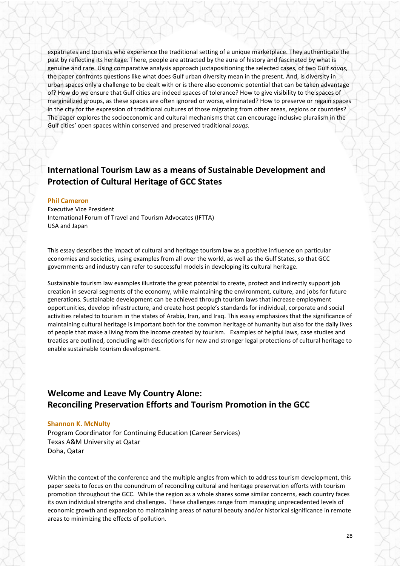expatriates and tourists who experience the traditional setting of a unique marketplace. They authenticate the past by reflecting its heritage. There, people are attracted by the aura of history and fascinated by what is genuine and rare. Using comparative analysis approach juxtapositioning the selected cases, of two Gulf souqs, the paper confronts questions like what does Gulf urban diversity mean in the present. And, is diversity in urban spaces only a challenge to be dealt with or is there also economic potential that can be taken advantage of? How do we ensure that Gulf cities are indeed spaces of tolerance? How to give visibility to the spaces of marginalized groups, as these spaces are often ignored or worse, eliminated? How to preserve or regain spaces in the city for the expression of traditional cultures of those migrating from other areas, regions or countries? The paper explores the socioeconomic and cultural mechanisms that can encourage inclusive pluralism in the Gulf cities' open spaces within conserved and preserved traditional souqs.

### International Tourism Law as a means of Sustainable Development and Protection of Cultural Heritage of GCC States

#### Phil Cameron

Executive Vice President International Forum of Travel and Tourism Advocates (IFTTA) USA and Japan

This essay describes the impact of cultural and heritage tourism law as a positive influence on particular economies and societies, using examples from all over the world, as well as the Gulf States, so that GCC governments and industry can refer to successful models in developing its cultural heritage.

Sustainable tourism law examples illustrate the great potential to create, protect and indirectly support job creation in several segments of the economy, while maintaining the environment, culture, and jobs for future generations. Sustainable development can be achieved through tourism laws that increase employment opportunities, develop infrastructure, and create host people's standards for individual, corporate and social activities related to tourism in the states of Arabia, Iran, and Iraq. This essay emphasizes that the significance of maintaining cultural heritage is important both for the common heritage of humanity but also for the daily lives of people that make a living from the income created by tourism. Examples of helpful laws, case studies and treaties are outlined, concluding with descriptions for new and stronger legal protections of cultural heritage to enable sustainable tourism development.

### Welcome and Leave My Country Alone: Reconciling Preservation Efforts and Tourism Promotion in the GCC

### Shannon K. McNulty

Program Coordinator for Continuing Education (Career Services) Texas A&M University at Qatar Doha, Qatar

Within the context of the conference and the multiple angles from which to address tourism development, this paper seeks to focus on the conundrum of reconciling cultural and heritage preservation efforts with tourism promotion throughout the GCC. While the region as a whole shares some similar concerns, each country faces its own individual strengths and challenges. These challenges range from managing unprecedented levels of economic growth and expansion to maintaining areas of natural beauty and/or historical significance in remote areas to minimizing the effects of pollution.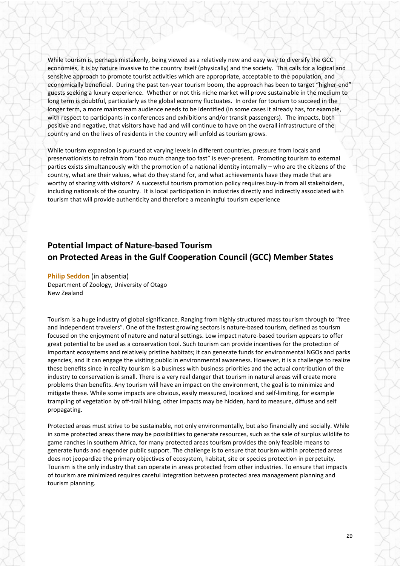While tourism is, perhaps mistakenly, being viewed as a relatively new and easy way to diversify the GCC economies, it is by nature invasive to the country itself (physically) and the society. This calls for a logical and sensitive approach to promote tourist activities which are appropriate, acceptable to the population, and economically beneficial. During the past ten-year tourism boom, the approach has been to target "higher-end" guests seeking a luxury experience. Whether or not this niche market will prove sustainable in the medium to long term is doubtful, particularly as the global economy fluctuates. In order for tourism to succeed in the longer term, a more mainstream audience needs to be identified (in some cases it already has, for example, with respect to participants in conferences and exhibitions and/or transit passengers). The impacts, both positive and negative, that visitors have had and will continue to have on the overall infrastructure of the country and on the lives of residents in the country will unfold as tourism grows.

While tourism expansion is pursued at varying levels in different countries, pressure from locals and preservationists to refrain from "too much change too fast" is ever-present. Promoting tourism to external parties exists simultaneously with the promotion of a national identity internally – who are the citizens of the country, what are their values, what do they stand for, and what achievements have they made that are worthy of sharing with visitors? A successful tourism promotion policy requires buy-in from all stakeholders, including nationals of the country. It is local participation in industries directly and indirectly associated with tourism that will provide authenticity and therefore a meaningful tourism experience

# Potential Impact of Nature-based Tourism on Protected Areas in the Gulf Cooperation Council (GCC) Member States

Philip Seddon (in absentia) Department of Zoology, University of Otago New Zealand

Tourism is a huge industry of global significance. Ranging from highly structured mass tourism through to "free and independent travelers". One of the fastest growing sectors is nature-based tourism, defined as tourism focused on the enjoyment of nature and natural settings. Low impact nature-based tourism appears to offer great potential to be used as a conservation tool. Such tourism can provide incentives for the protection of important ecosystems and relatively pristine habitats; it can generate funds for environmental NGOs and parks agencies, and it can engage the visiting public in environmental awareness. However, it is a challenge to realize these benefits since in reality tourism is a business with business priorities and the actual contribution of the industry to conservation is small. There is a very real danger that tourism in natural areas will create more problems than benefits. Any tourism will have an impact on the environment, the goal is to minimize and mitigate these. While some impacts are obvious, easily measured, localized and self-limiting, for example trampling of vegetation by off-trail hiking, other impacts may be hidden, hard to measure, diffuse and self propagating.

Protected areas must strive to be sustainable, not only environmentally, but also financially and socially. While in some protected areas there may be possibilities to generate resources, such as the sale of surplus wildlife to game ranches in southern Africa, for many protected areas tourism provides the only feasible means to generate funds and engender public support. The challenge is to ensure that tourism within protected areas does not jeopardize the primary objectives of ecosystem, habitat, site or species protection in perpetuity. Tourism is the only industry that can operate in areas protected from other industries. To ensure that impacts of tourism are minimized requires careful integration between protected area management planning and tourism planning.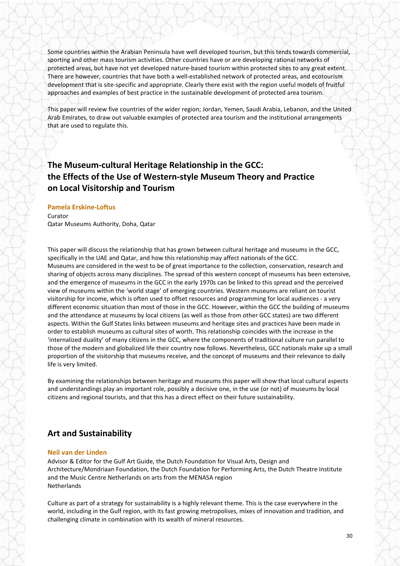Some countries within the Arabian Peninsula have well developed tourism, but this tends towards commercial, sporting and other mass tourism activities. Other countries have or are developing rational networks of protected areas, but have not yet developed nature-based tourism within protected sites to any great extent. There are however, countries that have both a well-established network of protected areas, and ecotourism development that is site-specific and appropriate. Clearly there exist with the region useful models of fruitful approaches and examples of best practice in the sustainable development of protected area tourism.

This paper will review five countries of the wider region; Jordan, Yemen, Saudi Arabia, Lebanon, and the United Arab Emirates, to draw out valuable examples of protected area tourism and the institutional arrangements that are used to regulate this.

# The Museum-cultural Heritage Relationship in the GCC: the Effects of the Use of Western-style Museum Theory and Practice on Local Visitorship and Tourism

### Pamela Erskine-Loftus

Curator Qatar Museums Authority, Doha, Qatar

This paper will discuss the relationship that has grown between cultural heritage and museums in the GCC, specifically in the UAE and Qatar, and how this relationship may affect nationals of the GCC. Museums are considered in the west to be of great importance to the collection, conservation, research and sharing of objects across many disciplines. The spread of this western concept of museums has been extensive, and the emergence of museums in the GCC in the early 1970s can be linked to this spread and the perceived view of museums within the 'world stage' of emerging countries. Western museums are reliant on tourist visitorship for income, which is often used to offset resources and programming for local audiences - a very different economic situation than most of those in the GCC. However, within the GCC the building of museums and the attendance at museums by local citizens (as well as those from other GCC states) are two different aspects. Within the Gulf States links between museums and heritage sites and practices have been made in order to establish museums as cultural sites of worth. This relationship coincides with the increase in the 'internalized duality' of many citizens in the GCC, where the components of traditional culture run parallel to those of the modern and globalized life their country now follows. Nevertheless, GCC nationals make up a small proportion of the visitorship that museums receive, and the concept of museums and their relevance to daily life is very limited.

By examining the relationships between heritage and museums this paper will show that local cultural aspects and understandings play an important role, possibly a decisive one, in the use (or not) of museums by local citizens and regional tourists, and that this has a direct effect on their future sustainability.

### Art and Sustainability

### Neil van der Linden

Advisor & Editor for the Gulf Art Guide, the Dutch Foundation for Visual Arts, Design and Architecture/Mondriaan Foundation, the Dutch Foundation for Performing Arts, the Dutch Theatre Institute and the Music Centre Netherlands on arts from the MENASA region Netherlands

Culture as part of a strategy for sustainability is a highly relevant theme. This is the case everywhere in the world, including in the Gulf region, with its fast growing metropolises, mixes of innovation and tradition, and challenging climate in combination with its wealth of mineral resources.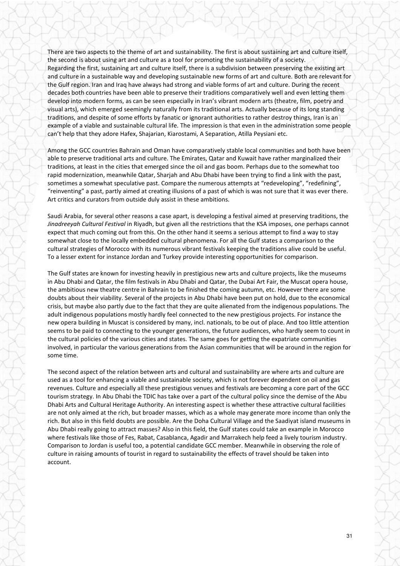There are two aspects to the theme of art and sustainability. The first is about sustaining art and culture itself, the second is about using art and culture as a tool for promoting the sustainability of a society. Regarding the first, sustaining art and culture itself, there is a subdivision between preserving the existing art and culture in a sustainable way and developing sustainable new forms of art and culture. Both are relevant for the Gulf region. Iran and Iraq have always had strong and viable forms of art and culture. During the recent decades both countries have been able to preserve their traditions comparatively well and even letting them develop into modern forms, as can be seen especially in Iran's vibrant modern arts (theatre, film, poetry and visual arts), which emerged seemingly naturally from its traditional arts. Actually because of its long standing traditions, and despite of some efforts by fanatic or ignorant authorities to rather destroy things, Iran is an example of a viable and sustainable cultural life. The impression is that even in the administration some people can't help that they adore Hafex, Shajarian, Kiarostami, A Separation, Atilla Peysiani etc.

Among the GCC countries Bahrain and Oman have comparatively stable local communities and both have been able to preserve traditional arts and culture. The Emirates, Qatar and Kuwait have rather marginalized their traditions, at least in the cities that emerged since the oil and gas boom. Perhaps due to the somewhat too rapid modernization, meanwhile Qatar, Sharjah and Abu Dhabi have been trying to find a link with the past, sometimes a somewhat speculative past. Compare the numerous attempts at "redeveloping", "redefining", "reinventing" a past, partly aimed at creating illusions of a past of which is was not sure that it was ever there. Art critics and curators from outside duly assist in these ambitions.

Saudi Arabia, for several other reasons a case apart, is developing a festival aimed at preserving traditions, the Jinadreeyah Cultural Festival in Riyadh, but given all the restrictions that the KSA imposes, one perhaps cannot expect that much coming out from this. On the other hand it seems a serious attempt to find a way to stay somewhat close to the locally embedded cultural phenomena. For all the Gulf states a comparison to the cultural strategies of Morocco with its numerous vibrant festivals keeping the traditions alive could be useful. To a lesser extent for instance Jordan and Turkey provide interesting opportunities for comparison.

The Gulf states are known for investing heavily in prestigious new arts and culture projects, like the museums in Abu Dhabi and Qatar, the film festivals in Abu Dhabi and Qatar, the Dubai Art Fair, the Muscat opera house, the ambitious new theatre centre in Bahrain to be finished the coming autumn, etc. However there are some doubts about their viability. Several of the projects in Abu Dhabi have been put on hold, due to the economical crisis, but maybe also partly due to the fact that they are quite alienated from the indigenous populations. The adult indigenous populations mostly hardly feel connected to the new prestigious projects. For instance the new opera building in Muscat is considered by many, incl. nationals, to be out of place. And too little attention seems to be paid to connecting to the younger generations, the future audiences, who hardly seem to count in the cultural policies of the various cities and states. The same goes for getting the expatriate communities involved, in particular the various generations from the Asian communities that will be around in the region for some time.

The second aspect of the relation between arts and cultural and sustainability are where arts and culture are used as a tool for enhancing a viable and sustainable society, which is not forever dependent on oil and gas revenues. Culture and especially all these prestigious venues and festivals are becoming a core part of the GCC tourism strategy. In Abu Dhabi the TDIC has take over a part of the cultural policy since the demise of the Abu Dhabi Arts and Cultural Heritage Authority. An interesting aspect is whether these attractive cultural facilities are not only aimed at the rich, but broader masses, which as a whole may generate more income than only the rich. But also in this field doubts are possible. Are the Doha Cultural Village and the Saadiyat island museums in Abu Dhabi really going to attract masses? Also in this field, the Gulf states could take an example in Morocco where festivals like those of Fes, Rabat, Casablanca, Agadir and Marrakech help feed a lively tourism industry. Comparison to Jordan is useful too, a potential candidate GCC member. Meanwhile in observing the role of culture in raising amounts of tourist in regard to sustainability the effects of travel should be taken into account.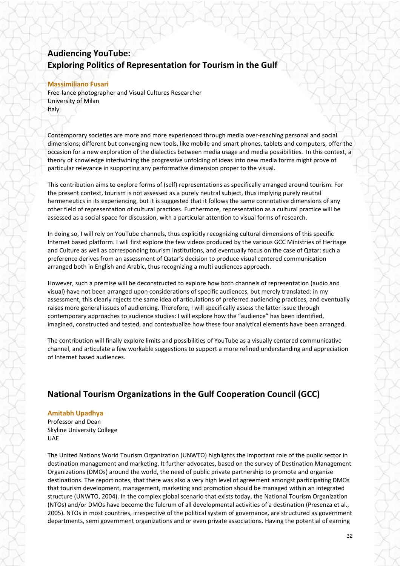# Audiencing YouTube: Exploring Politics of Representation for Tourism in the Gulf

### Massimiliano Fusari

Free-lance photographer and Visual Cultures Researcher University of Milan Italy

Contemporary societies are more and more experienced through media over-reaching personal and social dimensions; different but converging new tools, like mobile and smart phones, tablets and computers, offer the occasion for a new exploration of the dialectics between media usage and media possibilities. In this context, a theory of knowledge intertwining the progressive unfolding of ideas into new media forms might prove of particular relevance in supporting any performative dimension proper to the visual.

This contribution aims to explore forms of (self) representations as specifically arranged around tourism. For the present context, tourism is not assessed as a purely neutral subject, thus implying purely neutral hermeneutics in its experiencing, but it is suggested that it follows the same connotative dimensions of any other field of representation of cultural practices. Furthermore, representation as a cultural practice will be assessed as a social space for discussion, with a particular attention to visual forms of research.

In doing so, I will rely on YouTube channels, thus explicitly recognizing cultural dimensions of this specific Internet based platform. I will first explore the few videos produced by the various GCC Ministries of Heritage and Culture as well as corresponding tourism institutions, and eventually focus on the case of Qatar: such a preference derives from an assessment of Qatar's decision to produce visual centered communication arranged both in English and Arabic, thus recognizing a multi audiences approach.

However, such a premise will be deconstructed to explore how both channels of representation (audio and visual) have not been arranged upon considerations of specific audiences, but merely translated: in my assessment, this clearly rejects the same idea of articulations of preferred audiencing practices, and eventually raises more general issues of audiencing. Therefore, I will specifically assess the latter issue through contemporary approaches to audience studies: I will explore how the "audience" has been identified, imagined, constructed and tested, and contextualize how these four analytical elements have been arranged.

The contribution will finally explore limits and possibilities of YouTube as a visually centered communicative channel, and articulate a few workable suggestions to support a more refined understanding and appreciation of Internet based audiences.

# National Tourism Organizations in the Gulf Cooperation Council (GCC)

### Amitabh Upadhya

Professor and Dean Skyline University College UAE

The United Nations World Tourism Organization (UNWTO) highlights the important role of the public sector in destination management and marketing. It further advocates, based on the survey of Destination Management Organizations (DMOs) around the world, the need of public private partnership to promote and organize destinations. The report notes, that there was also a very high level of agreement amongst participating DMOs that tourism development, management, marketing and promotion should be managed within an integrated structure (UNWTO, 2004). In the complex global scenario that exists today, the National Tourism Organization (NTOs) and/or DMOs have become the fulcrum of all developmental activities of a destination (Presenza et al., 2005). NTOs in most countries, irrespective of the political system of governance, are structured as government departments, semi government organizations and or even private associations. Having the potential of earning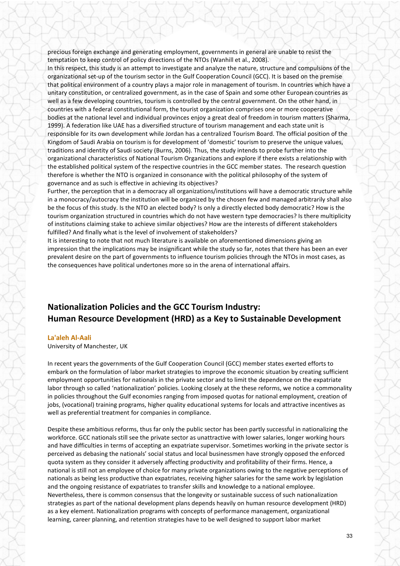precious foreign exchange and generating employment, governments in general are unable to resist the temptation to keep control of policy directions of the NTOs (Wanhill et al., 2008).

In this respect, this study is an attempt to investigate and analyze the nature, structure and compulsions of the organizational set-up of the tourism sector in the Gulf Cooperation Council (GCC). It is based on the premise that political environment of a country plays a major role in management of tourism. In countries which have a unitary constitution, or centralized government, as in the case of Spain and some other European countries as well as a few developing countries, tourism is controlled by the central government. On the other hand, in countries with a federal constitutional form, the tourist organization comprises one or more cooperative bodies at the national level and individual provinces enjoy a great deal of freedom in tourism matters (Sharma, 1999). A federation like UAE has a diversified structure of tourism management and each state unit is responsible for its own development while Jordan has a centralized Tourism Board. The official position of the Kingdom of Saudi Arabia on tourism is for development of 'domestic' tourism to preserve the unique values, traditions and identity of Saudi society (Burns, 2006). Thus, the study intends to probe further into the organizational characteristics of National Tourism Organizations and explore if there exists a relationship with the established political system of the respective countries in the GCC member states. The research question therefore is whether the NTO is organized in consonance with the political philosophy of the system of governance and as such is effective in achieving its objectives?

Further, the perception that in a democracy all organizations/institutions will have a democratic structure while in a monocracy/autocracy the institution will be organized by the chosen few and managed arbitrarily shall also be the focus of this study. Is the NTO an elected body? Is only a directly elected body democratic? How is the tourism organization structured in countries which do not have western type democracies? Is there multiplicity of institutions claiming stake to achieve similar objectives? How are the interests of different stakeholders fulfilled? And finally what is the level of involvement of stakeholders?

It is interesting to note that not much literature is available on aforementioned dimensions giving an impression that the implications may be insignificant while the study so far, notes that there has been an ever prevalent desire on the part of governments to influence tourism policies through the NTOs in most cases, as the consequences have political undertones more so in the arena of international affairs.

# Nationalization Policies and the GCC Tourism Industry: Human Resource Development (HRD) as a Key to Sustainable Development

### La'aleh Al-Aali

University of Manchester, UK

In recent years the governments of the Gulf Cooperation Council (GCC) member states exerted efforts to embark on the formulation of labor market strategies to improve the economic situation by creating sufficient employment opportunities for nationals in the private sector and to limit the dependence on the expatriate labor through so called 'nationalization' policies. Looking closely at the these reforms, we notice a commonality in policies throughout the Gulf economies ranging from imposed quotas for national employment, creation of jobs, (vocational) training programs, higher quality educational systems for locals and attractive incentives as well as preferential treatment for companies in compliance.

Despite these ambitious reforms, thus far only the public sector has been partly successful in nationalizing the workforce. GCC nationals still see the private sector as unattractive with lower salaries, longer working hours and have difficulties in terms of accepting an expatriate supervisor. Sometimes working in the private sector is perceived as debasing the nationals' social status and local businessmen have strongly opposed the enforced quota system as they consider it adversely affecting productivity and profitability of their firms. Hence, a national is still not an employee of choice for many private organizations owing to the negative perceptions of nationals as being less productive than expatriates, receiving higher salaries for the same work by legislation and the ongoing resistance of expatriates to transfer skills and knowledge to a national employee. Nevertheless, there is common consensus that the longevity or sustainable success of such nationalization strategies as part of the national development plans depends heavily on human resource development (HRD) as a key element. Nationalization programs with concepts of performance management, organizational learning, career planning, and retention strategies have to be well designed to support labor market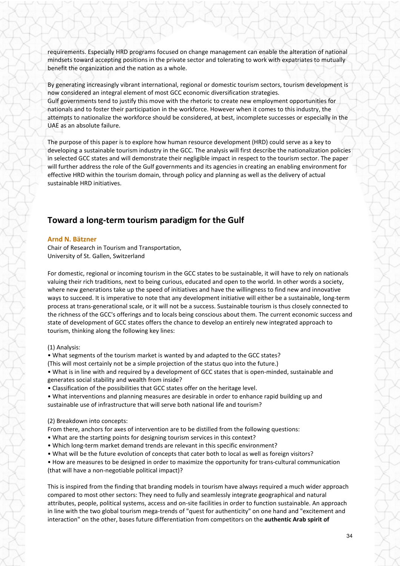requirements. Especially HRD programs focused on change management can enable the alteration of national mindsets toward accepting positions in the private sector and tolerating to work with expatriates to mutually benefit the organization and the nation as a whole.

By generating increasingly vibrant international, regional or domestic tourism sectors, tourism development is now considered an integral element of most GCC economic diversification strategies. Gulf governments tend to justify this move with the rhetoric to create new employment opportunities for nationals and to foster their participation in the workforce. However when it comes to this industry, the attempts to nationalize the workforce should be considered, at best, incomplete successes or especially in the UAE as an absolute failure.

The purpose of this paper is to explore how human resource development (HRD) could serve as a key to developing a sustainable tourism industry in the GCC. The analysis will first describe the nationalization policies in selected GCC states and will demonstrate their negligible impact in respect to the tourism sector. The paper will further address the role of the Gulf governments and its agencies in creating an enabling environment for effective HRD within the tourism domain, through policy and planning as well as the delivery of actual sustainable HRD initiatives.

### Toward a long-term tourism paradigm for the Gulf

### Arnd N. Bätzner

Chair of Research in Tourism and Transportation, University of St. Gallen, Switzerland

For domestic, regional or incoming tourism in the GCC states to be sustainable, it will have to rely on nationals valuing their rich traditions, next to being curious, educated and open to the world. In other words a society, where new generations take up the speed of initiatives and have the willingness to find new and innovative ways to succeed. It is imperative to note that any development initiative will either be a sustainable, long-term process at trans-generational scale, or it will not be a success. Sustainable tourism is thus closely connected to the richness of the GCC's offerings and to locals being conscious about them. The current economic success and state of development of GCC states offers the chance to develop an entirely new integrated approach to tourism, thinking along the following key lines:

### (1) Analysis:

- What segments of the tourism market is wanted by and adapted to the GCC states?
- (This will most certainly not be a simple projection of the status quo into the future.)

• What is in line with and required by a development of GCC states that is open-minded, sustainable and generates social stability and wealth from inside?

- Classification of the possibilities that GCC states offer on the heritage level.
- What interventions and planning measures are desirable in order to enhance rapid building up and sustainable use of infrastructure that will serve both national life and tourism?

### (2) Breakdown into concepts:

From there, anchors for axes of intervention are to be distilled from the following questions:

- What are the starting points for designing tourism services in this context?
- Which long-term market demand trends are relevant in this specific environment?
- What will be the future evolution of concepts that cater both to local as well as foreign visitors?

• How are measures to be designed in order to maximize the opportunity for trans-cultural communication (that will have a non-negotiable political impact)?

This is inspired from the finding that branding models in tourism have always required a much wider approach compared to most other sectors: They need to fully and seamlessly integrate geographical and natural attributes, people, political systems, access and on-site facilities in order to function sustainable. An approach in line with the two global tourism mega-trends of "quest for authenticity" on one hand and "excitement and interaction" on the other, bases future differentiation from competitors on the **authentic Arab spirit of**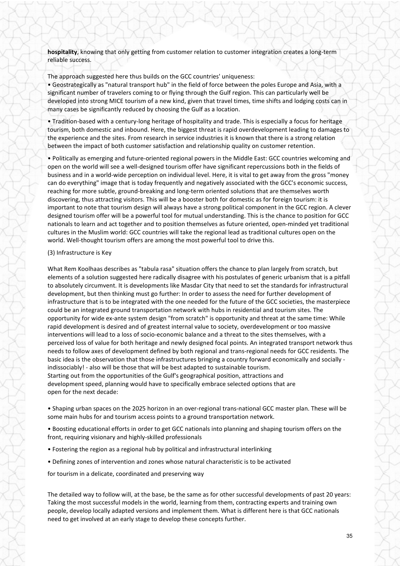### hospitality, knowing that only getting from customer relation to customer integration creates a long-term reliable success.

The approach suggested here thus builds on the GCC countries' uniqueness:

• Geostrategically as "natural transport hub" in the field of force between the poles Europe and Asia, with a significant number of travelers coming to or flying through the Gulf region. This can particularly well be developed into strong MICE tourism of a new kind, given that travel times, time shifts and lodging costs can in many cases be significantly reduced by choosing the Gulf as a location.

• Tradition-based with a century-long heritage of hospitality and trade. This is especially a focus for heritage tourism, both domestic and inbound. Here, the biggest threat is rapid overdevelopment leading to damages to the experience and the sites. From research in service industries it is known that there is a strong relation between the impact of both customer satisfaction and relationship quality on customer retention.

• Politically as emerging and future-oriented regional powers in the Middle East: GCC countries welcoming and open on the world will see a well-designed tourism offer have significant repercussions both in the fields of business and in a world-wide perception on individual level. Here, it is vital to get away from the gross "money can do everything" image that is today frequently and negatively associated with the GCC's economic success, reaching for more subtle, ground-breaking and long-term oriented solutions that are themselves worth discovering, thus attracting visitors. This will be a booster both for domestic as for foreign tourism: it is important to note that tourism design will always have a strong political component in the GCC region. A clever designed tourism offer will be a powerful tool for mutual understanding. This is the chance to position for GCC nationals to learn and act together and to position themselves as future oriented, open-minded yet traditional cultures in the Muslim world: GCC countries will take the regional lead as traditional cultures open on the world. Well-thought tourism offers are among the most powerful tool to drive this.

#### (3) Infrastructure is Key

What Rem Koolhaas describes as "tabula rasa" situation offers the chance to plan largely from scratch, but elements of a solution suggested here radically disagree with his postulates of generic urbanism that is a pitfall to absolutely circumvent. It is developments like Masdar City that need to set the standards for infrastructural development, but then thinking must go further: In order to assess the need for further development of infrastructure that is to be integrated with the one needed for the future of the GCC societies, the masterpiece could be an integrated ground transportation network with hubs in residential and tourism sites. The opportunity for wide ex-ante system design "from scratch" is opportunity and threat at the same time: While rapid development is desired and of greatest internal value to society, overdevelopment or too massive interventions will lead to a loss of socio-economic balance and a threat to the sites themselves, with a perceived loss of value for both heritage and newly designed focal points. An integrated transport network thus needs to follow axes of development defined by both regional and trans-regional needs for GCC residents. The basic idea is the observation that those infrastructures bringing a country forward economically and socially indissociably! - also will be those that will be best adapted to sustainable tourism. Starting out from the opportunities of the Gulf's geographical position, attractions and development speed, planning would have to specifically embrace selected options that are open for the next decade:

• Shaping urban spaces on the 2025 horizon in an over-regional trans-national GCC master plan. These will be some main hubs for and tourism access points to a ground transportation network.

• Boosting educational efforts in order to get GCC nationals into planning and shaping tourism offers on the front, requiring visionary and highly-skilled professionals

- Fostering the region as a regional hub by political and infrastructural interlinking
- Defining zones of intervention and zones whose natural characteristic is to be activated

for tourism in a delicate, coordinated and preserving way

The detailed way to follow will, at the base, be the same as for other successful developments of past 20 years: Taking the most successful models in the world, learning from them, contracting experts and training own people, develop locally adapted versions and implement them. What is different here is that GCC nationals need to get involved at an early stage to develop these concepts further.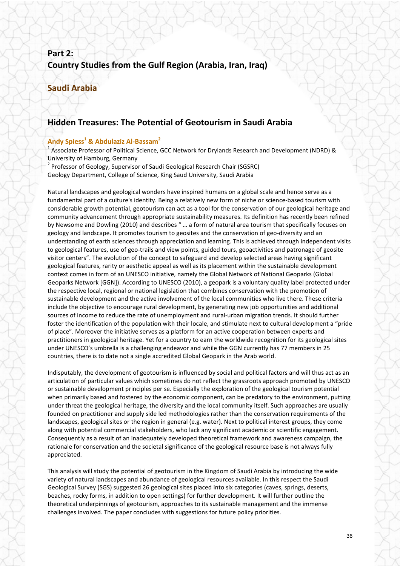# Part 2: Country Studies from the Gulf Region (Arabia, Iran, Iraq)

# Saudi Arabia

### Hidden Treasures: The Potential of Geotourism in Saudi Arabia

### Andy Spiess<sup>1</sup> & Abdulaziz Al-Bassam<sup>2</sup>

<sup>1</sup> Associate Professor of Political Science, GCC Network for Drylands Research and Development (NDRD) & University of Hamburg, Germany

<sup>2</sup> Professor of Geology, Supervisor of Saudi Geological Research Chair (SGSRC) Geology Department, College of Science, King Saud University, Saudi Arabia

Natural landscapes and geological wonders have inspired humans on a global scale and hence serve as a fundamental part of a culture's identity. Being a relatively new form of niche or science-based tourism with considerable growth potential, geotourism can act as a tool for the conservation of our geological heritage and community advancement through appropriate sustainability measures. Its definition has recently been refined by Newsome and Dowling (2010) and describes " … a form of natural area tourism that specifically focuses on geology and landscape. It promotes tourism to geosites and the conservation of geo-diversity and an understanding of earth sciences through appreciation and learning. This is achieved through independent visits to geological features, use of geo-trails and view points, guided tours, geoactivities and patronage of geosite visitor centers". The evolution of the concept to safeguard and develop selected areas having significant geological features, rarity or aesthetic appeal as well as its placement within the sustainable development context comes in form of an UNESCO initiative, namely the Global Network of National Geoparks (Global Geoparks Network [GGN]). According to UNESCO (2010), a geopark is a voluntary quality label protected under the respective local, regional or national legislation that combines conservation with the promotion of sustainable development and the active involvement of the local communities who live there. These criteria include the objective to encourage rural development, by generating new job opportunities and additional sources of income to reduce the rate of unemployment and rural-urban migration trends. It should further foster the identification of the population with their locale, and stimulate next to cultural development a "pride of place". Moreover the initiative serves as a platform for an active cooperation between experts and practitioners in geological heritage. Yet for a country to earn the worldwide recognition for its geological sites under UNESCO's umbrella is a challenging endeavor and while the GGN currently has 77 members in 25 countries, there is to date not a single accredited Global Geopark in the Arab world.

Indisputably, the development of geotourism is influenced by social and political factors and will thus act as an articulation of particular values which sometimes do not reflect the grassroots approach promoted by UNESCO or sustainable development principles per se. Especially the exploration of the geological tourism potential when primarily based and fostered by the economic component, can be predatory to the environment, putting under threat the geological heritage, the diversity and the local community itself. Such approaches are usually founded on practitioner and supply side led methodologies rather than the conservation requirements of the landscapes, geological sites or the region in general (e.g. water). Next to political interest groups, they come along with potential commercial stakeholders, who lack any significant academic or scientific engagement. Consequently as a result of an inadequately developed theoretical framework and awareness campaign, the rationale for conservation and the societal significance of the geological resource base is not always fully appreciated.

This analysis will study the potential of geotourism in the Kingdom of Saudi Arabia by introducing the wide variety of natural landscapes and abundance of geological resources available. In this respect the Saudi Geological Survey (SGS) suggested 26 geological sites placed into six categories (caves, springs, deserts, beaches, rocky forms, in addition to open settings) for further development. It will further outline the theoretical underpinnings of geotourism, approaches to its sustainable management and the immense challenges involved. The paper concludes with suggestions for future policy priorities.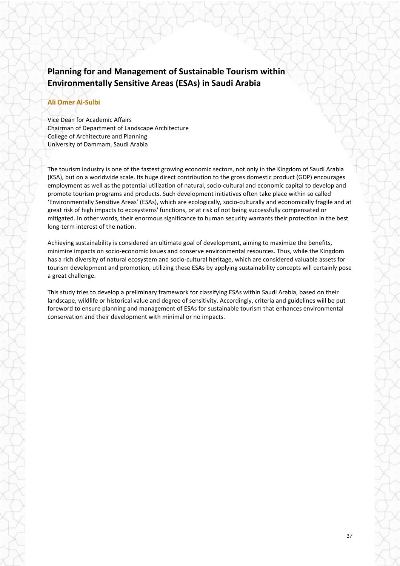# Planning for and Management of Sustainable Tourism within Environmentally Sensitive Areas (ESAs) in Saudi Arabia

### Ali Omer Al-Sulbi

Vice Dean for Academic Affairs Chairman of Department of Landscape Architecture College of Architecture and Planning University of Dammam, Saudi Arabia

The tourism industry is one of the fastest growing economic sectors, not only in the Kingdom of Saudi Arabia (KSA), but on a worldwide scale. Its huge direct contribution to the gross domestic product (GDP) encourages employment as well as the potential utilization of natural, socio-cultural and economic capital to develop and promote tourism programs and products. Such development initiatives often take place within so called 'Environmentally Sensitive Areas' (ESAs), which are ecologically, socio-culturally and economically fragile and at great risk of high impacts to ecosystems' functions, or at risk of not being successfully compensated or mitigated. In other words, their enormous significance to human security warrants their protection in the best long-term interest of the nation.

Achieving sustainability is considered an ultimate goal of development, aiming to maximize the benefits, minimize impacts on socio-economic issues and conserve environmental resources. Thus, while the Kingdom has a rich diversity of natural ecosystem and socio-cultural heritage, which are considered valuable assets for tourism development and promotion, utilizing these ESAs by applying sustainability concepts will certainly pose a great challenge.

This study tries to develop a preliminary framework for classifying ESAs within Saudi Arabia, based on their landscape, wildlife or historical value and degree of sensitivity. Accordingly, criteria and guidelines will be put foreword to ensure planning and management of ESAs for sustainable tourism that enhances environmental conservation and their development with minimal or no impacts.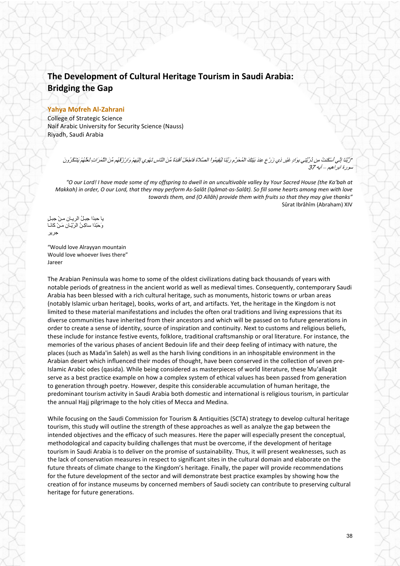# The Development of Cultural Heritage Tourism in Saudi Arabia: Bridging the Gap

### Yahya Mofreh Al-Zahrani

College of Strategic Science Naif Arabic University for Security Science (Nauss) Riyadh, Saudi Arabia

"رَتَنَا إِنِّي اسْكَنتُ مِن دُرِّتَتِي بِوَادِ غَيْرِ ذِي زَرْعٍ عِنْدَ بَيْتِكَ الْمُحَرَّمِ (رَبَّنَا لِيُقِيمُوا الصَّلاَةَ فَاخْعَلْ أَقْنَوْهُ فَنَ الصَّلاةَ الصَّلاةَ وَالْحَمَّلُ وَانْتَسَلَّصَلاً مِنْكُرُونَ  $37$ سو ر ۃ اہر اھیم $-$ آبـه

"O our Lord! I have made some of my offspring to dwell in an uncultivable valley by Your Sacred House (the Ka'bah at Makkah) in order, O our Lord, that they may perform As-Salât (Iqâmat-as-Salât). So fill some hearts among men with love towards them, and (O Allâh) provide them with fruits so that they may give thanks" Sûrat Ibrâhîm (Abraham) XIV

يا حبذا جبـلُ الر يــان مــنْ جبـل وَحَبّذا ساكِنُ الرّيّانِ مَنْ كَانَـا جر بر

"Would love Alrayyan mountain Would love whoever lives there" Jareer

The Arabian Peninsula was home to some of the oldest civilizations dating back thousands of years with notable periods of greatness in the ancient world as well as medieval times. Consequently, contemporary Saudi Arabia has been blessed with a rich cultural heritage, such as monuments, historic towns or urban areas (notably Islamic urban heritage), books, works of art, and artifacts. Yet, the heritage in the Kingdom is not limited to these material manifestations and includes the often oral traditions and living expressions that its diverse communities have inherited from their ancestors and which will be passed on to future generations in order to create a sense of identity, source of inspiration and continuity. Next to customs and religious beliefs, these include for instance festive events, folklore, traditional craftsmanship or oral literature. For instance, the memories of the various phases of ancient Bedouin life and their deep feeling of intimacy with nature, the places (such as Mada'in Saleh) as well as the harsh living conditions in an inhospitable environment in the Arabian desert which influenced their modes of thought, have been conserved in the collection of seven pre-Islamic Arabic odes (qasida). While being considered as masterpieces of world literature, these Mu'allaqāt serve as a best practice example on how a complex system of ethical values has been passed from generation to generation through poetry. However, despite this considerable accumulation of human heritage, the predominant tourism activity in Saudi Arabia both domestic and international is religious tourism, in particular the annual Hajj pilgrimage to the holy cities of Mecca and Medina.

While focusing on the Saudi Commission for Tourism & Antiquities (SCTA) strategy to develop cultural heritage tourism, this study will outline the strength of these approaches as well as analyze the gap between the intended objectives and the efficacy of such measures. Here the paper will especially present the conceptual, methodological and capacity building challenges that must be overcome, if the development of heritage tourism in Saudi Arabia is to deliver on the promise of sustainability. Thus, it will present weaknesses, such as the lack of conservation measures in respect to significant sites in the cultural domain and elaborate on the future threats of climate change to the Kingdom's heritage. Finally, the paper will provide recommendations for the future development of the sector and will demonstrate best practice examples by showing how the creation of for instance museums by concerned members of Saudi society can contribute to preserving cultural heritage for future generations.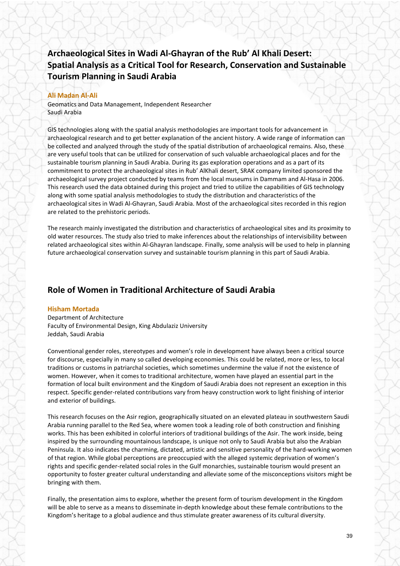# Archaeological Sites in Wadi Al-Ghayran of the Rub' Al Khali Desert: Spatial Analysis as a Critical Tool for Research, Conservation and Sustainable Tourism Planning in Saudi Arabia

### Ali Madan Al-Ali

Geomatics and Data Management, Independent Researcher Saudi Arabia

GIS technologies along with the spatial analysis methodologies are important tools for advancement in archaeological research and to get better explanation of the ancient history. A wide range of information can be collected and analyzed through the study of the spatial distribution of archaeological remains. Also, these are very useful tools that can be utilized for conservation of such valuable archaeological places and for the sustainable tourism planning in Saudi Arabia. During its gas exploration operations and as a part of its commitment to protect the archaeological sites in Rub' AlKhali desert, SRAK company limited sponsored the archaeological survey project conducted by teams from the local museums in Dammam and Al-Hasa in 2006. This research used the data obtained during this project and tried to utilize the capabilities of GIS technology along with some spatial analysis methodologies to study the distribution and characteristics of the archaeological sites in Wadi Al-Ghayran, Saudi Arabia. Most of the archaeological sites recorded in this region are related to the prehistoric periods.

The research mainly investigated the distribution and characteristics of archaeological sites and its proximity to old water resources. The study also tried to make inferences about the relationships of intervisibility between related archaeological sites within Al-Ghayran landscape. Finally, some analysis will be used to help in planning future archaeological conservation survey and sustainable tourism planning in this part of Saudi Arabia.

### Role of Women in Traditional Architecture of Saudi Arabia

### Hisham Mortada

Department of Architecture Faculty of Environmental Design, King Abdulaziz University Jeddah, Saudi Arabia

Conventional gender roles, stereotypes and women's role in development have always been a critical source for discourse, especially in many so called developing economies. This could be related, more or less, to local traditions or customs in patriarchal societies, which sometimes undermine the value if not the existence of women. However, when it comes to traditional architecture, women have played an essential part in the formation of local built environment and the Kingdom of Saudi Arabia does not represent an exception in this respect. Specific gender-related contributions vary from heavy construction work to light finishing of interior and exterior of buildings.

This research focuses on the Asir region, geographically situated on an elevated plateau in southwestern Saudi Arabia running parallel to the Red Sea, where women took a leading role of both construction and finishing works. This has been exhibited in colorful interiors of traditional buildings of the Asir. The work inside, being inspired by the surrounding mountainous landscape, is unique not only to Saudi Arabia but also the Arabian Peninsula. It also indicates the charming, dictated, artistic and sensitive personality of the hard-working women of that region. While global perceptions are preoccupied with the alleged systemic deprivation of women's rights and specific gender-related social roles in the Gulf monarchies, sustainable tourism would present an opportunity to foster greater cultural understanding and alleviate some of the misconceptions visitors might be bringing with them.

Finally, the presentation aims to explore, whether the present form of tourism development in the Kingdom will be able to serve as a means to disseminate in-depth knowledge about these female contributions to the Kingdom's heritage to a global audience and thus stimulate greater awareness of its cultural diversity.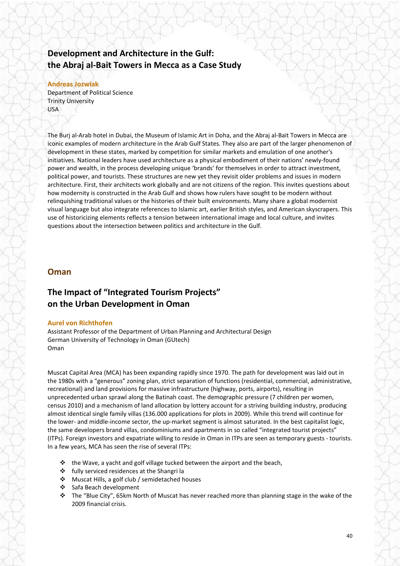# Development and Architecture in the Gulf: the Abraj al-Bait Towers in Mecca as a Case Study

Andreas Jozwiak Department of Political Science Trinity University USA

The Burj al-Arab hotel in Dubai, the Museum of Islamic Art in Doha, and the Abraj al-Bait Towers in Mecca are iconic examples of modern architecture in the Arab Gulf States. They also are part of the larger phenomenon of development in these states, marked by competition for similar markets and emulation of one another's initiatives. National leaders have used architecture as a physical embodiment of their nations' newly-found power and wealth, in the process developing unique 'brands' for themselves in order to attract investment, political power, and tourists. These structures are new yet they revisit older problems and issues in modern architecture. First, their architects work globally and are not citizens of the region. This invites questions about how modernity is constructed in the Arab Gulf and shows how rulers have sought to be modern without relinquishing traditional values or the histories of their built environments. Many share a global modernist visual language but also integrate references to Islamic art, earlier British styles, and American skyscrapers. This use of historicizing elements reflects a tension between international image and local culture, and invites questions about the intersection between politics and architecture in the Gulf.

### Oman

# The Impact of "Integrated Tourism Projects" on the Urban Development in Oman

### Aurel von Richthofen

Assistant Professor of the Department of Urban Planning and Architectural Design German University of Technology in Oman (GUtech) Oman

Muscat Capital Area (MCA) has been expanding rapidly since 1970. The path for development was laid out in the 1980s with a "generous" zoning plan, strict separation of functions (residential, commercial, administrative, recreational) and land provisions for massive infrastructure (highway, ports, airports), resulting in unprecedented urban sprawl along the Batinah coast. The demographic pressure (7 children per women, census 2010) and a mechanism of land allocation by lottery account for a striving building industry, producing almost identical single family villas (136.000 applications for plots in 2009). While this trend will continue for the lower- and middle-income sector, the up-market segment is almost saturated. In the best capitalist logic, the same developers brand villas, condominiums and apartments in so called "integrated tourist projects" (ITPs). Foreign investors and expatriate willing to reside in Oman in ITPs are seen as temporary guests - tourists. In a few years, MCA has seen the rise of several ITPs:

- $\cdot \cdot$  the Wave, a yacht and golf village tucked between the airport and the beach,
- fully serviced residences at the Shangri la
- Muscat Hills, a golf club / semidetached houses
- ❖ Safa Beach development
- The "Blue City", 65km North of Muscat has never reached more than planning stage in the wake of the 2009 financial crisis.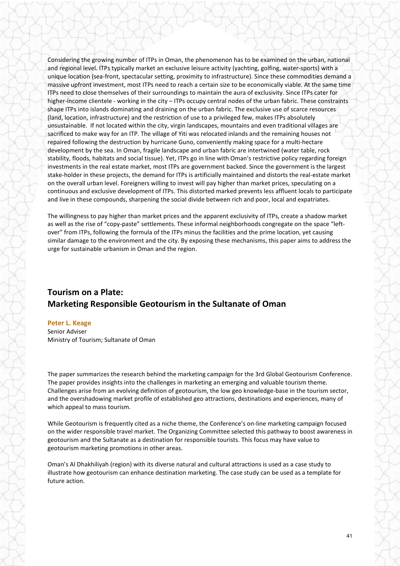Considering the growing number of ITPs in Oman, the phenomenon has to be examined on the urban, national and regional level. ITPs typically market an exclusive leisure activity (yachting, golfing, water-sports) with a unique location (sea-front, spectacular setting, proximity to infrastructure). Since these commodities demand a massive upfront investment, most ITPs need to reach a certain size to be economically viable. At the same time ITPs need to close themselves of their surroundings to maintain the aura of exclusivity. Since ITPs cater for higher-income clientele - working in the city – ITPs occupy central nodes of the urban fabric. These constraints shape ITPs into islands dominating and draining on the urban fabric. The exclusive use of scarce resources (land, location, infrastructure) and the restriction of use to a privileged few, makes ITPs absolutely unsustainable. If not located within the city, virgin landscapes, mountains and even traditional villages are sacrificed to make way for an ITP. The village of Yiti was relocated inlands and the remaining houses not repaired following the destruction by hurricane Guno, conveniently making space for a multi-hectare development by the sea. In Oman, fragile landscape and urban fabric are intertwined (water table, rock stability, floods, habitats and social tissue). Yet, ITPs go in line with Oman's restrictive policy regarding foreign investments in the real estate market, most ITPs are government backed. Since the government is the largest stake-holder in these projects, the demand for ITPs is artificially maintained and distorts the real-estate market on the overall urban level. Foreigners willing to invest will pay higher than market prices, speculating on a continuous and exclusive development of ITPs. This distorted marked prevents less affluent locals to participate and live in these compounds, sharpening the social divide between rich and poor, local and expatriates.

The willingness to pay higher than market prices and the apparent exclusivity of ITPs, create a shadow market as well as the rise of "copy-paste" settlements. These informal neighborhoods congregate on the space "leftover" from ITPs, following the formula of the ITPs minus the facilities and the prime location, yet causing similar damage to the environment and the city. By exposing these mechanisms, this paper aims to address the urge for sustainable urbanism in Oman and the region.

# Tourism on a Plate: Marketing Responsible Geotourism in the Sultanate of Oman

### Peter L. Keage

Senior Adviser Ministry of Tourism; Sultanate of Oman

The paper summarizes the research behind the marketing campaign for the 3rd Global Geotourism Conference. The paper provides insights into the challenges in marketing an emerging and valuable tourism theme. Challenges arise from an evolving definition of geotourism, the low geo knowledge-base in the tourism sector, and the overshadowing market profile of established geo attractions, destinations and experiences, many of which appeal to mass tourism.

While Geotourism is frequently cited as a niche theme, the Conference's on-line marketing campaign focused on the wider responsible travel market. The Organizing Committee selected this pathway to boost awareness in geotourism and the Sultanate as a destination for responsible tourists. This focus may have value to geotourism marketing promotions in other areas.

Oman's Al Dhakhiliyah (region) with its diverse natural and cultural attractions is used as a case study to illustrate how geotourism can enhance destination marketing. The case study can be used as a template for future action.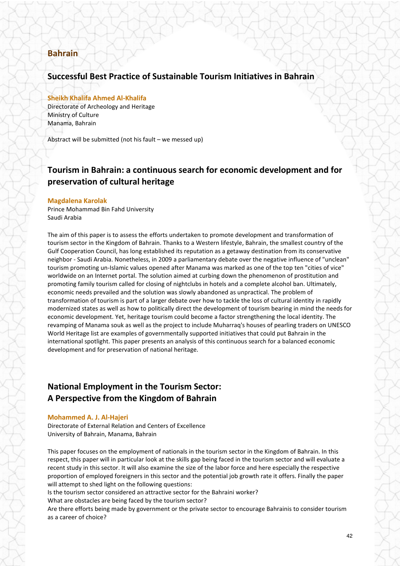### Bahrain

### Successful Best Practice of Sustainable Tourism Initiatives in Bahrain

### Sheikh Khalifa Ahmed Al-Khalifa

Directorate of Archeology and Heritage Ministry of Culture Manama, Bahrain

Abstract will be submitted (not his fault – we messed up)

# Tourism in Bahrain: a continuous search for economic development and for preservation of cultural heritage

#### Magdalena Karolak

Prince Mohammad Bin Fahd University Saudi Arabia

The aim of this paper is to assess the efforts undertaken to promote development and transformation of tourism sector in the Kingdom of Bahrain. Thanks to a Western lifestyle, Bahrain, the smallest country of the Gulf Cooperation Council, has long established its reputation as a getaway destination from its conservative neighbor - Saudi Arabia. Nonetheless, in 2009 a parliamentary debate over the negative influence of "unclean" tourism promoting un-Islamic values opened after Manama was marked as one of the top ten "cities of vice" worldwide on an Internet portal. The solution aimed at curbing down the phenomenon of prostitution and promoting family tourism called for closing of nightclubs in hotels and a complete alcohol ban. Ultimately, economic needs prevailed and the solution was slowly abandoned as unpractical. The problem of transformation of tourism is part of a larger debate over how to tackle the loss of cultural identity in rapidly modernized states as well as how to politically direct the development of tourism bearing in mind the needs for economic development. Yet, heritage tourism could become a factor strengthening the local identity. The revamping of Manama souk as well as the project to include Muharraq's houses of pearling traders on UNESCO World Heritage list are examples of governmentally supported initiatives that could put Bahrain in the international spotlight. This paper presents an analysis of this continuous search for a balanced economic development and for preservation of national heritage.

### National Employment in the Tourism Sector: A Perspective from the Kingdom of Bahrain

#### Mohammed A. J. Al-Hajeri

Directorate of External Relation and Centers of Excellence University of Bahrain, Manama, Bahrain

This paper focuses on the employment of nationals in the tourism sector in the Kingdom of Bahrain. In this respect, this paper will in particular look at the skills gap being faced in the tourism sector and will evaluate a recent study in this sector. It will also examine the size of the labor force and here especially the respective proportion of employed foreigners in this sector and the potential job growth rate it offers. Finally the paper will attempt to shed light on the following questions:

Is the tourism sector considered an attractive sector for the Bahraini worker?

What are obstacles are being faced by the tourism sector?

Are there efforts being made by government or the private sector to encourage Bahrainis to consider tourism as a career of choice?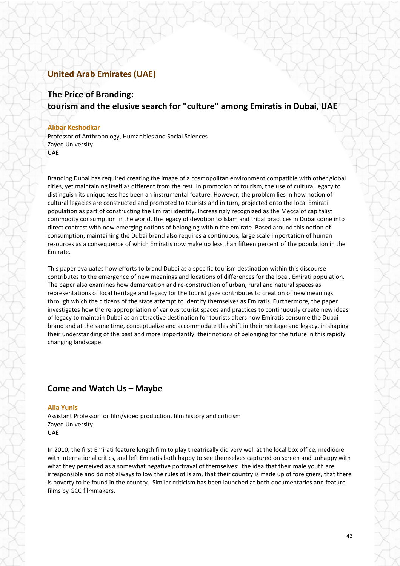# United Arab Emirates (UAE)

# The Price of Branding: tourism and the elusive search for "culture" among Emiratis in Dubai, UAE

### Akbar Keshodkar

Professor of Anthropology, Humanities and Social Sciences Zayed University UAE

Branding Dubai has required creating the image of a cosmopolitan environment compatible with other global cities, yet maintaining itself as different from the rest. In promotion of tourism, the use of cultural legacy to distinguish its uniqueness has been an instrumental feature. However, the problem lies in how notion of cultural legacies are constructed and promoted to tourists and in turn, projected onto the local Emirati population as part of constructing the Emirati identity. Increasingly recognized as the Mecca of capitalist commodity consumption in the world, the legacy of devotion to Islam and tribal practices in Dubai come into direct contrast with now emerging notions of belonging within the emirate. Based around this notion of consumption, maintaining the Dubai brand also requires a continuous, large scale importation of human resources as a consequence of which Emiratis now make up less than fifteen percent of the population in the Emirate.

This paper evaluates how efforts to brand Dubai as a specific tourism destination within this discourse contributes to the emergence of new meanings and locations of differences for the local, Emirati population. The paper also examines how demarcation and re-construction of urban, rural and natural spaces as representations of local heritage and legacy for the tourist gaze contributes to creation of new meanings through which the citizens of the state attempt to identify themselves as Emiratis. Furthermore, the paper investigates how the re-appropriation of various tourist spaces and practices to continuously create new ideas of legacy to maintain Dubai as an attractive destination for tourists alters how Emiratis consume the Dubai brand and at the same time, conceptualize and accommodate this shift in their heritage and legacy, in shaping their understanding of the past and more importantly, their notions of belonging for the future in this rapidly changing landscape.

### Come and Watch Us – Maybe

### Alia Yunis

Assistant Professor for film/video production, film history and criticism Zayed University UAE

In 2010, the first Emirati feature length film to play theatrically did very well at the local box office, mediocre with international critics, and left Emiratis both happy to see themselves captured on screen and unhappy with what they perceived as a somewhat negative portrayal of themselves: the idea that their male youth are irresponsible and do not always follow the rules of Islam, that their country is made up of foreigners, that there is poverty to be found in the country. Similar criticism has been launched at both documentaries and feature films by GCC filmmakers.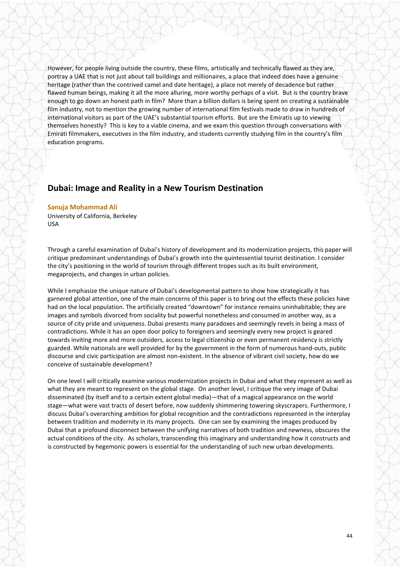However, for people living outside the country, these films, artistically and technically flawed as they are, portray a UAE that is not just about tall buildings and millionaires, a place that indeed does have a genuine heritage (rather than the contrived camel and date heritage), a place not merely of decadence but rather flawed human beings, making it all the more alluring, more worthy perhaps of a visit. But is the country brave enough to go down an honest path in film? More than a billion dollars is being spent on creating a sustainable film industry, not to mention the growing number of international film festivals made to draw in hundreds of international visitors as part of the UAE's substantial tourism efforts. But are the Emiratis up to viewing themselves honestly? This is key to a viable cinema, and we exam this question through conversations with Emirati filmmakers, executives in the film industry, and students currently studying film in the country's film education programs.

### Dubai: Image and Reality in a New Tourism Destination

### Sanuja Mohammad Ali

University of California, Berkeley USA

Through a careful examination of Dubai's history of development and its modernization projects, this paper will critique predominant understandings of Dubai's growth into the quintessential tourist destination. I consider the city's positioning in the world of tourism through different tropes such as its built environment, megaprojects, and changes in urban policies.

While I emphasize the unique nature of Dubai's developmental pattern to show how strategically it has garnered global attention, one of the main concerns of this paper is to bring out the effects these policies have had on the local population. The artificially created "downtown" for instance remains uninhabitable; they are images and symbols divorced from sociality but powerful nonetheless and consumed in another way, as a source of city pride and uniqueness. Dubai presents many paradoxes and seemingly revels in being a mass of contradictions. While it has an open door policy to foreigners and seemingly every new project is geared towards inviting more and more outsiders, access to legal citizenship or even permanent residency is strictly guarded. While nationals are well provided for by the government in the form of numerous hand-outs, public discourse and civic participation are almost non-existent. In the absence of vibrant civil society, how do we conceive of sustainable development?

On one level I will critically examine various modernization projects in Dubai and what they represent as well as what they are meant to represent on the global stage. On another level, I critique the very image of Dubai disseminated (by itself and to a certain extent global media)—that of a magical appearance on the world stage—what were vast tracts of desert before, now suddenly shimmering towering skyscrapers. Furthermore, I discuss Dubai's overarching ambition for global recognition and the contradictions represented in the interplay between tradition and modernity in its many projects. One can see by examining the images produced by Dubai that a profound disconnect between the unifying narratives of both tradition and newness, obscures the actual conditions of the city. As scholars, transcending this imaginary and understanding how it constructs and is constructed by hegemonic powers is essential for the understanding of such new urban developments.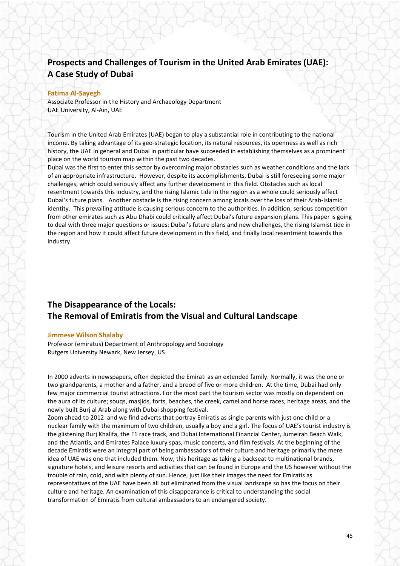# Prospects and Challenges of Tourism in the United Arab Emirates (UAE): A Case Study of Dubai

#### Fatima Al-Sayegh

Associate Professor in the History and Archaeology Department UAE University, Al-Ain, UAE

Tourism in the United Arab Emirates (UAE) began to play a substantial role in contributing to the national income. By taking advantage of its geo-strategic location, its natural resources, its openness as well as rich history, the UAE in general and Dubai in particular have succeeded in establishing themselves as a prominent place on the world tourism map within the past two decades.

Dubai was the first to enter this sector by overcoming major obstacles such as weather conditions and the lack of an appropriate infrastructure. However, despite its accomplishments, Dubai is still foreseeing some major challenges, which could seriously affect any further development in this field. Obstacles such as local resentment towards this industry, and the rising Islamic tide in the region as a whole could seriously affect Dubai's future plans. Another obstacle is the rising concern among locals over the loss of their Arab-Islamic identity. This prevailing attitude is causing serious concern to the authorities. In addition, serious competition from other emirates such as Abu Dhabi could critically affect Dubai's future expansion plans. This paper is going to deal with three major questions or issues: Dubai's future plans and new challenges, the rising Islamist tide in the region and how it could affect future development in this field, and finally local resentment towards this industry.

### The Disappearance of the Locals: The Removal of Emiratis from the Visual and Cultural Landscape

#### Jimmese Wilson Shalaby

Professor (emiratus) Department of Anthropology and Sociology Rutgers University Newark, New Jersey, US

In 2000 adverts in newspapers, often depicted the Emirati as an extended family. Normally, it was the one or two grandparents, a mother and a father, and a brood of five or more children. At the time, Dubai had only few major commercial tourist attractions. For the most part the tourism sector was mostly on dependent on the aura of its culture; souqs, masjids, forts, beaches, the creek, camel and horse races, heritage areas, and the newly built Burj al Arab along with Dubai shopping festival.

Zoom ahead to 2012 and we find adverts that portray Emiratis as single parents with just one child or a nuclear family with the maximum of two children, usually a boy and a girl. The focus of UAE's tourist industry is the glistening Burj Khalifa, the F1 race track, and Dubai International Financial Center, Jumeirah Beach Walk, and the Atlantis, and Emirates Palace luxury spas, music concerts, and film festivals. At the beginning of the decade Emiratis were an integral part of being ambassadors of their culture and heritage primarily the mere idea of UAE was one that included them. Now, this heritage as taking a backseat to multinational brands, signature hotels, and leisure resorts and activities that can be found in Europe and the US however without the trouble of rain, cold, and with plenty of sun. Hence, just like their images the need for Emiratis as representatives of the UAE have been all but eliminated from the visual landscape so has the focus on their culture and heritage. An examination of this disappearance is critical to understanding the social transformation of Emiratis from cultural ambassadors to an endangered society.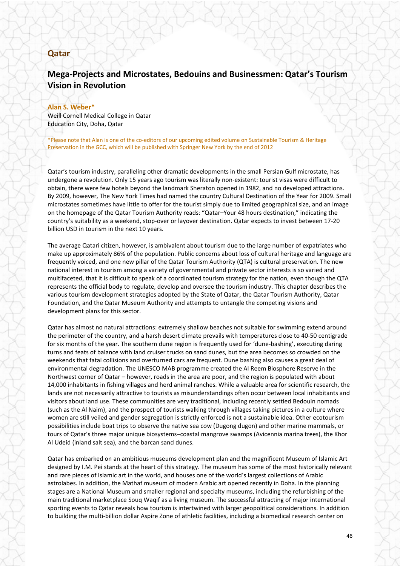### Qatar

# Mega-Projects and Microstates, Bedouins and Businessmen: Qatar's Tourism Vision in Revolution

### Alan S. Weber\*

Weill Cornell Medical College in Qatar Education City, Doha, Qatar

\*Please note that Alan is one of the co-editors of our upcoming edited volume on Sustainable Tourism & Heritage Preservation in the GCC, which will be published with Springer New York by the end of 2012

Qatar's tourism industry, paralleling other dramatic developments in the small Persian Gulf microstate, has undergone a revolution. Only 15 years ago tourism was literally non-existent: tourist visas were difficult to obtain, there were few hotels beyond the landmark Sheraton opened in 1982, and no developed attractions. By 2009, however, The New York Times had named the country Cultural Destination of the Year for 2009. Small microstates sometimes have little to offer for the tourist simply due to limited geographical size, and an image on the homepage of the Qatar Tourism Authority reads: "Qatar–Your 48 hours destination," indicating the country's suitability as a weekend, stop-over or layover destination. Qatar expects to invest between 17-20 billion USD in tourism in the next 10 years.

The average Qatari citizen, however, is ambivalent about tourism due to the large number of expatriates who make up approximately 86% of the population. Public concerns about loss of cultural heritage and language are frequently voiced, and one new pillar of the Qatar Tourism Authority (QTA) is cultural preservation. The new national interest in tourism among a variety of governmental and private sector interests is so varied and multifaceted, that it is difficult to speak of a coordinated tourism strategy for the nation, even though the QTA represents the official body to regulate, develop and oversee the tourism industry. This chapter describes the various tourism development strategies adopted by the State of Qatar, the Qatar Tourism Authority, Qatar Foundation, and the Qatar Museum Authority and attempts to untangle the competing visions and development plans for this sector.

Qatar has almost no natural attractions: extremely shallow beaches not suitable for swimming extend around the perimeter of the country, and a harsh desert climate prevails with temperatures close to 40-50 centigrade for six months of the year. The southern dune region is frequently used for 'dune-bashing', executing daring turns and feats of balance with land cruiser trucks on sand dunes, but the area becomes so crowded on the weekends that fatal collisions and overturned cars are frequent. Dune bashing also causes a great deal of environmental degradation. The UNESCO MAB programme created the Al Reem Biosphere Reserve in the Northwest corner of Qatar – however, roads in the area are poor, and the region is populated with about 14,000 inhabitants in fishing villages and herd animal ranches. While a valuable area for scientific research, the lands are not necessarily attractive to tourists as misunderstandings often occur between local inhabitants and visitors about land use. These communities are very traditional, including recently settled Bedouin nomads (such as the Al Naim), and the prospect of tourists walking through villages taking pictures in a culture where women are still veiled and gender segregation is strictly enforced is not a sustainable idea. Other ecotourism possibilities include boat trips to observe the native sea cow (Dugong dugon) and other marine mammals, or tours of Qatar's three major unique biosystems–coastal mangrove swamps (Avicennia marina trees), the Khor Al Udeid (inland salt sea), and the barcan sand dunes.

Qatar has embarked on an ambitious museums development plan and the magnificent Museum of Islamic Art designed by I.M. Pei stands at the heart of this strategy. The museum has some of the most historically relevant and rare pieces of Islamic art in the world, and houses one of the world's largest collections of Arabic astrolabes. In addition, the Mathaf museum of modern Arabic art opened recently in Doha. In the planning stages are a National Museum and smaller regional and specialty museums, including the refurbishing of the main traditional marketplace Souq Waqif as a living museum. The successful attracting of major international sporting events to Qatar reveals how tourism is intertwined with larger geopolitical considerations. In addition to building the multi-billion dollar Aspire Zone of athletic facilities, including a biomedical research center on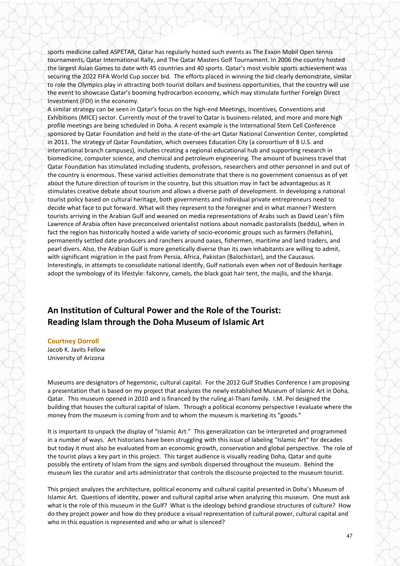sports medicine called ASPETAR, Qatar has regularly hosted such events as The Exxon Mobil Open tennis tournaments, Qatar International Rally, and The Qatar Masters Golf Tournament. In 2006 the country hosted the largest Asian Games to date with 45 countries and 40 sports. Qatar's most visible sports achievement was securing the 2022 FIFA World Cup soccer bid. The efforts placed in winning the bid clearly demonstrate, similar to role the Olympics play in attracting both tourist dollars and business opportunities, that the country will use the event to showcase Qatar's booming hydrocarbon economy, which may stimulate further Foreign Direct Investment (FDI) in the economy.

A similar strategy can be seen in Qatar's focus on the high-end Meetings, Incentives, Conventions and Exhibitions (MICE) sector. Currently most of the travel to Qatar is business-related, and more and more high profile meetings are being scheduled in Doha. A recent example is the International Stem Cell Conference sponsored by Qatar Foundation and held in the state-of-the-art Qatar National Convention Center, completed in 2011. The strategy of Qatar Foundation, which oversees Education City (a consortium of 8 U.S. and international branch campuses), includes creating a regional educational hub and supporting research in biomedicine, computer science, and chemical and petroleum engineering. The amount of business travel that Qatar Foundation has stimulated including students, professors, researchers and other personnel in and out of the country is enormous. These varied activities demonstrate that there is no government consensus as of yet about the future direction of tourism in the country, but this situation may in fact be advantageous as it stimulates creative debate about tourism and allows a diverse path of development. In developing a national tourist policy based on cultural heritage, both governments and individual private entrepreneurs need to decide what face to put forward. What will they represent to the foreigner and in what manner? Western tourists arriving in the Arabian Gulf and weaned on media representations of Arabs such as David Lean's film Lawrence of Arabia often have preconceived orientalist notions about nomadic pastoralists (beddu), when in fact the region has historically hosted a wide variety of socio-economic groups such as farmers (fellahin), permanently settled date producers and ranchers around oases, fishermen, maritime and land traders, and pearl divers. Also, the Arabian Gulf is more genetically diverse than its own inhabitants are willing to admit, with significant migration in the past from Persia, Africa, Pakistan (Balochistan), and the Caucasus. Interestingly, in attempts to consolidate national identify, Gulf nationals even when not of Bedouin heritage adopt the symbology of its lifestyle: falconry, camels, the black goat hair tent, the majlis, and the khanja.

### An Institution of Cultural Power and the Role of the Tourist: Reading Islam through the Doha Museum of Islamic Art

### Courtney Dorroll

Jacob K. Javits Fellow University of Arizona

Museums are designators of hegemonic, cultural capital. For the 2012 Gulf Studies Conference I am proposing a presentation that is based on my project that analyzes the newly established Museum of Islamic Art in Doha, Qatar. This museum opened in 2010 and is financed by the ruling al-Thani family. I.M. Pei designed the building that houses the cultural capital of Islam. Through a political economy perspective I evaluate where the money from the museum is coming from and to whom the museum is marketing its "goods."

It is important to unpack the display of "Islamic Art." This generalization can be interpreted and programmed in a number of ways. Art historians have been struggling with this issue of labeling "Islamic Art" for decades but today it must also be evaluated from an economic growth, conservation and global perspective. The role of the tourist plays a key part in this project. This target audience is visually reading Doha, Qatar and quite possibly the entirety of Islam from the signs and symbols dispersed throughout the museum. Behind the museum lies the curator and arts administrator that controls the discourse projected to the museum tourist.

This project analyzes the architecture, political economy and cultural capital presented in Doha's Museum of Islamic Art. Questions of identity, power and cultural capital arise when analyzing this museum. One must ask what is the role of this museum in the Gulf? What is the ideology behind grandiose structures of culture? How do they project power and how do they produce a visual representation of cultural power, cultural capital and who in this equation is represented and who or what is silenced?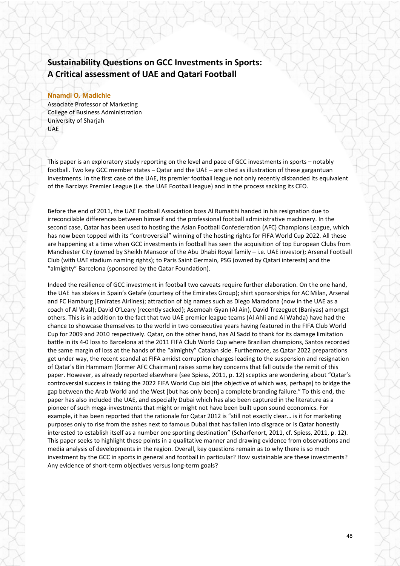# Sustainability Questions on GCC Investments in Sports: A Critical assessment of UAE and Qatari Football

### Nnamdi O. Madichie Associate Professor of Marketing College of Business Administration University of Sharjah UAE

This paper is an exploratory study reporting on the level and pace of GCC investments in sports – notably football. Two key GCC member states – Qatar and the UAE – are cited as illustration of these gargantuan investments. In the first case of the UAE, its premier football league not only recently disbanded its equivalent of the Barclays Premier League (i.e. the UAE Football league) and in the process sacking its CEO.

Before the end of 2011, the UAE Football Association boss Al Rumaithi handed in his resignation due to irreconcilable differences between himself and the professional football administrative machinery. In the second case, Qatar has been used to hosting the Asian Football Confederation (AFC) Champions League, which has now been topped with its "controversial" winning of the hosting rights for FIFA World Cup 2022. All these are happening at a time when GCC investments in football has seen the acquisition of top European Clubs from Manchester City (owned by Sheikh Mansoor of the Abu Dhabi Royal family – i.e. UAE investor); Arsenal Football Club (with UAE stadium naming rights); to Paris Saint Germain, PSG (owned by Qatari interests) and the "almighty" Barcelona (sponsored by the Qatar Foundation).

Indeed the resilience of GCC investment in football two caveats require further elaboration. On the one hand, the UAE has stakes in Spain's Getafe (courtesy of the Emirates Group); shirt sponsorships for AC Milan, Arsenal and FC Hamburg (Emirates Airlines); attraction of big names such as Diego Maradona (now in the UAE as a coach of Al Wasl); David O'Leary (recently sacked); Asemoah Gyan (Al Ain), David Trezeguet (Baniyas) amongst others. This is in addition to the fact that two UAE premier league teams (Al Ahli and Al Wahda) have had the chance to showcase themselves to the world in two consecutive years having featured in the FIFA Club World Cup for 2009 and 2010 respectively. Qatar, on the other hand, has Al Sadd to thank for its damage limitation battle in its 4-0 loss to Barcelona at the 2011 FIFA Club World Cup where Brazilian champions, Santos recorded the same margin of loss at the hands of the "almighty" Catalan side. Furthermore, as Qatar 2022 preparations get under way, the recent scandal at FIFA amidst corruption charges leading to the suspension and resignation of Qatar's Bin Hammam (former AFC Chairman) raises some key concerns that fall outside the remit of this paper. However, as already reported elsewhere (see Spiess, 2011, p. 12) sceptics are wondering about "Qatar's controversial success in taking the 2022 FIFA World Cup bid [the objective of which was, perhaps] to bridge the gap between the Arab World and the West [but has only been] a complete branding failure." To this end, the paper has also included the UAE, and especially Dubai which has also been captured in the literature as a pioneer of such mega-investments that might or might not have been built upon sound economics. For example, it has been reported that the rationale for Qatar 2012 is "still not exactly clear… is it for marketing purposes only to rise from the ashes next to famous Dubai that has fallen into disgrace or is Qatar honestly interested to establish itself as a number one sporting destination" (Scharfenort, 2011, cf. Spiess, 2011, p. 12). This paper seeks to highlight these points in a qualitative manner and drawing evidence from observations and media analysis of developments in the region. Overall, key questions remain as to why there is so much investment by the GCC in sports in general and football in particular? How sustainable are these investments? Any evidence of short-term objectives versus long-term goals?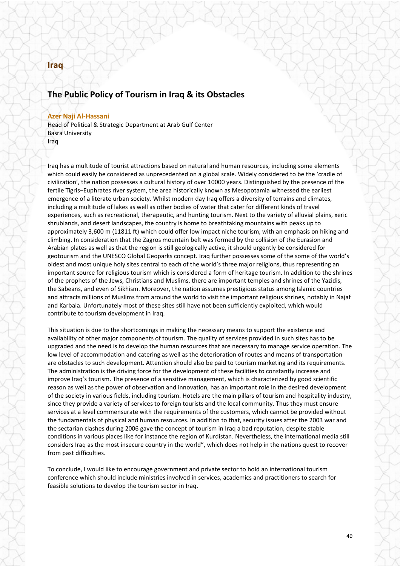### Iraq

### The Public Policy of Tourism in Iraq & its Obstacles

### Azer Naji Al-Hassani

Head of Political & Strategic Department at Arab Gulf Center Basra University Iraq

Iraq has a multitude of tourist attractions based on natural and human resources, including some elements which could easily be considered as unprecedented on a global scale. Widely considered to be the 'cradle of civilization', the nation possesses a cultural history of over 10000 years. Distinguished by the presence of the fertile Tigris–Euphrates river system, the area historically known as Mesopotamia witnessed the earliest emergence of a literate urban society. Whilst modern day Iraq offers a diversity of terrains and climates, including a multitude of lakes as well as other bodies of water that cater for different kinds of travel experiences, such as recreational, therapeutic, and hunting tourism. Next to the variety of alluvial plains, xeric shrublands, and desert landscapes, the country is home to breathtaking mountains with peaks up to approximately 3,600 m (11811 ft) which could offer low impact niche tourism, with an emphasis on hiking and climbing. In consideration that the Zagros mountain belt was formed by the collision of the Eurasion and Arabian plates as well as that the region is still geologically active, it should urgently be considered for geotourism and the UNESCO Global Geoparks concept. Iraq further possesses some of the some of the world's oldest and most unique holy sites central to each of the world's three major religions, thus representing an important source for religious tourism which is considered a form of heritage tourism. In addition to the shrines of the prophets of the Jews, Christians and Muslims, there are important temples and shrines of the Yazidis, the Sabeans, and even of Sikhism. Moreover, the nation assumes prestigious status among Islamic countries and attracts millions of Muslims from around the world to visit the important religious shrines, notably in Najaf and Karbala. Unfortunately most of these sites still have not been sufficiently exploited, which would contribute to tourism development in Iraq.

This situation is due to the shortcomings in making the necessary means to support the existence and availability of other major components of tourism. The quality of services provided in such sites has to be upgraded and the need is to develop the human resources that are necessary to manage service operation. The low level of accommodation and catering as well as the deterioration of routes and means of transportation are obstacles to such development. Attention should also be paid to tourism marketing and its requirements. The administration is the driving force for the development of these facilities to constantly increase and improve Iraq's tourism. The presence of a sensitive management, which is characterized by good scientific reason as well as the power of observation and innovation, has an important role in the desired development of the society in various fields, including tourism. Hotels are the main pillars of tourism and hospitality industry, since they provide a variety of services to foreign tourists and the local community. Thus they must ensure services at a level commensurate with the requirements of the customers, which cannot be provided without the fundamentals of physical and human resources. In addition to that, security issues after the 2003 war and the sectarian clashes during 2006 gave the concept of tourism in Iraq a bad reputation, despite stable conditions in various places like for instance the region of Kurdistan. Nevertheless, the international media still considers Iraq as the most insecure country in the world", which does not help in the nations quest to recover from past difficulties.

To conclude, I would like to encourage government and private sector to hold an international tourism conference which should include ministries involved in services, academics and practitioners to search for feasible solutions to develop the tourism sector in Iraq.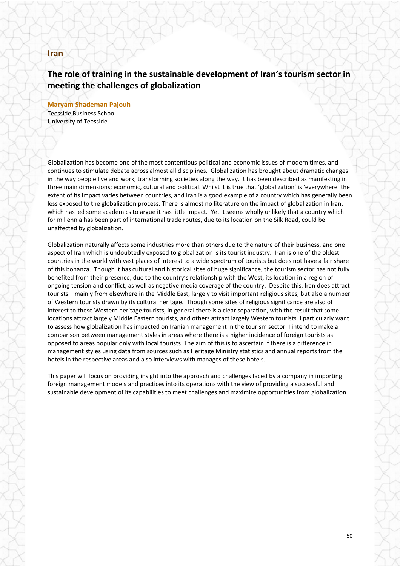### Iran

# The role of training in the sustainable development of Iran's tourism sector in meeting the challenges of globalization

### Maryam Shademan Pajouh Teesside Business School University of Teesside

Globalization has become one of the most contentious political and economic issues of modern times, and continues to stimulate debate across almost all disciplines. Globalization has brought about dramatic changes in the way people live and work, transforming societies along the way. It has been described as manifesting in three main dimensions; economic, cultural and political. Whilst it is true that 'globalization' is 'everywhere' the extent of its impact varies between countries, and Iran is a good example of a country which has generally been less exposed to the globalization process. There is almost no literature on the impact of globalization in Iran, which has led some academics to argue it has little impact. Yet it seems wholly unlikely that a country which for millennia has been part of international trade routes, due to its location on the Silk Road, could be unaffected by globalization.

Globalization naturally affects some industries more than others due to the nature of their business, and one aspect of Iran which is undoubtedly exposed to globalization is its tourist industry. Iran is one of the oldest countries in the world with vast places of interest to a wide spectrum of tourists but does not have a fair share of this bonanza. Though it has cultural and historical sites of huge significance, the tourism sector has not fully benefited from their presence, due to the country's relationship with the West, its location in a region of ongoing tension and conflict, as well as negative media coverage of the country. Despite this, Iran does attract tourists – mainly from elsewhere in the Middle East, largely to visit important religious sites, but also a number of Western tourists drawn by its cultural heritage. Though some sites of religious significance are also of interest to these Western heritage tourists, in general there is a clear separation, with the result that some locations attract largely Middle Eastern tourists, and others attract largely Western tourists. I particularly want to assess how globalization has impacted on Iranian management in the tourism sector. I intend to make a comparison between management styles in areas where there is a higher incidence of foreign tourists as opposed to areas popular only with local tourists. The aim of this is to ascertain if there is a difference in management styles using data from sources such as Heritage Ministry statistics and annual reports from the hotels in the respective areas and also interviews with manages of these hotels.

This paper will focus on providing insight into the approach and challenges faced by a company in importing foreign management models and practices into its operations with the view of providing a successful and sustainable development of its capabilities to meet challenges and maximize opportunities from globalization.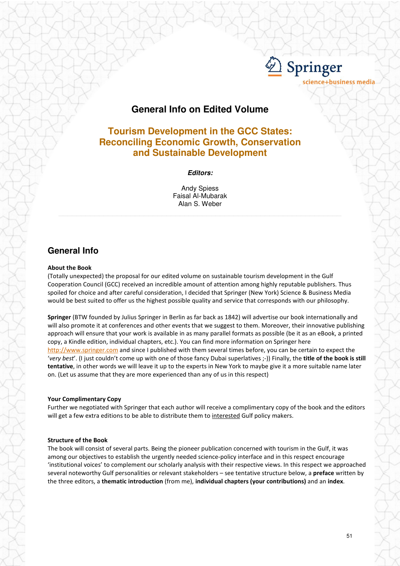

### **General Info on Edited Volume**

# **Tourism Development in the GCC States: Reconciling Economic Growth, Conservation and Sustainable Development**

### **Editors:**

Andy Spiess Faisal Al-Mubarak Alan S. Weber

# **General Info**

### About the Book

(Totally unexpected) the proposal for our edited volume on sustainable tourism development in the Gulf Cooperation Council (GCC) received an incredible amount of attention among highly reputable publishers. Thus spoiled for choice and after careful consideration, I decided that Springer (New York) Science & Business Media would be best suited to offer us the highest possible quality and service that corresponds with our philosophy.

Springer (BTW founded by Julius Springer in Berlin as far back as 1842) will advertise our book internationally and will also promote it at conferences and other events that we suggest to them. Moreover, their innovative publishing approach will ensure that your work is available in as many parallel formats as possible (be it as an eBook, a printed copy, a Kindle edition, individual chapters, etc.). You can find more information on Springer here http://www.springer.com and since I published with them several times before, you can be certain to expect the 'very best'. (I just couldn't come up with one of those fancy Dubai superlatives ;-)) Finally, the title of the book is still tentative, in other words we will leave it up to the experts in New York to maybe give it a more suitable name later on. (Let us assume that they are more experienced than any of us in this respect)

### Your Complimentary Copy

Further we negotiated with Springer that each author will receive a complimentary copy of the book and the editors will get a few extra editions to be able to distribute them to interested Gulf policy makers.

### Structure of the Book

The book will consist of several parts. Being the pioneer publication concerned with tourism in the Gulf, it was among our objectives to establish the urgently needed science-policy interface and in this respect encourage 'institutional voices' to complement our scholarly analysis with their respective views. In this respect we approached several noteworthy Gulf personalities or relevant stakeholders - see tentative structure below, a preface written by the three editors, a thematic introduction (from me), individual chapters (your contributions) and an index.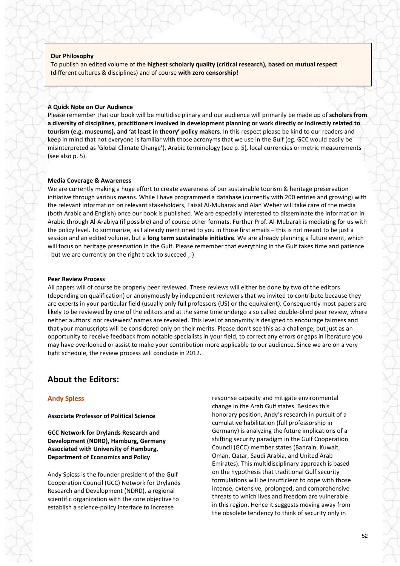#### Our Philosophy

 To publish an edited volume of the highest scholarly quality (critical research), based on mutual respect (different cultures & disciplines) and of course with zero censorship!

#### A Quick Note on Our Audience

Please remember that our book will be multidisciplinary and our audience will primarily be made up of scholars from a diversity of disciplines, practitioners involved in development planning or work directly or indirectly related to tourism (e.g. museums), and 'at least in theory' policy makers. In this respect please be kind to our readers and keep in mind that not everyone is familiar with those acronyms that we use in the Gulf (eg. GCC would easily be misinterpreted as 'Global Climate Change'), Arabic terminology (see p. 5), local currencies or metric measurements (see also p. 5).

#### Media Coverage & Awareness

We are currently making a huge effort to create awareness of our sustainable tourism & heritage preservation initiative through various means. While I have programmed a database (currently with 200 entries and growing) with the relevant information on relevant stakeholders, Faisal Al-Mubarak and Alan Weber will take care of the media (both Arabic and English) once our book is published. We are especially interested to disseminate the information in Arabic through Al-Arabiya (if possible) and of course other formats. Further Prof. Al-Mubarak is mediating for us with the policy level. To summarize, as I already mentioned to you in those first emails – this is not meant to be just a session and an edited volume, but a long term sustainable initiative. We are already planning a future event, which will focus on heritage preservation in the Gulf. Please remember that everything in the Gulf takes time and patience - but we are currently on the right track to succeed ;-)

#### Peer Review Process

All papers will of course be properly peer reviewed. These reviews will either be done by two of the editors (depending on qualification) or anonymously by independent reviewers that we invited to contribute because they are experts in your particular field (usually only full professors (US) or the equivalent). Consequently most papers are likely to be reviewed by one of the editors and at the same time undergo a so called double-blind peer review, where neither authors' nor reviewers' names are revealed. This level of anonymity is designed to encourage fairness and that your manuscripts will be considered only on their merits. Please don't see this as a challenge, but just as an opportunity to receive feedback from notable specialists in your field, to correct any errors or gaps in literature you may have overlooked or assist to make your contribution more applicable to our audience. Since we are on a very tight schedule, the review process will conclude in 2012.

### About the Editors:

#### Andy Spiess

#### Associate Professor of Political Science

GCC Network for Drylands Research and Development (NDRD), Hamburg, Germany Associated with University of Hamburg, Department of Economics and Policy

Andy Spiess is the founder president of the Gulf Cooperation Council (GCC) Network for Drylands Research and Development (NDRD), a regional scientific organization with the core objective to establish a science-policy interface to increase

response capacity and mitigate environmental change in the Arab Gulf states. Besides this honorary position, Andy's research in pursuit of a cumulative habilitation (full professorship in Germany) is analyzing the future implications of a shifting security paradigm in the Gulf Cooperation Council (GCC) member states (Bahrain, Kuwait, Oman, Qatar, Saudi Arabia, and United Arab Emirates). This multidisciplinary approach is based on the hypothesis that traditional Gulf security formulations will be insufficient to cope with those intense, extensive, prolonged, and comprehensive threats to which lives and freedom are vulnerable in this region. Hence it suggests moving away from the obsolete tendency to think of security only in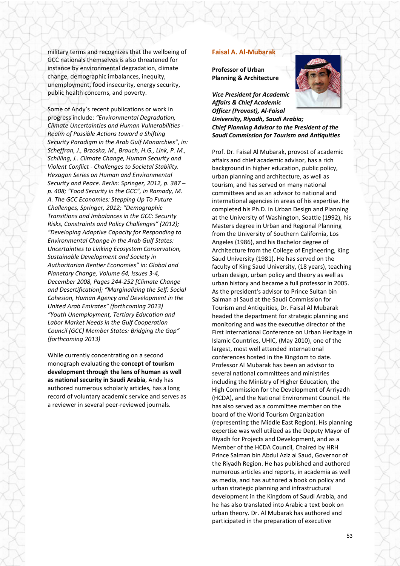military terms and recognizes that the wellbeing of GCC nationals themselves is also threatened for instance by environmental degradation, climate change, demographic imbalances, inequity, unemployment, food insecurity, energy security, public health concerns, and poverty.

Some of Andy's recent publications or work in progress include: "Environmental Degradation, Climate Uncertainties and Human Vulnerabilities - Realm of Possible Actions toward a Shifting Security Paradigm in the Arab Gulf Monarchies", in: Scheffran, J., Brzoska, M., Brauch, H.G., Link, P. M., Schilling, J.. Climate Change, Human Security and Violent Conflict - Challenges to Societal Stability. Hexagon Series on Human and Environmental Security and Peace. Berlin: Springer, 2012, p. 387 – p. 408; "Food Security in the GCC", in Ramady, M. A. The GCC Economies: Stepping Up To Future Challenges, Springer, 2012; "Demographic Transitions and Imbalances in the GCC: Security Risks, Constraints and Policy Challenges" (2012); "Developing Adaptive Capacity for Responding to Environmental Change in the Arab Gulf States: Uncertainties to Linking Ecosystem Conservation, Sustainable Development and Society in Authoritarian Rentier Economies" in: Global and Planetary Change, Volume 64, Issues 3-4, December 2008, Pages 244-252 [Climate Change and Desertification]; "Marginalizing the Self: Social Cohesion, Human Agency and Development in the United Arab Emirates" (forthcoming 2013) "Youth Unemployment, Tertiary Education and Labor Market Needs in the Gulf Cooperation Council (GCC) Member States: Bridging the Gap" (forthcoming 2013)

While currently concentrating on a second monograph evaluating the concept of tourism development through the lens of human as well as national security in Saudi Arabia, Andy has authored numerous scholarly articles, has a long record of voluntary academic service and serves as a reviewer in several peer-reviewed journals.

### Faisal A. Al-Mubarak

Professor of Urban Planning & Architecture



Prof. Dr. Faisal Al Mubarak, provost of academic affairs and chief academic advisor, has a rich background in higher education, public policy, urban planning and architecture, as well as tourism, and has served on many national committees and as an advisor to national and international agencies in areas of his expertise. He completed his Ph.D. in Urban Design and Planning at the University of Washington, Seattle (1992), his Masters degree in Urban and Regional Planning from the University of Southern California, Los Angeles (1986), and his Bachelor degree of Architecture from the College of Engineering, King Saud University (1981). He has served on the faculty of King Saud University, (18 years), teaching urban design, urban policy and theory as well as urban history and became a full professor in 2005. As the president's advisor to Prince Sultan bin Salman al Saud at the Saudi Commission for Tourism and Antiquities, Dr. Faisal Al Mubarak headed the department for strategic planning and monitoring and was the executive director of the First International Conference on Urban Heritage in Islamic Countries, UHIC, (May 2010), one of the largest, most well attended international conferences hosted in the Kingdom to date. Professor Al Mubarak has been an advisor to several national committees and ministries including the Ministry of Higher Education, the High Commission for the Development of Arriyadh (HCDA), and the National Environment Council. He has also served as a committee member on the board of the World Tourism Organization (representing the Middle East Region). His planning expertise was well utilized as the Deputy Mayor of Riyadh for Projects and Development, and as a Member of the HCDA Council, Chaired by HRH Prince Salman bin Abdul Aziz al Saud, Governor of the Riyadh Region. He has published and authored numerous articles and reports, in academia as well as media, and has authored a book on policy and urban strategic planning and infrastructural development in the Kingdom of Saudi Arabia, and he has also translated into Arabic a text book on urban theory. Dr. Al Mubarak has authored and participated in the preparation of executive

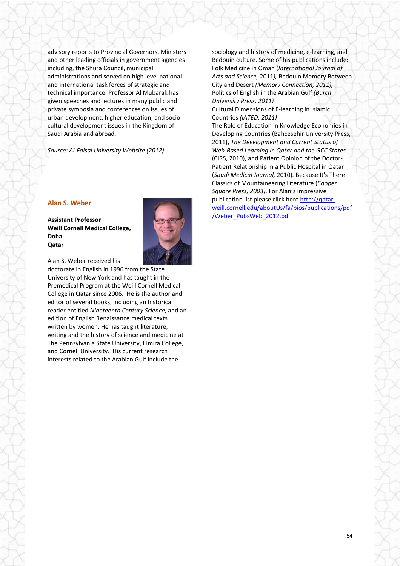advisory reports to Provincial Governors, Ministers and other leading officials in government agencies including, the Shura Council, municipal administrations and served on high level national and international task forces of strategic and technical importance. Professor Al Mubarak has given speeches and lectures in many public and private symposia and conferences on issues of urban development, higher education, and sociocultural development issues in the Kingdom of Saudi Arabia and abroad.

Source: Al-Faisal University Website (2012)

### Alan S. Weber

Assistant Professor Weill Cornell Medical College, Doha Qatar



Alan S. Weber received his

doctorate in English in 1996 from the State University of New York and has taught in the Premedical Program at the Weill Cornell Medical College in Qatar since 2006. He is the author and editor of several books, including an historical reader entitled Nineteenth Century Science, and an edition of English Renaissance medical texts written by women. He has taught literature, writing and the history of science and medicine at The Pennsylvania State University, Elmira College, and Cornell University. His current research interests related to the Arabian Gulf include the

sociology and history of medicine, e-learning, and Bedouin culture. Some of his publications include: Folk Medicine in Oman (International Journal of Arts and Science, 2011), Bedouin Memory Between City and Desert (Memory Connection, 2011), Politics of English in the Arabian Gulf (Burch University Press, 2011)

Cultural Dimensions of E-learning in Islamic Countries (IATED, 2011)

The Role of Education in Knowledge Economies in Developing Countries (Bahcesehir University Press, 2011), The Development and Current Status of Web-Based Learning in Qatar and the GCC States (CIRS, 2010), and Patient Opinion of the Doctor-Patient Relationship in a Public Hospital in Qatar (Saudi Medical Journal, 2010). Because It's There: Classics of Mountaineering Literature (Cooper Square Press, 2003). For Alan's impressive publication list please click here http://qatarweill.cornell.edu/aboutUs/fa/bios/publications/pdf /Weber\_PubsWeb\_2012.pdf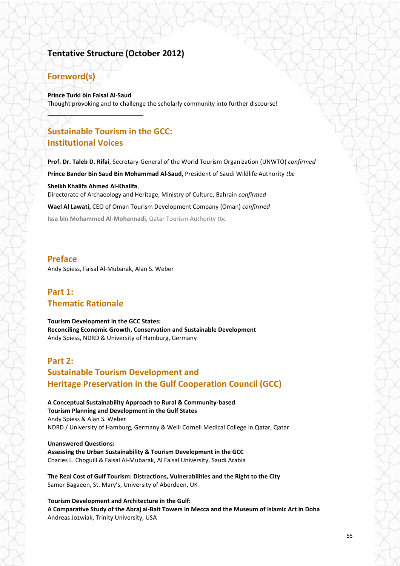### Tentative Structure (October 2012)

### Foreword(s)

### Prince Turki bin Faisal Al-Saud

 $\left( \begin{array}{c} 1 \end{array} \right)$ 

Thought provoking and to challenge the scholarly community into further discourse!

# Sustainable Tourism in the GCC: Institutional Voices

Prof. Dr. Taleb D. Rifai, Secretary-General of the World Tourism Organization (UNWTO) confirmed

Prince Bander Bin Saud Bin Mohammad Al-Saud, President of Saudi Wildlife Authority tbc

Sheikh Khalifa Ahmed Al-Khalifa, Directorate of Archaeology and Heritage, Ministry of Culture, Bahrain confirmed

Wael Al Lawati, CEO of Oman Tourism Development Company (Oman) confirmed

Issa bin Mohammed Al-Mohannadi, Qatar Tourism Authority tbc

### Preface

Andy Spiess, Faisal Al-Mubarak, Alan S. Weber

### Part 1: Thematic Rationale

Tourism Development in the GCC States: Reconciling Economic Growth, Conservation and Sustainable Development Andy Spiess, NDRD & University of Hamburg, Germany

### Part 2:

# Sustainable Tourism Development and Heritage Preservation in the Gulf Cooperation Council (GCC)

A Conceptual Sustainability Approach to Rural & Community-based Tourism Planning and Development in the Gulf States Andy Spiess & Alan S. Weber NDRD / University of Hamburg, Germany & Weill Cornell Medical College in Qatar, Qatar

Unanswered Questions: Assessing the Urban Sustainability & Tourism Development in the GCC Charles L. Choguill & Faisal Al-Mubarak, Al Faisal University, Saudi Arabia

The Real Cost of Gulf Tourism: Distractions, Vulnerabilities and the Right to the City Samer Bagaeen, St. Mary's, University of Aberdeen, UK

Tourism Development and Architecture in the Gulf: A Comparative Study of the Abraj al-Bait Towers in Mecca and the Museum of Islamic Art in Doha Andreas Jozwiak, Trinity University, USA